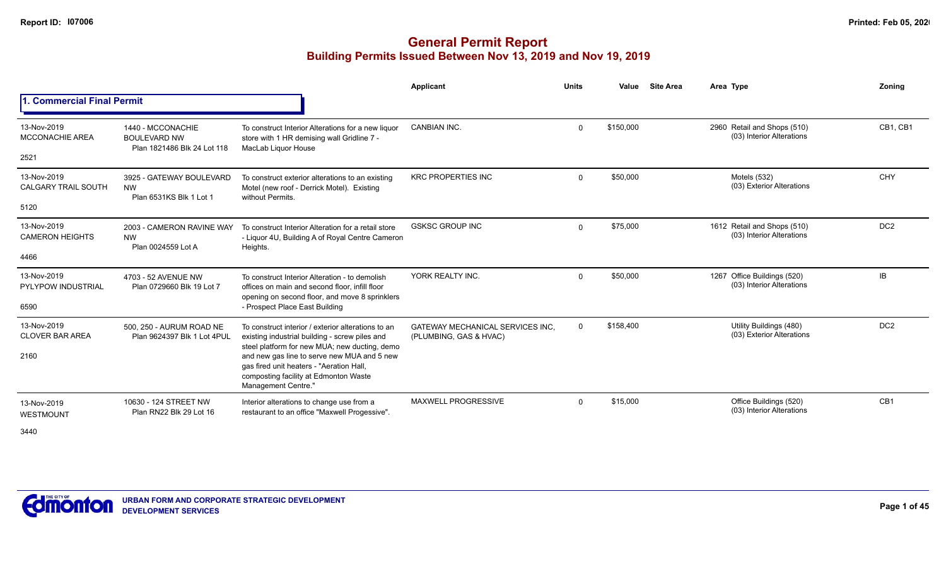|                                                   |                                                                         |                                                                                                                                                                                                                                                                                                                  | Applicant                                                         | <b>Units</b> | Value     | <b>Site Area</b> | Area Type                                                | Zoning          |
|---------------------------------------------------|-------------------------------------------------------------------------|------------------------------------------------------------------------------------------------------------------------------------------------------------------------------------------------------------------------------------------------------------------------------------------------------------------|-------------------------------------------------------------------|--------------|-----------|------------------|----------------------------------------------------------|-----------------|
| 1. Commercial Final Permit                        |                                                                         |                                                                                                                                                                                                                                                                                                                  |                                                                   |              |           |                  |                                                          |                 |
| 13-Nov-2019<br><b>MCCONACHIE AREA</b><br>2521     | 1440 - MCCONACHIE<br><b>BOULEVARD NW</b><br>Plan 1821486 Blk 24 Lot 118 | To construct Interior Alterations for a new liquor<br>store with 1 HR demising wall Gridline 7 -<br>MacLab Liquor House                                                                                                                                                                                          | <b>CANBIAN INC.</b>                                               | $\Omega$     | \$150,000 |                  | 2960 Retail and Shops (510)<br>(03) Interior Alterations | CB1, CB1        |
| 13-Nov-2019<br><b>CALGARY TRAIL SOUTH</b><br>5120 | 3925 - GATEWAY BOULEVARD<br><b>NW</b><br>Plan 6531KS Blk 1 Lot 1        | To construct exterior alterations to an existing<br>Motel (new roof - Derrick Motel). Existing<br>without Permits.                                                                                                                                                                                               | <b>KRC PROPERTIES INC</b>                                         | $\Omega$     | \$50,000  |                  | Motels (532)<br>(03) Exterior Alterations                | CHY             |
| 13-Nov-2019<br><b>CAMERON HEIGHTS</b><br>4466     | 2003 - CAMERON RAVINE WAY<br><b>NW</b><br>Plan 0024559 Lot A            | To construct Interior Alteration for a retail store<br>- Liquor 4U, Building A of Royal Centre Cameron<br>Heights.                                                                                                                                                                                               | <b>GSKSC GROUP INC</b>                                            | $\Omega$     | \$75,000  |                  | 1612 Retail and Shops (510)<br>(03) Interior Alterations | DC <sub>2</sub> |
| 13-Nov-2019<br><b>PYLYPOW INDUSTRIAL</b><br>6590  | 4703 - 52 AVENUE NW<br>Plan 0729660 Blk 19 Lot 7                        | To construct Interior Alteration - to demolish<br>offices on main and second floor, infill floor<br>opening on second floor, and move 8 sprinklers<br>- Prospect Place East Building                                                                                                                             | YORK REALTY INC.                                                  | $\Omega$     | \$50,000  |                  | 1267 Office Buildings (520)<br>(03) Interior Alterations | IB.             |
| 13-Nov-2019<br><b>CLOVER BAR AREA</b><br>2160     | 500, 250 - AURUM ROAD NE<br>Plan 9624397 Blk 1 Lot 4PUL                 | To construct interior / exterior alterations to an<br>existing industrial building - screw piles and<br>steel platform for new MUA; new ducting, demo<br>and new gas line to serve new MUA and 5 new<br>gas fired unit heaters - "Aeration Hall,<br>composting facility at Edmonton Waste<br>Management Centre." | <b>GATEWAY MECHANICAL SERVICES INC.</b><br>(PLUMBING, GAS & HVAC) | $\Omega$     | \$158,400 |                  | Utility Buildings (480)<br>(03) Exterior Alterations     | DC <sub>2</sub> |
| 13-Nov-2019<br><b>WESTMOUNT</b><br>3440           | 10630 - 124 STREET NW<br>Plan RN22 Blk 29 Lot 16                        | Interior alterations to change use from a<br>restaurant to an office "Maxwell Progessive".                                                                                                                                                                                                                       | <b>MAXWELL PROGRESSIVE</b>                                        | $\Omega$     | \$15,000  |                  | Office Buildings (520)<br>(03) Interior Alterations      | CB <sub>1</sub> |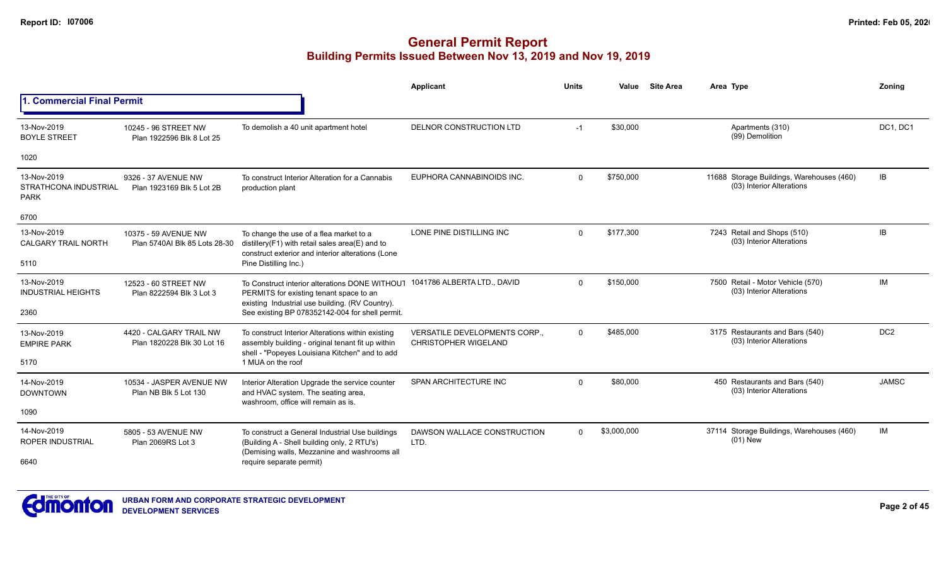|                                                     |                                                       |                                                                                                                                                          | Applicant                                                    | <b>Units</b> | Value       | <b>Site Area</b> | Area Type                                                              | Zoning          |
|-----------------------------------------------------|-------------------------------------------------------|----------------------------------------------------------------------------------------------------------------------------------------------------------|--------------------------------------------------------------|--------------|-------------|------------------|------------------------------------------------------------------------|-----------------|
| 1. Commercial Final Permit                          |                                                       |                                                                                                                                                          |                                                              |              |             |                  |                                                                        |                 |
| 13-Nov-2019<br><b>BOYLE STREET</b>                  | 10245 - 96 STREET NW<br>Plan 1922596 Blk 8 Lot 25     | To demolish a 40 unit apartment hotel                                                                                                                    | DELNOR CONSTRUCTION LTD                                      | $-1$         | \$30,000    |                  | Apartments (310)<br>(99) Demolition                                    | DC1, DC1        |
| 1020                                                |                                                       |                                                                                                                                                          |                                                              |              |             |                  |                                                                        |                 |
| 13-Nov-2019<br>STRATHCONA INDUSTRIAL<br><b>PARK</b> | 9326 - 37 AVENUE NW<br>Plan 1923169 Blk 5 Lot 2B      | To construct Interior Alteration for a Cannabis<br>production plant                                                                                      | EUPHORA CANNABINOIDS INC.                                    | $\Omega$     | \$750,000   |                  | 11688 Storage Buildings, Warehouses (460)<br>(03) Interior Alterations | IB              |
| 6700                                                |                                                       |                                                                                                                                                          |                                                              |              |             |                  |                                                                        |                 |
| 13-Nov-2019<br><b>CALGARY TRAIL NORTH</b>           | 10375 - 59 AVENUE NW<br>Plan 5740AI Blk 85 Lots 28-30 | To change the use of a flea market to a<br>distillery(F1) with retail sales area(E) and to<br>construct exterior and interior alterations (Lone          | LONE PINE DISTILLING INC                                     | $\Omega$     | \$177.300   |                  | 7243 Retail and Shops (510)<br>(03) Interior Alterations               | IB              |
| 5110                                                |                                                       | Pine Distilling Inc.)                                                                                                                                    |                                                              |              |             |                  |                                                                        |                 |
| 13-Nov-2019<br><b>INDUSTRIAL HEIGHTS</b>            | 12523 - 60 STREET NW<br>Plan 8222594 Blk 3 Lot 3      | To Construct interior alterations DONE WITHOUT<br>PERMITS for existing tenant space to an<br>existing Industrial use building. (RV Country).             | 1041786 ALBERTA LTD., DAVID                                  | $\Omega$     | \$150,000   |                  | 7500 Retail - Motor Vehicle (570)<br>(03) Interior Alterations         | IM              |
| 2360                                                |                                                       | See existing BP 078352142-004 for shell permit.                                                                                                          |                                                              |              |             |                  |                                                                        |                 |
| 13-Nov-2019<br><b>EMPIRE PARK</b>                   | 4420 - CALGARY TRAIL NW<br>Plan 1820228 Blk 30 Lot 16 | To construct Interior Alterations within existing<br>assembly building - original tenant fit up within<br>shell - "Popeyes Louisiana Kitchen" and to add | VERSATILE DEVELOPMENTS CORP.,<br><b>CHRISTOPHER WIGELAND</b> | $\Omega$     | \$485,000   |                  | 3175 Restaurants and Bars (540)<br>(03) Interior Alterations           | DC <sub>2</sub> |
| 5170                                                |                                                       | 1 MUA on the roof                                                                                                                                        |                                                              |              |             |                  |                                                                        |                 |
| 14-Nov-2019<br><b>DOWNTOWN</b>                      | 10534 - JASPER AVENUE NW<br>Plan NB Blk 5 Lot 130     | Interior Alteration Upgrade the service counter<br>and HVAC system. The seating area,<br>washroom, office will remain as is.                             | SPAN ARCHITECTURE INC                                        | $\Omega$     | \$80,000    |                  | 450 Restaurants and Bars (540)<br>(03) Interior Alterations            | <b>JAMSC</b>    |
| 1090                                                |                                                       |                                                                                                                                                          |                                                              |              |             |                  |                                                                        |                 |
| 14-Nov-2019<br><b>ROPER INDUSTRIAL</b>              | 5805 - 53 AVENUE NW<br>Plan 2069RS Lot 3              | To construct a General Industrial Use buildings<br>(Building A - Shell building only, 2 RTU's)                                                           | DAWSON WALLACE CONSTRUCTION<br>LTD.                          | $\Omega$     | \$3,000,000 |                  | 37114 Storage Buildings, Warehouses (460)<br>$(01)$ New                | IM              |
| 6640                                                |                                                       | (Demising walls, Mezzanine and washrooms all<br>require separate permit)                                                                                 |                                                              |              |             |                  |                                                                        |                 |

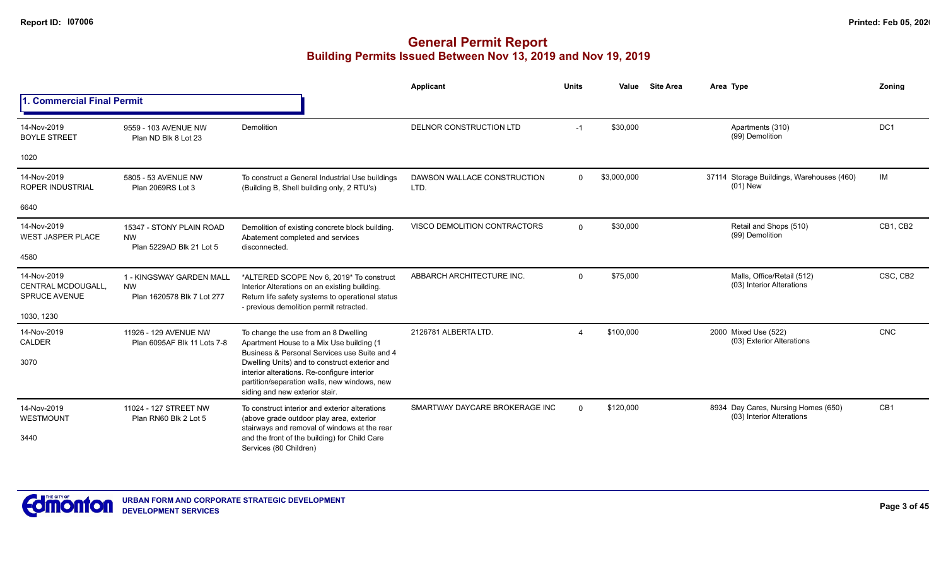|                                                           |                                                                     |                                                                                                                                                                                          | <b>Applicant</b>                    | <b>Units</b> | Value       | <b>Site Area</b> | Area Type                                                        | Zoning          |
|-----------------------------------------------------------|---------------------------------------------------------------------|------------------------------------------------------------------------------------------------------------------------------------------------------------------------------------------|-------------------------------------|--------------|-------------|------------------|------------------------------------------------------------------|-----------------|
| <b>1. Commercial Final Permit</b>                         |                                                                     |                                                                                                                                                                                          |                                     |              |             |                  |                                                                  |                 |
| 14-Nov-2019<br><b>BOYLE STREET</b>                        | 9559 - 103 AVENUE NW<br>Plan ND Blk 8 Lot 23                        | Demolition                                                                                                                                                                               | DELNOR CONSTRUCTION LTD             | $-1$         | \$30,000    |                  | Apartments (310)<br>(99) Demolition                              | DC1             |
| 1020                                                      |                                                                     |                                                                                                                                                                                          |                                     |              |             |                  |                                                                  |                 |
| 14-Nov-2019<br><b>ROPER INDUSTRIAL</b>                    | 5805 - 53 AVENUE NW<br>Plan 2069RS Lot 3                            | To construct a General Industrial Use buildings<br>(Building B, Shell building only, 2 RTU's)                                                                                            | DAWSON WALLACE CONSTRUCTION<br>LTD. | $\Omega$     | \$3,000,000 |                  | 37114 Storage Buildings, Warehouses (460)<br>$(01)$ New          | IM              |
| 6640                                                      |                                                                     |                                                                                                                                                                                          |                                     |              |             |                  |                                                                  |                 |
| 14-Nov-2019<br><b>WEST JASPER PLACE</b>                   | 15347 - STONY PLAIN ROAD<br><b>NW</b><br>Plan 5229AD Blk 21 Lot 5   | Demolition of existing concrete block building.<br>Abatement completed and services<br>disconnected.                                                                                     | VISCO DEMOLITION CONTRACTORS        | $\Omega$     | \$30,000    |                  | Retail and Shops (510)<br>(99) Demolition                        | CB1. CB2        |
| 4580                                                      |                                                                     |                                                                                                                                                                                          |                                     |              |             |                  |                                                                  |                 |
| 14-Nov-2019<br>CENTRAL MCDOUGALL.<br><b>SPRUCE AVENUE</b> | 1 - KINGSWAY GARDEN MALL<br><b>NW</b><br>Plan 1620578 Blk 7 Lot 277 | *ALTERED SCOPE Nov 6, 2019* To construct<br>Interior Alterations on an existing building.<br>Return life safety systems to operational status<br>- previous demolition permit retracted. | ABBARCH ARCHITECTURE INC.           | $\Omega$     | \$75,000    |                  | Malls, Office/Retail (512)<br>(03) Interior Alterations          | CSC, CB2        |
| 1030, 1230                                                |                                                                     |                                                                                                                                                                                          |                                     |              |             |                  |                                                                  |                 |
| 14-Nov-2019<br>CALDER                                     | 11926 - 129 AVENUE NW<br>Plan 6095AF Blk 11 Lots 7-8                | To change the use from an 8 Dwelling<br>Apartment House to a Mix Use building (1<br>Business & Personal Services use Suite and 4                                                         | 2126781 ALBERTA LTD.                | Δ            | \$100,000   |                  | 2000 Mixed Use (522)<br>(03) Exterior Alterations                | <b>CNC</b>      |
| 3070                                                      |                                                                     | Dwelling Units) and to construct exterior and<br>interior alterations. Re-configure interior<br>partition/separation walls, new windows, new<br>siding and new exterior stair.           |                                     |              |             |                  |                                                                  |                 |
| 14-Nov-2019<br>WESTMOUNT                                  | 11024 - 127 STREET NW<br>Plan RN60 Blk 2 Lot 5                      | To construct interior and exterior alterations<br>(above grade outdoor play area, exterior<br>stairways and removal of windows at the rear                                               | SMARTWAY DAYCARE BROKERAGE INC      | $\Omega$     | \$120,000   |                  | 8934 Day Cares, Nursing Homes (650)<br>(03) Interior Alterations | CB <sub>1</sub> |
| 3440                                                      |                                                                     | and the front of the building) for Child Care<br>Services (80 Children)                                                                                                                  |                                     |              |             |                  |                                                                  |                 |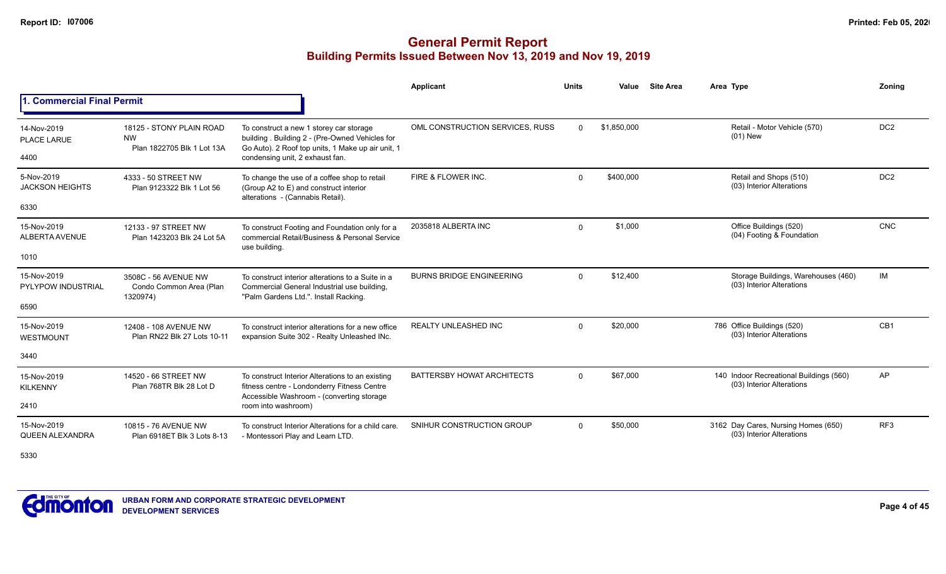#### **General Permit Report Building Permits Issued Between Nov 13, 2019 and Nov 19, 2019**

|                                                  |                                                                     |                                                                                                                                                                                    | Applicant                         | <b>Units</b> | Value       | <b>Site Area</b> | Area Type                                                            | Zonina          |
|--------------------------------------------------|---------------------------------------------------------------------|------------------------------------------------------------------------------------------------------------------------------------------------------------------------------------|-----------------------------------|--------------|-------------|------------------|----------------------------------------------------------------------|-----------------|
| 1. Commercial Final Permit                       |                                                                     |                                                                                                                                                                                    |                                   |              |             |                  |                                                                      |                 |
| 14-Nov-2019<br>PLACE LARUE<br>4400               | 18125 - STONY PLAIN ROAD<br><b>NW</b><br>Plan 1822705 Blk 1 Lot 13A | To construct a new 1 storey car storage<br>building . Building 2 - (Pre-Owned Vehicles for<br>Go Auto). 2 Roof top units, 1 Make up air unit, 1<br>condensing unit, 2 exhaust fan. | OML CONSTRUCTION SERVICES, RUSS   | $\Omega$     | \$1,850,000 |                  | Retail - Motor Vehicle (570)<br>$(01)$ New                           | DC <sub>2</sub> |
| 5-Nov-2019<br><b>JACKSON HEIGHTS</b><br>6330     | 4333 - 50 STREET NW<br>Plan 9123322 Blk 1 Lot 56                    | To change the use of a coffee shop to retail<br>(Group A2 to E) and construct interior<br>alterations - (Cannabis Retail).                                                         | FIRE & FLOWER INC.                | $\Omega$     | \$400,000   |                  | Retail and Shops (510)<br>(03) Interior Alterations                  | DC <sub>2</sub> |
| 15-Nov-2019<br>ALBERTA AVENUE<br>1010            | 12133 - 97 STREET NW<br>Plan 1423203 Blk 24 Lot 5A                  | To construct Footing and Foundation only for a<br>commercial Retail/Business & Personal Service<br>use building.                                                                   | 2035818 ALBERTA INC               | $\mathbf 0$  | \$1,000     |                  | Office Buildings (520)<br>(04) Footing & Foundation                  | <b>CNC</b>      |
| 15-Nov-2019<br><b>PYLYPOW INDUSTRIAL</b><br>6590 | 3508C - 56 AVENUE NW<br>Condo Common Area (Plan<br>1320974)         | To construct interior alterations to a Suite in a<br>Commercial General Industrial use building,<br>"Palm Gardens Ltd.". Install Racking.                                          | <b>BURNS BRIDGE ENGINEERING</b>   | $\Omega$     | \$12,400    |                  | Storage Buildings, Warehouses (460)<br>(03) Interior Alterations     | IM              |
| 15-Nov-2019<br>WESTMOUNT<br>3440                 | 12408 - 108 AVENUE NW<br>Plan RN22 Blk 27 Lots 10-11                | To construct interior alterations for a new office<br>expansion Suite 302 - Realty Unleashed INc.                                                                                  | <b>REALTY UNLEASHED INC</b>       | $\Omega$     | \$20,000    |                  | 786 Office Buildings (520)<br>(03) Interior Alterations              | CB <sub>1</sub> |
| 15-Nov-2019<br><b>KILKENNY</b><br>2410           | 14520 - 66 STREET NW<br>Plan 768TR Blk 28 Lot D                     | To construct Interior Alterations to an existing<br>fitness centre - Londonderry Fitness Centre<br>Accessible Washroom - (converting storage<br>room into washroom)                | <b>BATTERSBY HOWAT ARCHITECTS</b> | $\Omega$     | \$67,000    |                  | 140 Indoor Recreational Buildings (560)<br>(03) Interior Alterations | AP              |
| 15-Nov-2019<br><b>QUEEN ALEXANDRA</b>            | 10815 - 76 AVENUE NW<br>Plan 6918ET Blk 3 Lots 8-13                 | To construct Interior Alterations for a child care.<br>- Montessori Play and Learn LTD.                                                                                            | SNIHUR CONSTRUCTION GROUP         | $\Omega$     | \$50,000    |                  | 3162 Day Cares, Nursing Homes (650)<br>(03) Interior Alterations     | RF <sub>3</sub> |

5330

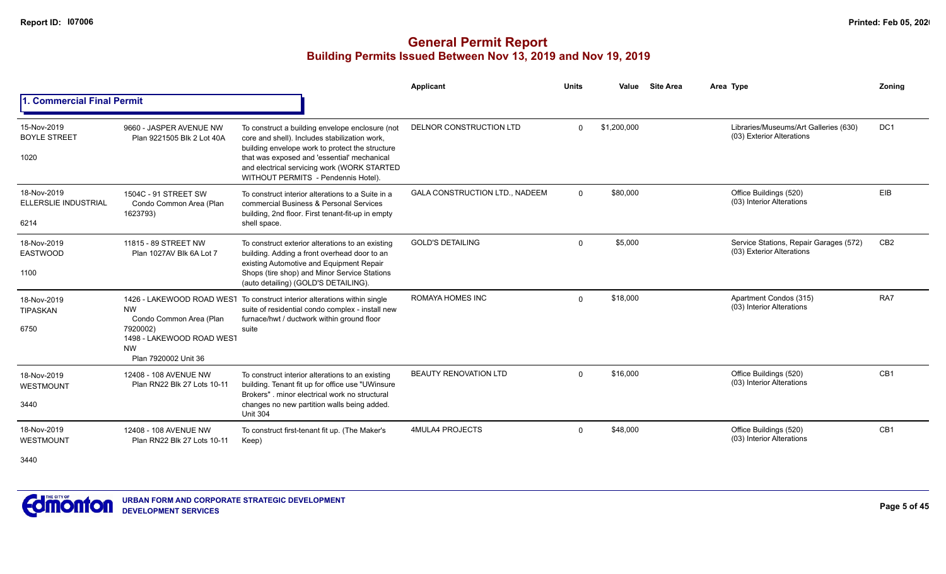|                                             |                                                                                                                    |                                                                                                                                                                                                                                                                                          | <b>Applicant</b>                      | <b>Units</b> | Value       | <b>Site Area</b> | Area Type                                                           | Zoning          |
|---------------------------------------------|--------------------------------------------------------------------------------------------------------------------|------------------------------------------------------------------------------------------------------------------------------------------------------------------------------------------------------------------------------------------------------------------------------------------|---------------------------------------|--------------|-------------|------------------|---------------------------------------------------------------------|-----------------|
| 1. Commercial Final Permit                  |                                                                                                                    |                                                                                                                                                                                                                                                                                          |                                       |              |             |                  |                                                                     |                 |
| 15-Nov-2019<br><b>BOYLE STREET</b><br>1020  | 9660 - JASPER AVENUE NW<br>Plan 9221505 Blk 2 Lot 40A                                                              | To construct a building envelope enclosure (not<br>core and shell). Includes stabilization work,<br>building envelope work to protect the structure<br>that was exposed and 'essential' mechanical<br>and electrical servicing work (WORK STARTED<br>WITHOUT PERMITS - Pendennis Hotel). | DELNOR CONSTRUCTION LTD               | $\mathbf{0}$ | \$1,200,000 |                  | Libraries/Museums/Art Galleries (630)<br>(03) Exterior Alterations  | DC <sub>1</sub> |
| 18-Nov-2019<br>ELLERSLIE INDUSTRIAL<br>6214 | 1504C - 91 STREET SW<br>Condo Common Area (Plan<br>1623793)                                                        | To construct interior alterations to a Suite in a<br>commercial Business & Personal Services<br>building, 2nd floor. First tenant-fit-up in empty<br>shell space.                                                                                                                        | <b>GALA CONSTRUCTION LTD., NADEEM</b> | $\Omega$     | \$80,000    |                  | Office Buildings (520)<br>(03) Interior Alterations                 | EIB             |
| 18-Nov-2019<br><b>EASTWOOD</b><br>1100      | 11815 - 89 STREET NW<br>Plan 1027AV Blk 6A Lot 7                                                                   | To construct exterior alterations to an existing<br>building. Adding a front overhead door to an<br>existing Automotive and Equipment Repair<br>Shops (tire shop) and Minor Service Stations<br>(auto detailing) (GOLD'S DETAILING).                                                     | <b>GOLD'S DETAILING</b>               | $\mathbf 0$  | \$5,000     |                  | Service Stations, Repair Garages (572)<br>(03) Exterior Alterations | CB <sub>2</sub> |
| 18-Nov-2019<br><b>TIPASKAN</b><br>6750      | <b>NW</b><br>Condo Common Area (Plan<br>7920002)<br>1498 - LAKEWOOD ROAD WEST<br><b>NW</b><br>Plan 7920002 Unit 36 | 1426 - LAKEWOOD ROAD WEST To construct interior alterations within single<br>suite of residential condo complex - install new<br>furnace/hwt / ductwork within ground floor<br>suite                                                                                                     | ROMAYA HOMES INC                      | $\Omega$     | \$18,000    |                  | Apartment Condos (315)<br>(03) Interior Alterations                 | RA7             |
| 18-Nov-2019<br><b>WESTMOUNT</b><br>3440     | 12408 - 108 AVENUE NW<br>Plan RN22 Blk 27 Lots 10-11                                                               | To construct interior alterations to an existing<br>building. Tenant fit up for office use "UWinsure<br>Brokers", minor electrical work no structural<br>changes no new partition walls being added.<br><b>Unit 304</b>                                                                  | <b>BEAUTY RENOVATION LTD</b>          | $\Omega$     | \$16,000    |                  | Office Buildings (520)<br>(03) Interior Alterations                 | CB1             |
| 18-Nov-2019<br>WESTMOUNT<br>3440            | 12408 - 108 AVENUE NW<br>Plan RN22 Blk 27 Lots 10-11                                                               | To construct first-tenant fit up. (The Maker's<br>Keep)                                                                                                                                                                                                                                  | <b>4MULA4 PROJECTS</b>                | $\mathbf 0$  | \$48,000    |                  | Office Buildings (520)<br>(03) Interior Alterations                 | CB <sub>1</sub> |

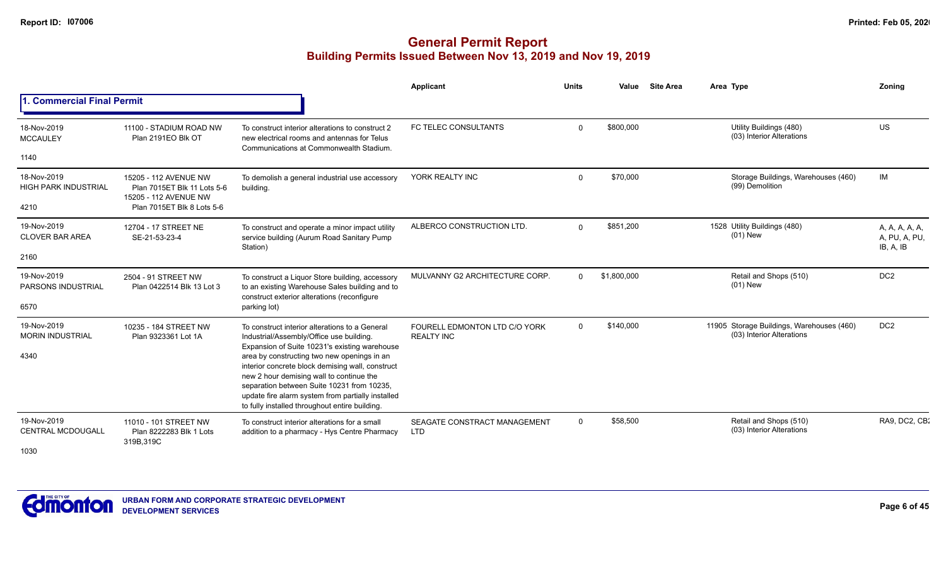|                                                 |                                                                               |                                                                                                                                                                                                                                                                                                  | Applicant                                          | <b>Units</b> | Value       | <b>Site Area</b> | Area Type                                                              | Zoning                                       |
|-------------------------------------------------|-------------------------------------------------------------------------------|--------------------------------------------------------------------------------------------------------------------------------------------------------------------------------------------------------------------------------------------------------------------------------------------------|----------------------------------------------------|--------------|-------------|------------------|------------------------------------------------------------------------|----------------------------------------------|
| <b>Commercial Final Permit</b>                  |                                                                               |                                                                                                                                                                                                                                                                                                  |                                                    |              |             |                  |                                                                        |                                              |
| 18-Nov-2019<br><b>MCCAULEY</b>                  | 11100 - STADIUM ROAD NW<br>Plan 2191EO Blk OT                                 | To construct interior alterations to construct 2<br>new electrical rooms and antennas for Telus<br>Communications at Commonwealth Stadium.                                                                                                                                                       | FC TELEC CONSULTANTS                               | $\Omega$     | \$800,000   |                  | Utility Buildings (480)<br>(03) Interior Alterations                   | US                                           |
| 1140                                            |                                                                               |                                                                                                                                                                                                                                                                                                  |                                                    |              |             |                  |                                                                        |                                              |
| 18-Nov-2019<br><b>HIGH PARK INDUSTRIAL</b>      | 15205 - 112 AVENUE NW<br>Plan 7015ET Blk 11 Lots 5-6<br>15205 - 112 AVENUE NW | To demolish a general industrial use accessory<br>building.                                                                                                                                                                                                                                      | YORK REALTY INC                                    | $\mathbf 0$  | \$70,000    |                  | Storage Buildings, Warehouses (460)<br>(99) Demolition                 | IM                                           |
| 4210                                            | Plan 7015ET Blk 8 Lots 5-6                                                    |                                                                                                                                                                                                                                                                                                  |                                                    |              |             |                  |                                                                        |                                              |
| 19-Nov-2019<br><b>CLOVER BAR AREA</b>           | 12704 - 17 STREET NE<br>SE-21-53-23-4                                         | To construct and operate a minor impact utility<br>service building (Aurum Road Sanitary Pump<br>Station)                                                                                                                                                                                        | ALBERCO CONSTRUCTION LTD.                          | $\Omega$     | \$851,200   |                  | 1528 Utility Buildings (480)<br>$(01)$ New                             | A, A, A, A, A,<br>A, PU, A, PU,<br>IB, A, IB |
| 2160                                            |                                                                               |                                                                                                                                                                                                                                                                                                  |                                                    |              |             |                  |                                                                        |                                              |
| 19-Nov-2019<br><b>PARSONS INDUSTRIAL</b>        | 2504 - 91 STREET NW<br>Plan 0422514 Blk 13 Lot 3                              | To construct a Liquor Store building, accessory<br>to an existing Warehouse Sales building and to<br>construct exterior alterations (reconfigure                                                                                                                                                 | MULVANNY G2 ARCHITECTURE CORP.                     | $\Omega$     | \$1,800,000 |                  | Retail and Shops (510)<br>$(01)$ New                                   | DC <sub>2</sub>                              |
| 6570                                            |                                                                               | parking lot)                                                                                                                                                                                                                                                                                     |                                                    |              |             |                  |                                                                        |                                              |
| 19-Nov-2019<br><b>MORIN INDUSTRIAL</b>          | 10235 - 184 STREET NW<br>Plan 9323361 Lot 1A                                  | To construct interior alterations to a General<br>Industrial/Assembly/Office use building.<br>Expansion of Suite 10231's existing warehouse                                                                                                                                                      | FOURELL EDMONTON LTD C/O YORK<br><b>REALTY INC</b> | $\Omega$     | \$140,000   |                  | 11905 Storage Buildings, Warehouses (460)<br>(03) Interior Alterations | DC <sub>2</sub>                              |
| 4340                                            |                                                                               | area by constructing two new openings in an<br>interior concrete block demising wall, construct<br>new 2 hour demising wall to continue the<br>separation between Suite 10231 from 10235,<br>update fire alarm system from partially installed<br>to fully installed throughout entire building. |                                                    |              |             |                  |                                                                        |                                              |
| 19-Nov-2019<br><b>CENTRAL MCDOUGALL</b><br>1030 | 11010 - 101 STREET NW<br>Plan 8222283 Blk 1 Lots<br>319B, 319C                | To construct interior alterations for a small<br>addition to a pharmacy - Hys Centre Pharmacy                                                                                                                                                                                                    | SEAGATE CONSTRACT MANAGEMENT<br><b>LTD</b>         | $\mathbf 0$  | \$58,500    |                  | Retail and Shops (510)<br>(03) Interior Alterations                    | RA9, DC2, CB:                                |

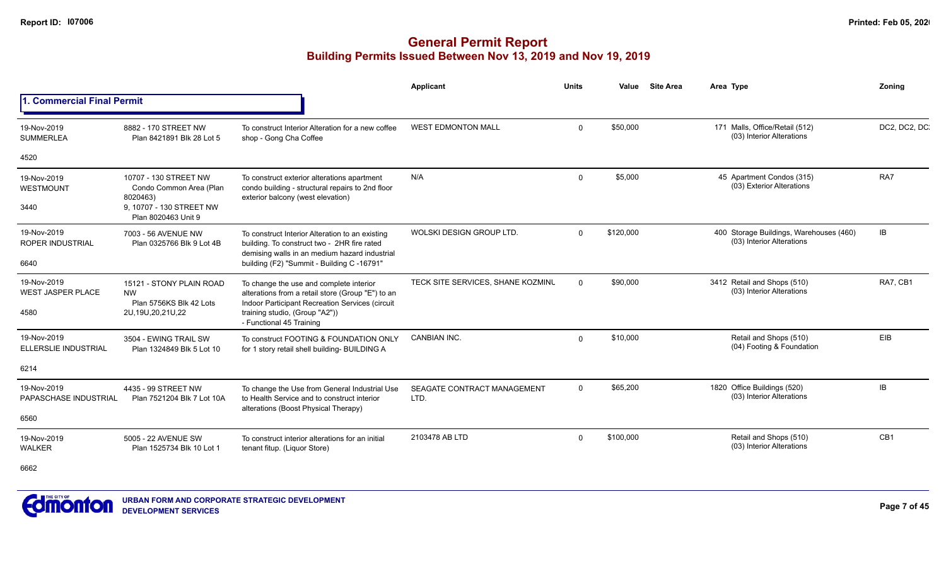|                                                 |                                                                                                                 |                                                                                                                                                                                                               | Applicant                           | <b>Units</b> | Value     | <b>Site Area</b> | Area Type                                                            | Zonina       |
|-------------------------------------------------|-----------------------------------------------------------------------------------------------------------------|---------------------------------------------------------------------------------------------------------------------------------------------------------------------------------------------------------------|-------------------------------------|--------------|-----------|------------------|----------------------------------------------------------------------|--------------|
| 1. Commercial Final Permit                      |                                                                                                                 |                                                                                                                                                                                                               |                                     |              |           |                  |                                                                      |              |
| 19-Nov-2019<br><b>SUMMERLEA</b>                 | 8882 - 170 STREET NW<br>Plan 8421891 Blk 28 Lot 5                                                               | To construct Interior Alteration for a new coffee<br>shop - Gong Cha Coffee                                                                                                                                   | <b>WEST EDMONTON MALL</b>           | $\Omega$     | \$50,000  |                  | 171 Malls, Office/Retail (512)<br>(03) Interior Alterations          | DC2, DC2, DC |
| 4520                                            |                                                                                                                 |                                                                                                                                                                                                               |                                     |              |           |                  |                                                                      |              |
| 19-Nov-2019<br>WESTMOUNT<br>3440                | 10707 - 130 STREET NW<br>Condo Common Area (Plan<br>8020463)<br>9. 10707 - 130 STREET NW<br>Plan 8020463 Unit 9 | To construct exterior alterations apartment<br>condo building - structural repairs to 2nd floor<br>exterior balcony (west elevation)                                                                          | N/A                                 | $\Omega$     | \$5,000   |                  | 45 Apartment Condos (315)<br>(03) Exterior Alterations               | RA7          |
| 19-Nov-2019<br><b>ROPER INDUSTRIAL</b><br>6640  | 7003 - 56 AVENUE NW<br>Plan 0325766 Blk 9 Lot 4B                                                                | To construct Interior Alteration to an existing<br>building. To construct two - 2HR fire rated<br>demising walls in an medium hazard industrial<br>building (F2) "Summit - Building C -16791"                 | WOLSKI DESIGN GROUP LTD.            | $\Omega$     | \$120,000 |                  | 400 Storage Buildings, Warehouses (460)<br>(03) Interior Alterations | IB           |
| 19-Nov-2019<br><b>WEST JASPER PLACE</b><br>4580 | 15121 - STONY PLAIN ROAD<br><b>NW</b><br>Plan 5756KS Blk 42 Lots<br>2U, 19U, 20, 21U, 22                        | To change the use and complete interior<br>alterations from a retail store (Group "E") to an<br>Indoor Participant Recreation Services (circuit<br>training studio, (Group "A2"))<br>- Functional 45 Training | TECK SITE SERVICES, SHANE KOZMINU   | $\Omega$     | \$90,000  |                  | 3412 Retail and Shops (510)<br>(03) Interior Alterations             | RA7, CB1     |
| 19-Nov-2019<br><b>ELLERSLIE INDUSTRIAL</b>      | 3504 - EWING TRAIL SW<br>Plan 1324849 Blk 5 Lot 10                                                              | To construct FOOTING & FOUNDATION ONLY<br>for 1 story retail shell building- BUILDING A                                                                                                                       | <b>CANBIAN INC.</b>                 | $\Omega$     | \$10,000  |                  | Retail and Shops (510)<br>(04) Footing & Foundation                  | EIB          |
| 6214                                            |                                                                                                                 |                                                                                                                                                                                                               |                                     |              |           |                  |                                                                      |              |
| 19-Nov-2019<br>PAPASCHASE INDUSTRIAL            | 4435 - 99 STREET NW<br>Plan 7521204 Blk 7 Lot 10A                                                               | To change the Use from General Industrial Use<br>to Health Service and to construct interior<br>alterations (Boost Physical Therapy)                                                                          | SEAGATE CONTRACT MANAGEMENT<br>LTD. | $\Omega$     | \$65,200  |                  | 1820 Office Buildings (520)<br>(03) Interior Alterations             | <b>IB</b>    |
| 6560                                            |                                                                                                                 |                                                                                                                                                                                                               |                                     |              |           |                  |                                                                      |              |
| 19-Nov-2019<br><b>WALKER</b>                    | 5005 - 22 AVENUE SW<br>Plan 1525734 Blk 10 Lot 1                                                                | To construct interior alterations for an initial<br>tenant fitup. (Liquor Store)                                                                                                                              | 2103478 AB LTD                      | $\Omega$     | \$100,000 |                  | Retail and Shops (510)<br>(03) Interior Alterations                  | CB1          |
| 6662                                            |                                                                                                                 |                                                                                                                                                                                                               |                                     |              |           |                  |                                                                      |              |

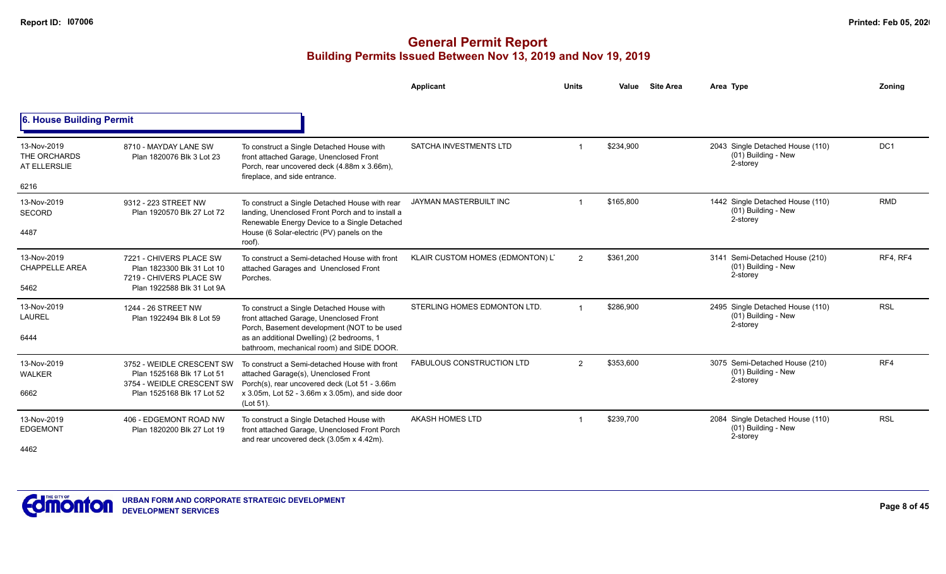|                                                            |                                                                                                                    |                                                                                                                                                                                                                               | Applicant                        | <b>Units</b>  | <b>Site Area</b><br>Value | Area Type                                                           | Zoning          |
|------------------------------------------------------------|--------------------------------------------------------------------------------------------------------------------|-------------------------------------------------------------------------------------------------------------------------------------------------------------------------------------------------------------------------------|----------------------------------|---------------|---------------------------|---------------------------------------------------------------------|-----------------|
| 6. House Building Permit                                   |                                                                                                                    |                                                                                                                                                                                                                               |                                  |               |                           |                                                                     |                 |
| 13-Nov-2019<br>THE ORCHARDS<br>AT ELLERSLIE<br>6216        | 8710 - MAYDAY LANE SW<br>Plan 1820076 Blk 3 Lot 23                                                                 | To construct a Single Detached House with<br>front attached Garage, Unenclosed Front<br>Porch, rear uncovered deck (4.88m x 3.66m),<br>fireplace, and side entrance.                                                          | <b>SATCHA INVESTMENTS LTD</b>    |               | \$234,900                 | 2043 Single Detached House (110)<br>(01) Building - New<br>2-storey | DC <sub>1</sub> |
| 13-Nov-2019<br><b>SECORD</b><br>4487                       | 9312 - 223 STREET NW<br>Plan 1920570 Blk 27 Lot 72                                                                 | To construct a Single Detached House with rear<br>landing, Unenclosed Front Porch and to install a<br>Renewable Energy Device to a Single Detached<br>House (6 Solar-electric (PV) panels on the<br>roof).                    | JAYMAN MASTERBUILT INC           |               | \$165,800                 | 1442 Single Detached House (110)<br>(01) Building - New<br>2-storey | <b>RMD</b>      |
| 13-Nov-2019<br><b>CHAPPELLE AREA</b><br>5462               | 7221 - CHIVERS PLACE SW<br>Plan 1823300 Blk 31 Lot 10<br>7219 - CHIVERS PLACE SW<br>Plan 1922588 Blk 31 Lot 9A     | To construct a Semi-detached House with front<br>attached Garages and Unenclosed Front<br>Porches.                                                                                                                            | KLAIR CUSTOM HOMES (EDMONTON) L' | 2             | \$361,200                 | 3141 Semi-Detached House (210)<br>(01) Building - New<br>2-storey   | RF4, RF4        |
| 13-Nov-2019<br><b>LAUREL</b><br>6444                       | 1244 - 26 STREET NW<br>Plan 1922494 Blk 8 Lot 59                                                                   | To construct a Single Detached House with<br>front attached Garage, Unenclosed Front<br>Porch, Basement development (NOT to be used<br>as an additional Dwelling) (2 bedrooms, 1<br>bathroom, mechanical room) and SIDE DOOR. | STERLING HOMES EDMONTON LTD.     |               | \$286,900                 | 2495 Single Detached House (110)<br>(01) Building - New<br>2-storey | <b>RSL</b>      |
| 13-Nov-2019<br><b>WALKER</b><br>6662                       | 3752 - WEIDLE CRESCENT SW<br>Plan 1525168 Blk 17 Lot 51<br>3754 - WEIDLE CRESCENT SW<br>Plan 1525168 Blk 17 Lot 52 | To construct a Semi-detached House with front<br>attached Garage(s), Unenclosed Front<br>Porch(s), rear uncovered deck (Lot 51 - 3.66m<br>x 3.05m, Lot 52 - 3.66m x 3.05m), and side door<br>(Lot 51).                        | <b>FABULOUS CONSTRUCTION LTD</b> | $\mathcal{P}$ | \$353,600                 | 3075 Semi-Detached House (210)<br>(01) Building - New<br>2-storey   | RF4             |
| 13-Nov-2019<br><b>EDGEMONT</b><br>$\overline{\phantom{a}}$ | 406 - EDGEMONT ROAD NW<br>Plan 1820200 Blk 27 Lot 19                                                               | To construct a Single Detached House with<br>front attached Garage, Unenclosed Front Porch<br>and rear uncovered deck (3.05m x 4.42m).                                                                                        | <b>AKASH HOMES LTD</b>           |               | \$239,700                 | 2084 Single Detached House (110)<br>(01) Building - New<br>2-storey | <b>RSL</b>      |

4462

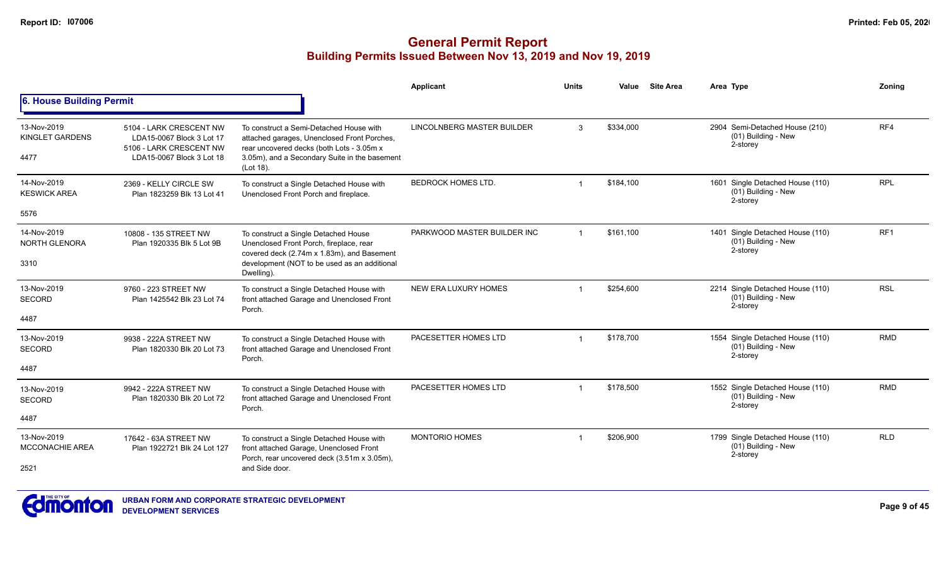|                                               |                                                                                                              |                                                                                                                                                                                                   | Applicant                   | <b>Units</b>   | Value     | <b>Site Area</b> | Area Type                                                             | Zoning          |
|-----------------------------------------------|--------------------------------------------------------------------------------------------------------------|---------------------------------------------------------------------------------------------------------------------------------------------------------------------------------------------------|-----------------------------|----------------|-----------|------------------|-----------------------------------------------------------------------|-----------------|
| 6. House Building Permit                      |                                                                                                              |                                                                                                                                                                                                   |                             |                |           |                  |                                                                       |                 |
| 13-Nov-2019<br>KINGLET GARDENS<br>4477        | 5104 - LARK CRESCENT NW<br>LDA15-0067 Block 3 Lot 17<br>5106 - LARK CRESCENT NW<br>LDA15-0067 Block 3 Lot 18 | To construct a Semi-Detached House with<br>attached garages, Unenclosed Front Porches,<br>rear uncovered decks (both Lots - 3.05m x<br>3.05m), and a Secondary Suite in the basement<br>(Lot 18). | LINCOLNBERG MASTER BUILDER  | 3              | \$334,000 |                  | 2904 Semi-Detached House (210)<br>(01) Building - New<br>2-storey     | RF4             |
| 14-Nov-2019<br><b>KESWICK AREA</b><br>5576    | 2369 - KELLY CIRCLE SW<br>Plan 1823259 Blk 13 Lot 41                                                         | To construct a Single Detached House with<br>Unenclosed Front Porch and fireplace.                                                                                                                | <b>BEDROCK HOMES LTD.</b>   |                | \$184,100 |                  | 1601 Single Detached House (110)<br>(01) Building - New<br>2-storey   | <b>RPL</b>      |
| 14-Nov-2019<br><b>NORTH GLENORA</b><br>3310   | 10808 - 135 STREET NW<br>Plan 1920335 Blk 5 Lot 9B                                                           | To construct a Single Detached House<br>Unenclosed Front Porch, fireplace, rear<br>covered deck (2.74m x 1.83m), and Basement<br>development (NOT to be used as an additional<br>Dwelling).       | PARKWOOD MASTER BUILDER INC | $\overline{1}$ | \$161,100 |                  | 1401 Single Detached House (110)<br>(01) Building - New<br>2-storey   | RF <sub>1</sub> |
| 13-Nov-2019<br><b>SECORD</b><br>4487          | 9760 - 223 STREET NW<br>Plan 1425542 Blk 23 Lot 74                                                           | To construct a Single Detached House with<br>front attached Garage and Unenclosed Front<br>Porch.                                                                                                 | NEW ERA LUXURY HOMES        |                | \$254.600 |                  | 2214 Single Detached House (110)<br>$(01)$ Building - New<br>2-storey | <b>RSL</b>      |
| 13-Nov-2019<br><b>SECORD</b><br>4487          | 9938 - 222A STREET NW<br>Plan 1820330 Blk 20 Lot 73                                                          | To construct a Single Detached House with<br>front attached Garage and Unenclosed Front<br>Porch.                                                                                                 | PACESETTER HOMES LTD        |                | \$178,700 |                  | 1554 Single Detached House (110)<br>(01) Building - New<br>2-storey   | <b>RMD</b>      |
| 13-Nov-2019<br><b>SECORD</b><br>4487          | 9942 - 222A STREET NW<br>Plan 1820330 Blk 20 Lot 72                                                          | To construct a Single Detached House with<br>front attached Garage and Unenclosed Front<br>Porch.                                                                                                 | PACESETTER HOMES LTD        |                | \$178.500 |                  | 1552 Single Detached House (110)<br>(01) Building - New<br>2-storey   | <b>RMD</b>      |
| 13-Nov-2019<br><b>MCCONACHIE AREA</b><br>2521 | 17642 - 63A STREET NW<br>Plan 1922721 Blk 24 Lot 127                                                         | To construct a Single Detached House with<br>front attached Garage, Unenclosed Front<br>Porch, rear uncovered deck (3.51m x 3.05m),<br>and Side door.                                             | <b>MONTORIO HOMES</b>       |                | \$206,900 |                  | 1799 Single Detached House (110)<br>(01) Building - New<br>2-storey   | <b>RLD</b>      |

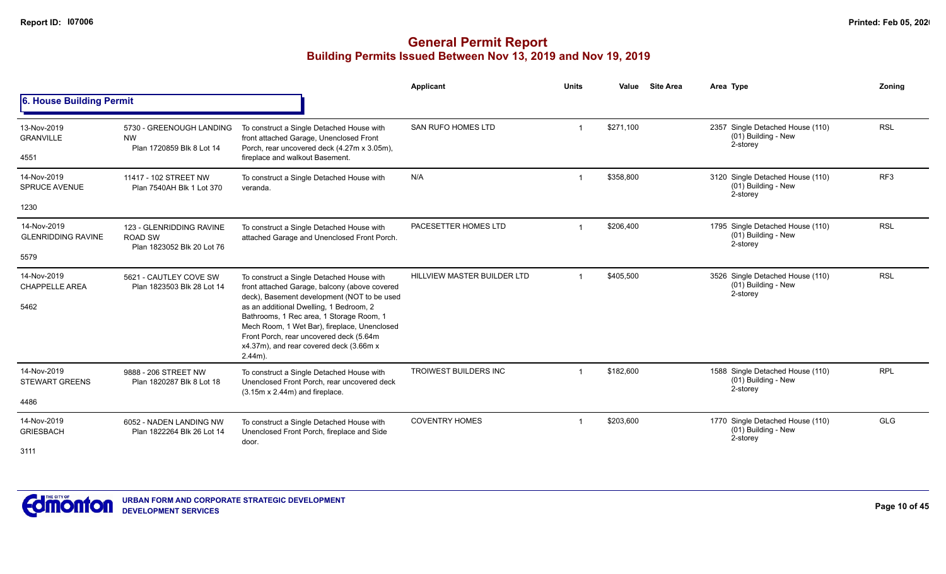|                                              |                                                                          |                                                                                                                                                                                                                                                                                                                                                                                      | <b>Applicant</b>            | <b>Units</b> | Value     | <b>Site Area</b> | Area Type                                                           | Zoning          |
|----------------------------------------------|--------------------------------------------------------------------------|--------------------------------------------------------------------------------------------------------------------------------------------------------------------------------------------------------------------------------------------------------------------------------------------------------------------------------------------------------------------------------------|-----------------------------|--------------|-----------|------------------|---------------------------------------------------------------------|-----------------|
| 6. House Building Permit                     |                                                                          |                                                                                                                                                                                                                                                                                                                                                                                      |                             |              |           |                  |                                                                     |                 |
| 13-Nov-2019<br><b>GRANVILLE</b><br>4551      | 5730 - GREENOUGH LANDING<br><b>NW</b><br>Plan 1720859 Blk 8 Lot 14       | To construct a Single Detached House with<br>front attached Garage, Unenclosed Front<br>Porch, rear uncovered deck (4.27m x 3.05m),<br>fireplace and walkout Basement.                                                                                                                                                                                                               | SAN RUFO HOMES LTD          |              | \$271,100 |                  | 2357 Single Detached House (110)<br>(01) Building - New<br>2-storey | <b>RSL</b>      |
| 14-Nov-2019<br><b>SPRUCE AVENUE</b>          | 11417 - 102 STREET NW<br>Plan 7540AH Blk 1 Lot 370                       | To construct a Single Detached House with<br>veranda.                                                                                                                                                                                                                                                                                                                                | N/A                         |              | \$358,800 |                  | 3120 Single Detached House (110)<br>(01) Building - New<br>2-storey | RF <sub>3</sub> |
| 1230                                         |                                                                          |                                                                                                                                                                                                                                                                                                                                                                                      |                             |              |           |                  |                                                                     |                 |
| 14-Nov-2019<br><b>GLENRIDDING RAVINE</b>     | 123 - GLENRIDDING RAVINE<br><b>ROAD SW</b><br>Plan 1823052 Blk 20 Lot 76 | To construct a Single Detached House with<br>attached Garage and Unenclosed Front Porch.                                                                                                                                                                                                                                                                                             | PACESETTER HOMES LTD        |              | \$206,400 |                  | 1795 Single Detached House (110)<br>(01) Building - New<br>2-storey | <b>RSL</b>      |
| 5579                                         |                                                                          |                                                                                                                                                                                                                                                                                                                                                                                      |                             |              |           |                  |                                                                     |                 |
| 14-Nov-2019<br><b>CHAPPELLE AREA</b><br>5462 | 5621 - CAUTLEY COVE SW<br>Plan 1823503 Blk 28 Lot 14                     | To construct a Single Detached House with<br>front attached Garage, balcony (above covered<br>deck), Basement development (NOT to be used<br>as an additional Dwelling, 1 Bedroom, 2<br>Bathrooms, 1 Rec area, 1 Storage Room, 1<br>Mech Room, 1 Wet Bar), fireplace, Unenclosed<br>Front Porch, rear uncovered deck (5.64m<br>x4.37m), and rear covered deck (3.66m x<br>$2.44m$ ). | HILLVIEW MASTER BUILDER LTD |              | \$405,500 |                  | 3526 Single Detached House (110)<br>(01) Building - New<br>2-storey | <b>RSL</b>      |
| 14-Nov-2019<br><b>STEWART GREENS</b><br>4486 | 9888 - 206 STREET NW<br>Plan 1820287 Blk 8 Lot 18                        | To construct a Single Detached House with<br>Unenclosed Front Porch, rear uncovered deck<br>$(3.15m \times 2.44m)$ and fireplace.                                                                                                                                                                                                                                                    | TROIWEST BUILDERS INC       |              | \$182,600 |                  | 1588 Single Detached House (110)<br>(01) Building - New<br>2-storey | <b>RPL</b>      |
| 14-Nov-2019<br><b>GRIESBACH</b><br>3111      | 6052 - NADEN LANDING NW<br>Plan 1822264 Blk 26 Lot 14                    | To construct a Single Detached House with<br>Unenclosed Front Porch, fireplace and Side<br>door.                                                                                                                                                                                                                                                                                     | <b>COVENTRY HOMES</b>       |              | \$203,600 |                  | 1770 Single Detached House (110)<br>(01) Building - New<br>2-storey | <b>GLG</b>      |

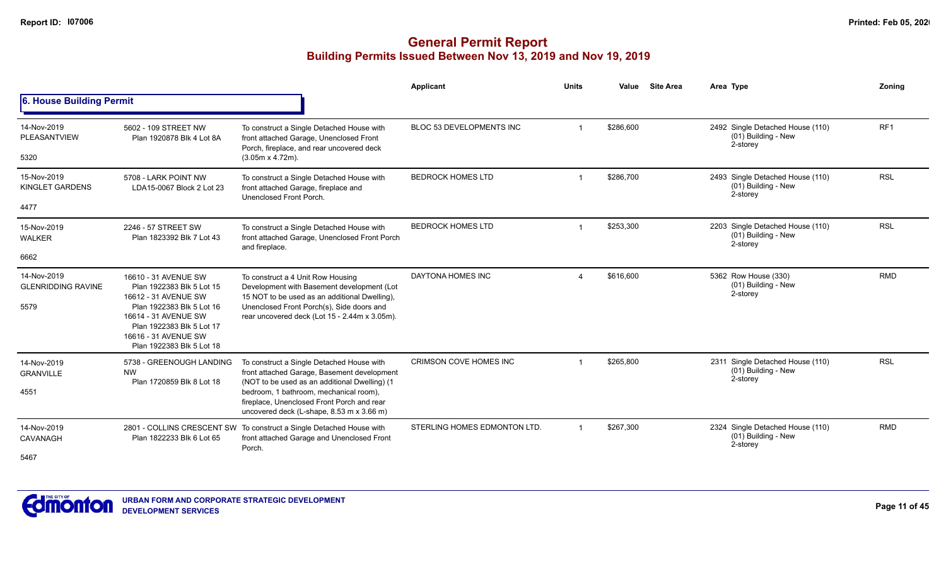|                                                  |                                                                                                                                                                                                                  |                                                                                                                                                                                                                                                                                | <b>Applicant</b>             | <b>Units</b>            | Value     | <b>Site Area</b> | Area Type                                                           | Zonina          |
|--------------------------------------------------|------------------------------------------------------------------------------------------------------------------------------------------------------------------------------------------------------------------|--------------------------------------------------------------------------------------------------------------------------------------------------------------------------------------------------------------------------------------------------------------------------------|------------------------------|-------------------------|-----------|------------------|---------------------------------------------------------------------|-----------------|
| 6. House Building Permit                         |                                                                                                                                                                                                                  |                                                                                                                                                                                                                                                                                |                              |                         |           |                  |                                                                     |                 |
| 14-Nov-2019<br>PLEASANTVIEW<br>5320              | 5602 - 109 STREET NW<br>Plan 1920878 Blk 4 Lot 8A                                                                                                                                                                | To construct a Single Detached House with<br>front attached Garage, Unenclosed Front<br>Porch, fireplace, and rear uncovered deck<br>$(3.05m \times 4.72m)$ .                                                                                                                  | BLOC 53 DEVELOPMENTS INC     |                         | \$286,600 |                  | 2492 Single Detached House (110)<br>(01) Building - New<br>2-storey | RF <sub>1</sub> |
| 15-Nov-2019<br><b>KINGLET GARDENS</b><br>4477    | 5708 - LARK POINT NW<br>LDA15-0067 Block 2 Lot 23                                                                                                                                                                | To construct a Single Detached House with<br>front attached Garage, fireplace and<br>Unenclosed Front Porch.                                                                                                                                                                   | <b>BEDROCK HOMES LTD</b>     | -1                      | \$286,700 |                  | 2493 Single Detached House (110)<br>(01) Building - New<br>2-storey | <b>RSL</b>      |
| 15-Nov-2019<br><b>WALKER</b><br>6662             | 2246 - 57 STREET SW<br>Plan 1823392 Blk 7 Lot 43                                                                                                                                                                 | To construct a Single Detached House with<br>front attached Garage, Unenclosed Front Porch<br>and fireplace.                                                                                                                                                                   | <b>BEDROCK HOMES LTD</b>     | $\overline{\mathbf{1}}$ | \$253,300 |                  | 2203 Single Detached House (110)<br>(01) Building - New<br>2-storey | <b>RSL</b>      |
| 14-Nov-2019<br><b>GLENRIDDING RAVINE</b><br>5579 | 16610 - 31 AVENUE SW<br>Plan 1922383 Blk 5 Lot 15<br>16612 - 31 AVENUE SW<br>Plan 1922383 Blk 5 Lot 16<br>16614 - 31 AVENUE SW<br>Plan 1922383 Blk 5 Lot 17<br>16616 - 31 AVENUE SW<br>Plan 1922383 Blk 5 Lot 18 | To construct a 4 Unit Row Housing<br>Development with Basement development (Lot<br>15 NOT to be used as an additional Dwelling),<br>Unenclosed Front Porch(s), Side doors and<br>rear uncovered deck (Lot 15 - 2.44m x 3.05m).                                                 | DAYTONA HOMES INC            | $\overline{A}$          | \$616,600 |                  | 5362 Row House (330)<br>(01) Building - New<br>2-storey             | <b>RMD</b>      |
| 14-Nov-2019<br><b>GRANVILLE</b><br>4551          | 5738 - GREENOUGH LANDING<br><b>NW</b><br>Plan 1720859 Blk 8 Lot 18                                                                                                                                               | To construct a Single Detached House with<br>front attached Garage, Basement development<br>(NOT to be used as an additional Dwelling) (1<br>bedroom, 1 bathroom, mechanical room),<br>fireplace, Unenclosed Front Porch and rear<br>uncovered deck (L-shape, 8.53 m x 3.66 m) | CRIMSON COVE HOMES INC       | -1                      | \$265,800 |                  | 2311 Single Detached House (110)<br>(01) Building - New<br>2-storey | <b>RSL</b>      |
| 14-Nov-2019<br>CAVANAGH<br>5467                  | Plan 1822233 Blk 6 Lot 65                                                                                                                                                                                        | 2801 - COLLINS CRESCENT SW To construct a Single Detached House with<br>front attached Garage and Unenclosed Front<br>Porch.                                                                                                                                                   | STERLING HOMES EDMONTON LTD. |                         | \$267,300 |                  | 2324 Single Detached House (110)<br>(01) Building - New<br>2-storey | <b>RMD</b>      |

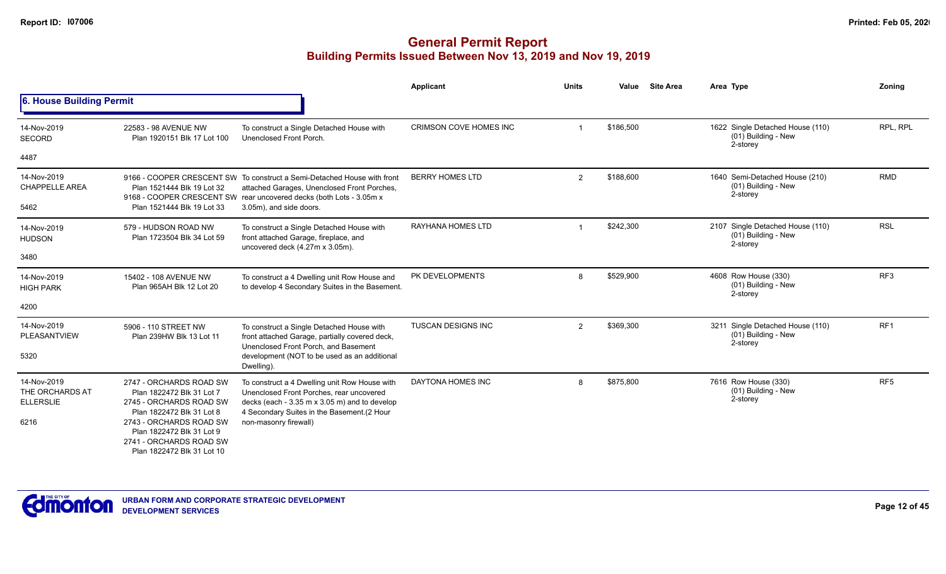|                                                                                                                                                                                                 |                                                                                                                                                                                                                   | <b>Applicant</b>                                                                                                                                                                                                                                     | <b>Units</b>   | Value     | <b>Site Area</b> | Area Type                                                           | Zoning          |
|-------------------------------------------------------------------------------------------------------------------------------------------------------------------------------------------------|-------------------------------------------------------------------------------------------------------------------------------------------------------------------------------------------------------------------|------------------------------------------------------------------------------------------------------------------------------------------------------------------------------------------------------------------------------------------------------|----------------|-----------|------------------|---------------------------------------------------------------------|-----------------|
| 6. House Building Permit                                                                                                                                                                        |                                                                                                                                                                                                                   |                                                                                                                                                                                                                                                      |                |           |                  |                                                                     |                 |
| 22583 - 98 AVENUE NW<br>Plan 1920151 Blk 17 Lot 100                                                                                                                                             | To construct a Single Detached House with<br>Unenclosed Front Porch.                                                                                                                                              | CRIMSON COVE HOMES INC                                                                                                                                                                                                                               |                | \$186.500 |                  | 1622 Single Detached House (110)<br>(01) Building - New<br>2-storey | RPL. RPL        |
|                                                                                                                                                                                                 |                                                                                                                                                                                                                   |                                                                                                                                                                                                                                                      |                |           |                  |                                                                     |                 |
| Plan 1521444 Blk 19 Lot 32                                                                                                                                                                      | attached Garages, Unenclosed Front Porches,                                                                                                                                                                       | <b>BERRY HOMES LTD</b>                                                                                                                                                                                                                               | $\overline{2}$ | \$188,600 |                  | 1640 Semi-Detached House (210)<br>(01) Building - New<br>2-storey   | <b>RMD</b>      |
|                                                                                                                                                                                                 |                                                                                                                                                                                                                   |                                                                                                                                                                                                                                                      |                |           |                  |                                                                     |                 |
| 579 - HUDSON ROAD NW<br>Plan 1723504 Blk 34 Lot 59                                                                                                                                              | To construct a Single Detached House with<br>front attached Garage, fireplace, and                                                                                                                                | RAYHANA HOMES LTD                                                                                                                                                                                                                                    |                | \$242,300 |                  | 2107 Single Detached House (110)<br>(01) Building - New<br>2-storey | <b>RSL</b>      |
|                                                                                                                                                                                                 |                                                                                                                                                                                                                   |                                                                                                                                                                                                                                                      |                |           |                  |                                                                     |                 |
| 15402 - 108 AVENUE NW<br>Plan 965AH Blk 12 Lot 20                                                                                                                                               | To construct a 4 Dwelling unit Row House and<br>to develop 4 Secondary Suites in the Basement.                                                                                                                    | PK DEVELOPMENTS                                                                                                                                                                                                                                      | 8              | \$529,900 |                  | 4608 Row House (330)<br>(01) Building - New<br>2-storey             | RF <sub>3</sub> |
|                                                                                                                                                                                                 |                                                                                                                                                                                                                   |                                                                                                                                                                                                                                                      |                |           |                  |                                                                     |                 |
| 5906 - 110 STREET NW<br>Plan 239HW Blk 13 Lot 11                                                                                                                                                | To construct a Single Detached House with<br>front attached Garage, partially covered deck,                                                                                                                       | <b>TUSCAN DESIGNS INC</b>                                                                                                                                                                                                                            | $\overline{2}$ | \$369,300 |                  | 3211 Single Detached House (110)<br>(01) Building - New<br>2-storey | RF <sub>1</sub> |
|                                                                                                                                                                                                 | development (NOT to be used as an additional<br>Dwelling)                                                                                                                                                         |                                                                                                                                                                                                                                                      |                |           |                  |                                                                     |                 |
| 2747 - ORCHARDS ROAD SW<br>Plan 1822472 Blk 31 Lot 7<br>2745 - ORCHARDS ROAD SW<br>Plan 1822472 Blk 31 Lot 8<br>2743 - ORCHARDS ROAD SW<br>Plan 1822472 Blk 31 Lot 9<br>2741 - ORCHARDS ROAD SW | To construct a 4 Dwelling unit Row House with<br>Unenclosed Front Porches, rear uncovered<br>decks (each - 3.35 m x 3.05 m) and to develop<br>4 Secondary Suites in the Basement.(2 Hour<br>non-masonry firewall) | DAYTONA HOMES INC                                                                                                                                                                                                                                    | 8              | \$875,800 |                  | 7616 Row House (330)<br>(01) Building - New<br>2-storey             | RF <sub>5</sub> |
|                                                                                                                                                                                                 | Plan 1521444 Blk 19 Lot 33<br>Plan 1822472 Blk 31 Lot 10                                                                                                                                                          | 9166 - COOPER CRESCENT SW To construct a Semi-Detached House with front<br>9168 - COOPER CRESCENT SW rear uncovered decks (both Lots - 3.05m x<br>3.05m), and side doors.<br>uncovered deck (4.27m x 3.05m).<br>Unenclosed Front Porch, and Basement |                |           |                  |                                                                     |                 |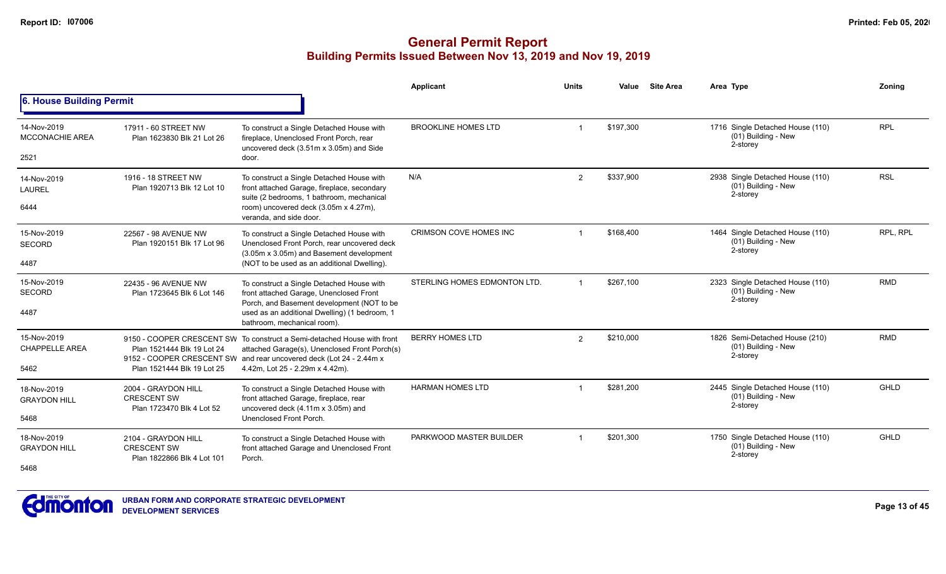|                                              |                                                                         |                                                                                                                                                                                                                                    | Applicant                    | <b>Units</b>   | Value     | <b>Site Area</b> | Area Type                                                           | Zonina     |
|----------------------------------------------|-------------------------------------------------------------------------|------------------------------------------------------------------------------------------------------------------------------------------------------------------------------------------------------------------------------------|------------------------------|----------------|-----------|------------------|---------------------------------------------------------------------|------------|
| 6. House Building Permit                     |                                                                         |                                                                                                                                                                                                                                    |                              |                |           |                  |                                                                     |            |
| 14-Nov-2019<br><b>MCCONACHIE AREA</b>        | 17911 - 60 STREET NW<br>Plan 1623830 Blk 21 Lot 26                      | To construct a Single Detached House with<br>fireplace, Unenclosed Front Porch, rear<br>uncovered deck (3.51m x 3.05m) and Side                                                                                                    | <b>BROOKLINE HOMES LTD</b>   |                | \$197,300 |                  | 1716 Single Detached House (110)<br>(01) Building - New<br>2-storey | <b>RPL</b> |
| 2521                                         |                                                                         | door.                                                                                                                                                                                                                              |                              |                |           |                  |                                                                     |            |
| 14-Nov-2019<br><b>LAUREL</b><br>6444         | 1916 - 18 STREET NW<br>Plan 1920713 Blk 12 Lot 10                       | To construct a Single Detached House with<br>front attached Garage, fireplace, secondary<br>suite (2 bedrooms, 1 bathroom, mechanical<br>room) uncovered deck (3.05m x 4.27m),                                                     | N/A                          | $\overline{2}$ | \$337.900 |                  | 2938 Single Detached House (110)<br>(01) Building - New<br>2-storey | <b>RSL</b> |
|                                              |                                                                         | veranda, and side door.                                                                                                                                                                                                            |                              |                |           |                  |                                                                     |            |
| 15-Nov-2019<br><b>SECORD</b>                 | 22567 - 98 AVENUE NW<br>Plan 1920151 Blk 17 Lot 96                      | To construct a Single Detached House with<br>Unenclosed Front Porch, rear uncovered deck<br>(3.05m x 3.05m) and Basement development                                                                                               | CRIMSON COVE HOMES INC       |                | \$168,400 |                  | 1464 Single Detached House (110)<br>(01) Building - New<br>2-storey | RPL, RPL   |
| 4487                                         |                                                                         | (NOT to be used as an additional Dwelling).                                                                                                                                                                                        |                              |                |           |                  |                                                                     |            |
| 15-Nov-2019<br><b>SECORD</b>                 | 22435 - 96 AVENUE NW<br>Plan 1723645 Blk 6 Lot 146                      | To construct a Single Detached House with<br>front attached Garage, Unenclosed Front<br>Porch, and Basement development (NOT to be                                                                                                 | STERLING HOMES EDMONTON LTD. |                | \$267,100 |                  | 2323 Single Detached House (110)<br>(01) Building - New<br>2-storey | <b>RMD</b> |
| 4487                                         |                                                                         | used as an additional Dwelling) (1 bedroom, 1<br>bathroom, mechanical room).                                                                                                                                                       |                              |                |           |                  |                                                                     |            |
| 15-Nov-2019<br><b>CHAPPELLE AREA</b><br>5462 | Plan 1521444 Blk 19 Lot 24<br>Plan 1521444 Blk 19 Lot 25                | 9150 - COOPER CRESCENT SW To construct a Semi-detached House with front<br>attached Garage(s), Unenclosed Front Porch(s)<br>9152 - COOPER CRESCENT SW and rear uncovered deck (Lot 24 - 2.44m x<br>4.42m, Lot 25 - 2.29m x 4.42m). | <b>BERRY HOMES LTD</b>       | $\overline{2}$ | \$210,000 |                  | 1826 Semi-Detached House (210)<br>(01) Building - New<br>2-storey   | <b>RMD</b> |
| 18-Nov-2019<br><b>GRAYDON HILL</b>           | 2004 - GRAYDON HILL<br><b>CRESCENT SW</b>                               | To construct a Single Detached House with<br>front attached Garage, fireplace, rear                                                                                                                                                | <b>HARMAN HOMES LTD</b>      |                | \$281.200 |                  | 2445 Single Detached House (110)<br>(01) Building - New             | GHLD       |
| 5468                                         | Plan 1723470 Blk 4 Lot 52                                               | uncovered deck (4.11m x 3.05m) and<br>Unenclosed Front Porch.                                                                                                                                                                      |                              |                |           |                  | 2-storey                                                            |            |
| 18-Nov-2019<br><b>GRAYDON HILL</b>           | 2104 - GRAYDON HILL<br><b>CRESCENT SW</b><br>Plan 1822866 Blk 4 Lot 101 | To construct a Single Detached House with<br>front attached Garage and Unenclosed Front<br>Porch.                                                                                                                                  | PARKWOOD MASTER BUILDER      |                | \$201,300 |                  | 1750 Single Detached House (110)<br>(01) Building - New<br>2-storey | GHLD       |
| 5468                                         |                                                                         |                                                                                                                                                                                                                                    |                              |                |           |                  |                                                                     |            |

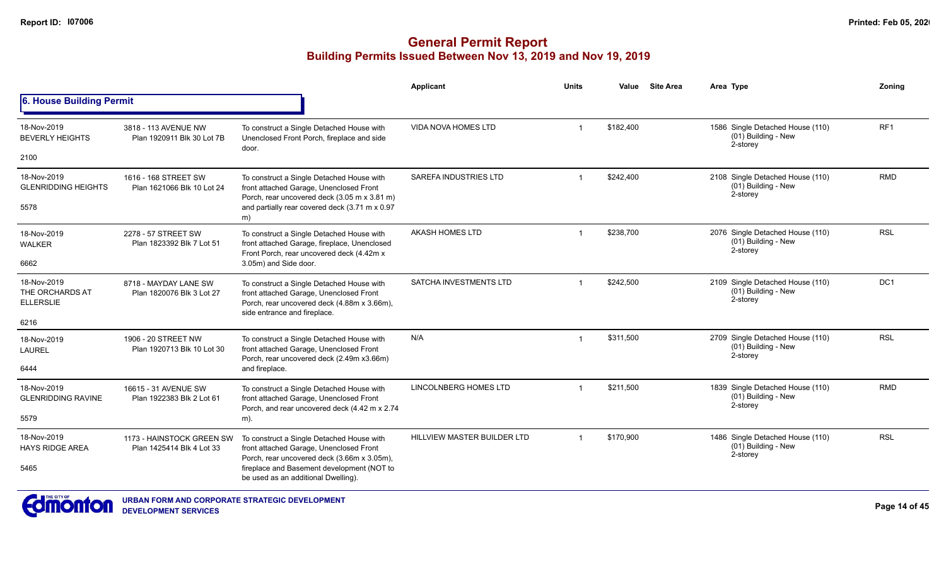|                                                    |                                                        |                                                                                                                                                                     | Applicant                    | <b>Units</b>   | Value     | <b>Site Area</b> | Area Type                                                           | Zoning          |
|----------------------------------------------------|--------------------------------------------------------|---------------------------------------------------------------------------------------------------------------------------------------------------------------------|------------------------------|----------------|-----------|------------------|---------------------------------------------------------------------|-----------------|
| 6. House Building Permit                           |                                                        |                                                                                                                                                                     |                              |                |           |                  |                                                                     |                 |
| 18-Nov-2019<br><b>BEVERLY HEIGHTS</b>              | 3818 - 113 AVENUE NW<br>Plan 1920911 Blk 30 Lot 7B     | To construct a Single Detached House with<br>Unenclosed Front Porch, fireplace and side<br>door.                                                                    | <b>VIDA NOVA HOMES LTD</b>   | $\overline{1}$ | \$182,400 |                  | 1586 Single Detached House (110)<br>(01) Building - New<br>2-storey | RF <sub>1</sub> |
| 2100                                               |                                                        |                                                                                                                                                                     |                              |                |           |                  |                                                                     |                 |
| 18-Nov-2019<br><b>GLENRIDDING HEIGHTS</b>          | 1616 - 168 STREET SW<br>Plan 1621066 Blk 10 Lot 24     | To construct a Single Detached House with<br>front attached Garage, Unenclosed Front<br>Porch, rear uncovered deck (3.05 m x 3.81 m)                                | <b>SAREFA INDUSTRIES LTD</b> | $\overline{1}$ | \$242,400 |                  | 2108 Single Detached House (110)<br>(01) Building - New<br>2-storey | <b>RMD</b>      |
| 5578                                               |                                                        | and partially rear covered deck (3.71 m x 0.97<br>m)                                                                                                                |                              |                |           |                  |                                                                     |                 |
| 18-Nov-2019<br>WALKER                              | 2278 - 57 STREET SW<br>Plan 1823392 Blk 7 Lot 51       | To construct a Single Detached House with<br>front attached Garage, fireplace, Unenclosed                                                                           | <b>AKASH HOMES LTD</b>       |                | \$238,700 |                  | 2076 Single Detached House (110)<br>(01) Building - New<br>2-storey | <b>RSL</b>      |
| 6662                                               |                                                        | Front Porch, rear uncovered deck (4.42m x<br>3.05m) and Side door.                                                                                                  |                              |                |           |                  |                                                                     |                 |
| 18-Nov-2019<br>THE ORCHARDS AT<br><b>ELLERSLIE</b> | 8718 - MAYDAY LANE SW<br>Plan 1820076 Blk 3 Lot 27     | To construct a Single Detached House with<br>front attached Garage, Unenclosed Front<br>Porch, rear uncovered deck (4.88m x 3.66m),<br>side entrance and fireplace. | SATCHA INVESTMENTS LTD       |                | \$242,500 |                  | 2109 Single Detached House (110)<br>(01) Building - New<br>2-storey | DC <sub>1</sub> |
| 6216                                               |                                                        |                                                                                                                                                                     |                              |                |           |                  |                                                                     |                 |
| 18-Nov-2019<br><b>LAUREL</b>                       | 1906 - 20 STREET NW<br>Plan 1920713 Blk 10 Lot 30      | To construct a Single Detached House with<br>front attached Garage, Unenclosed Front<br>Porch, rear uncovered deck (2.49m x3.66m)                                   | N/A                          | $\overline{1}$ | \$311,500 |                  | 2709 Single Detached House (110)<br>(01) Building - New<br>2-storey | <b>RSL</b>      |
| 6444                                               |                                                        | and fireplace.                                                                                                                                                      |                              |                |           |                  |                                                                     |                 |
| 18-Nov-2019<br><b>GLENRIDDING RAVINE</b>           | 16615 - 31 AVENUE SW<br>Plan 1922383 Blk 2 Lot 61      | To construct a Single Detached House with<br>front attached Garage, Unenclosed Front                                                                                | LINCOLNBERG HOMES LTD        | -1             | \$211,500 |                  | 1839 Single Detached House (110)<br>(01) Building - New<br>2-storey | <b>RMD</b>      |
| 5579                                               |                                                        | Porch, and rear uncovered deck (4.42 m x 2.74<br>m).                                                                                                                |                              |                |           |                  |                                                                     |                 |
| 18-Nov-2019<br><b>HAYS RIDGE AREA</b>              | 1173 - HAINSTOCK GREEN SW<br>Plan 1425414 Blk 4 Lot 33 | To construct a Single Detached House with<br>front attached Garage, Unenclosed Front<br>Porch, rear uncovered deck (3.66m x 3.05m),                                 | HILLVIEW MASTER BUILDER LTD  |                | \$170.900 |                  | 1486 Single Detached House (110)<br>(01) Building - New<br>2-storey | <b>RSL</b>      |
| 5465                                               |                                                        | fireplace and Basement development (NOT to<br>be used as an additional Dwelling).                                                                                   |                              |                |           |                  |                                                                     |                 |

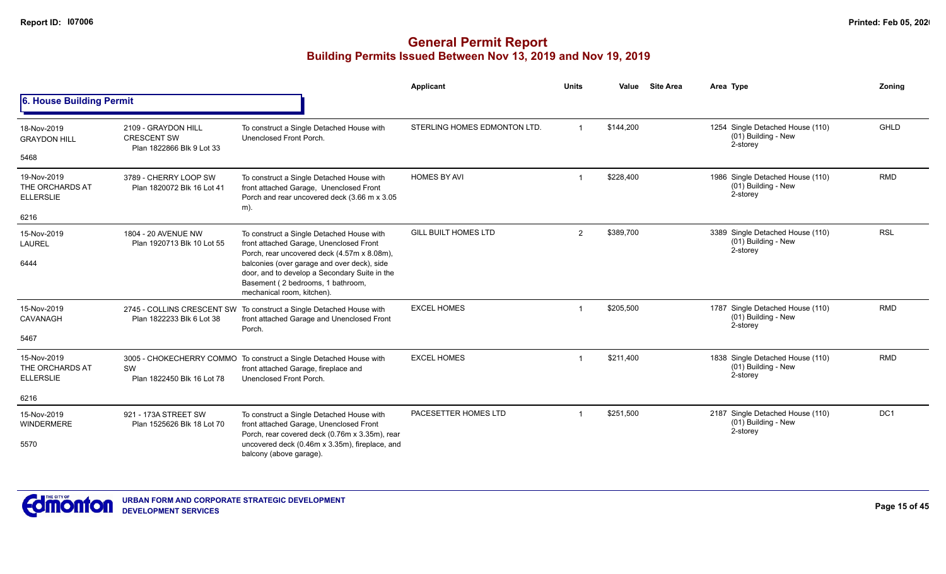|                                                            |                                                                        |                                                                                                                                                                                                                                                                                                        | Applicant                    | <b>Units</b> | Value     | <b>Site Area</b> | Area Type                                                           | Zoning      |
|------------------------------------------------------------|------------------------------------------------------------------------|--------------------------------------------------------------------------------------------------------------------------------------------------------------------------------------------------------------------------------------------------------------------------------------------------------|------------------------------|--------------|-----------|------------------|---------------------------------------------------------------------|-------------|
| 6. House Building Permit                                   |                                                                        |                                                                                                                                                                                                                                                                                                        |                              |              |           |                  |                                                                     |             |
| 18-Nov-2019<br><b>GRAYDON HILL</b><br>5468                 | 2109 - GRAYDON HILL<br><b>CRESCENT SW</b><br>Plan 1822866 Blk 9 Lot 33 | To construct a Single Detached House with<br>Unenclosed Front Porch.                                                                                                                                                                                                                                   | STERLING HOMES EDMONTON LTD. |              | \$144,200 |                  | 1254 Single Detached House (110)<br>(01) Building - New<br>2-storey | <b>GHLD</b> |
| 19-Nov-2019<br>THE ORCHARDS AT<br><b>ELLERSLIE</b><br>6216 | 3789 - CHERRY LOOP SW<br>Plan 1820072 Blk 16 Lot 41                    | To construct a Single Detached House with<br>front attached Garage, Unenclosed Front<br>Porch and rear uncovered deck (3.66 m x 3.05<br>m).                                                                                                                                                            | <b>HOMES BY AVI</b>          |              | \$228,400 |                  | 1986 Single Detached House (110)<br>(01) Building - New<br>2-storey | <b>RMD</b>  |
| 15-Nov-2019<br><b>LAUREL</b><br>6444                       | 1804 - 20 AVENUE NW<br>Plan 1920713 Blk 10 Lot 55                      | To construct a Single Detached House with<br>front attached Garage, Unenclosed Front<br>Porch, rear uncovered deck (4.57m x 8.08m),<br>balconies (over garage and over deck), side<br>door, and to develop a Secondary Suite in the<br>Basement (2 bedrooms, 1 bathroom,<br>mechanical room, kitchen). | <b>GILL BUILT HOMES LTD</b>  | 2            | \$389,700 |                  | 3389 Single Detached House (110)<br>(01) Building - New<br>2-storey | <b>RSL</b>  |
| 15-Nov-2019<br>CAVANAGH<br>5467                            | Plan 1822233 Blk 6 Lot 38                                              | 2745 - COLLINS CRESCENT SW To construct a Single Detached House with<br>front attached Garage and Unenclosed Front<br>Porch.                                                                                                                                                                           | <b>EXCEL HOMES</b>           |              | \$205,500 |                  | 1787 Single Detached House (110)<br>(01) Building - New<br>2-storey | <b>RMD</b>  |
| 15-Nov-2019<br>THE ORCHARDS AT<br><b>ELLERSLIE</b>         | SW<br>Plan 1822450 Blk 16 Lot 78                                       | 3005 - CHOKECHERRY COMMO To construct a Single Detached House with<br>front attached Garage, fireplace and<br>Unenclosed Front Porch.                                                                                                                                                                  | <b>EXCEL HOMES</b>           |              | \$211,400 |                  | 1838 Single Detached House (110)<br>(01) Building - New<br>2-storey | <b>RMD</b>  |
| 6216                                                       |                                                                        |                                                                                                                                                                                                                                                                                                        |                              |              |           |                  |                                                                     |             |
| 15-Nov-2019<br><b>WINDERMERE</b>                           | 921 - 173A STREET SW<br>Plan 1525626 Blk 18 Lot 70                     | To construct a Single Detached House with<br>front attached Garage, Unenclosed Front<br>Porch, rear covered deck (0.76m x 3.35m), rear                                                                                                                                                                 | PACESETTER HOMES LTD         |              | \$251,500 |                  | 2187 Single Detached House (110)<br>(01) Building - New<br>2-storey | DC1         |
| 5570                                                       |                                                                        | uncovered deck (0.46m x 3.35m), fireplace, and<br>balcony (above garage).                                                                                                                                                                                                                              |                              |              |           |                  |                                                                     |             |

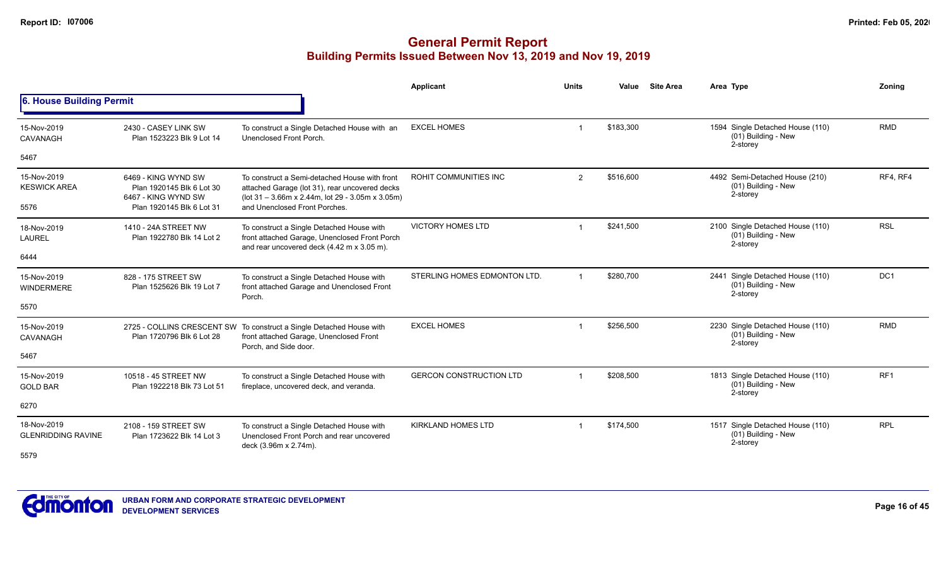|                                            |                                                                                                      |                                                                                                                                                                                      | <b>Applicant</b>               | <b>Units</b> | Value     | <b>Site Area</b> | Area Type                                                           | Zoning          |
|--------------------------------------------|------------------------------------------------------------------------------------------------------|--------------------------------------------------------------------------------------------------------------------------------------------------------------------------------------|--------------------------------|--------------|-----------|------------------|---------------------------------------------------------------------|-----------------|
| 6. House Building Permit                   |                                                                                                      |                                                                                                                                                                                      |                                |              |           |                  |                                                                     |                 |
| 15-Nov-2019<br>CAVANAGH                    | 2430 - CASEY LINK SW<br>Plan 1523223 Blk 9 Lot 14                                                    | To construct a Single Detached House with an<br>Unenclosed Front Porch.                                                                                                              | <b>EXCEL HOMES</b>             |              | \$183,300 |                  | 1594 Single Detached House (110)<br>(01) Building - New<br>2-storey | <b>RMD</b>      |
| 5467                                       |                                                                                                      |                                                                                                                                                                                      |                                |              |           |                  |                                                                     |                 |
| 15-Nov-2019<br><b>KESWICK AREA</b><br>5576 | 6469 - KING WYND SW<br>Plan 1920145 Blk 6 Lot 30<br>6467 - KING WYND SW<br>Plan 1920145 Blk 6 Lot 31 | To construct a Semi-detached House with front<br>attached Garage (lot 31), rear uncovered decks<br>(lot 31 - 3.66m x 2.44m, lot 29 - 3.05m x 3.05m)<br>and Unenclosed Front Porches. | <b>ROHIT COMMUNITIES INC</b>   | 2            | \$516,600 |                  | 4492 Semi-Detached House (210)<br>(01) Building - New<br>2-storey   | RF4, RF4        |
| 18-Nov-2019<br><b>LAUREL</b>               | 1410 - 24A STREET NW<br>Plan 1922780 Blk 14 Lot 2                                                    | To construct a Single Detached House with<br>front attached Garage, Unenclosed Front Porch<br>and rear uncovered deck (4.42 m x 3.05 m).                                             | <b>VICTORY HOMES LTD</b>       |              | \$241,500 |                  | 2100 Single Detached House (110)<br>(01) Building - New<br>2-storey | <b>RSL</b>      |
| 6444                                       |                                                                                                      |                                                                                                                                                                                      |                                |              |           |                  |                                                                     |                 |
| 15-Nov-2019<br><b>WINDERMERE</b>           | 828 - 175 STREET SW<br>Plan 1525626 Blk 19 Lot 7                                                     | To construct a Single Detached House with<br>front attached Garage and Unenclosed Front<br>Porch.                                                                                    | STERLING HOMES EDMONTON LTD.   |              | \$280,700 |                  | 2441 Single Detached House (110)<br>(01) Building - New<br>2-storey | DC <sub>1</sub> |
| 5570                                       |                                                                                                      |                                                                                                                                                                                      |                                |              |           |                  |                                                                     |                 |
| 15-Nov-2019<br>CAVANAGH                    | Plan 1720796 Blk 6 Lot 28                                                                            | 2725 - COLLINS CRESCENT SW To construct a Single Detached House with<br>front attached Garage, Unenclosed Front<br>Porch, and Side door.                                             | <b>EXCEL HOMES</b>             |              | \$256,500 |                  | 2230 Single Detached House (110)<br>(01) Building - New<br>2-storey | <b>RMD</b>      |
| 5467                                       |                                                                                                      |                                                                                                                                                                                      |                                |              |           |                  |                                                                     |                 |
| 15-Nov-2019<br><b>GOLD BAR</b>             | 10518 - 45 STREET NW<br>Plan 1922218 Blk 73 Lot 51                                                   | To construct a Single Detached House with<br>fireplace, uncovered deck, and veranda.                                                                                                 | <b>GERCON CONSTRUCTION LTD</b> |              | \$208,500 |                  | 1813 Single Detached House (110)<br>(01) Building - New<br>2-storey | RF <sub>1</sub> |
| 6270                                       |                                                                                                      |                                                                                                                                                                                      |                                |              |           |                  |                                                                     |                 |
| 18-Nov-2019<br><b>GLENRIDDING RAVINE</b>   | 2108 - 159 STREET SW<br>Plan 1723622 Blk 14 Lot 3                                                    | To construct a Single Detached House with<br>Unenclosed Front Porch and rear uncovered<br>deck (3.96m x 2.74m).                                                                      | <b>KIRKLAND HOMES LTD</b>      |              | \$174,500 |                  | 1517 Single Detached House (110)<br>(01) Building - New<br>2-storey | <b>RPL</b>      |
| 5579                                       |                                                                                                      |                                                                                                                                                                                      |                                |              |           |                  |                                                                     |                 |

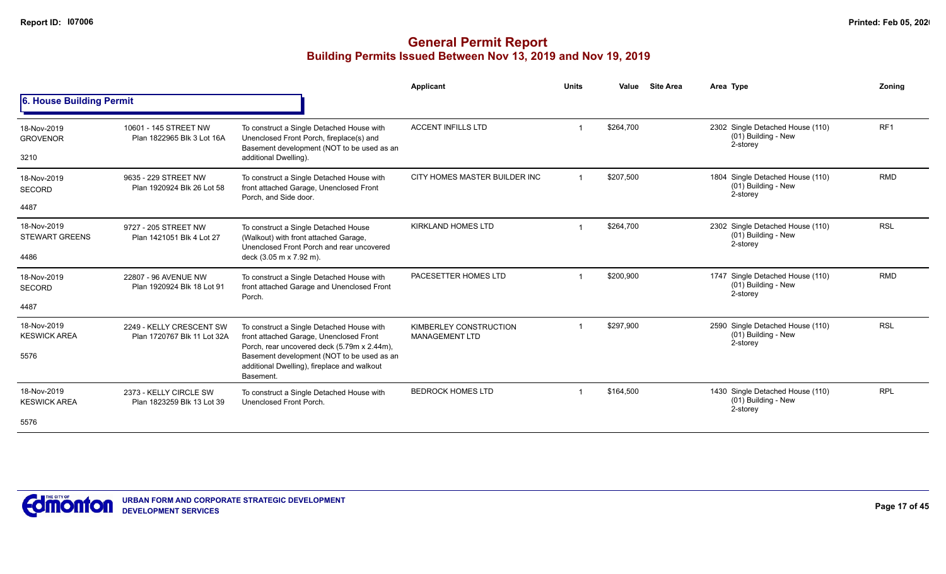|                                        |                                                         |                                                                                                                                                              | Applicant                                       | <b>Units</b> | Value     | <b>Site Area</b> | Area Type                                                           | Zonina          |
|----------------------------------------|---------------------------------------------------------|--------------------------------------------------------------------------------------------------------------------------------------------------------------|-------------------------------------------------|--------------|-----------|------------------|---------------------------------------------------------------------|-----------------|
| 6. House Building Permit               |                                                         |                                                                                                                                                              |                                                 |              |           |                  |                                                                     |                 |
| 18-Nov-2019<br><b>GROVENOR</b><br>3210 | 10601 - 145 STREET NW<br>Plan 1822965 Blk 3 Lot 16A     | To construct a Single Detached House with<br>Unenclosed Front Porch, fireplace(s) and<br>Basement development (NOT to be used as an<br>additional Dwelling). | <b>ACCENT INFILLS LTD</b>                       |              | \$264,700 |                  | 2302 Single Detached House (110)<br>(01) Building - New<br>2-storey | RF <sub>1</sub> |
|                                        |                                                         |                                                                                                                                                              |                                                 |              |           |                  |                                                                     |                 |
| 18-Nov-2019<br><b>SECORD</b>           | 9635 - 229 STREET NW<br>Plan 1920924 Blk 26 Lot 58      | To construct a Single Detached House with<br>front attached Garage, Unenclosed Front<br>Porch, and Side door.                                                | CITY HOMES MASTER BUILDER INC                   | -1           | \$207,500 |                  | 1804 Single Detached House (110)<br>(01) Building - New<br>2-storey | <b>RMD</b>      |
| 4487                                   |                                                         |                                                                                                                                                              |                                                 |              |           |                  |                                                                     |                 |
| 18-Nov-2019<br><b>STEWART GREENS</b>   | 9727 - 205 STREET NW<br>Plan 1421051 Blk 4 Lot 27       | To construct a Single Detached House<br>(Walkout) with front attached Garage,                                                                                | <b>KIRKLAND HOMES LTD</b>                       |              | \$264,700 |                  | 2302 Single Detached House (110)<br>(01) Building - New<br>2-storey | <b>RSL</b>      |
| 4486                                   |                                                         | Unenclosed Front Porch and rear uncovered<br>deck (3.05 m x 7.92 m).                                                                                         |                                                 |              |           |                  |                                                                     |                 |
| 18-Nov-2019<br><b>SECORD</b>           | 22807 - 96 AVENUE NW<br>Plan 1920924 Blk 18 Lot 91      | To construct a Single Detached House with<br>front attached Garage and Unenclosed Front<br>Porch.                                                            | PACESETTER HOMES LTD                            |              | \$200,900 |                  | 1747 Single Detached House (110)<br>(01) Building - New<br>2-storey | <b>RMD</b>      |
| 4487                                   |                                                         |                                                                                                                                                              |                                                 |              |           |                  |                                                                     |                 |
| 18-Nov-2019<br><b>KESWICK AREA</b>     | 2249 - KELLY CRESCENT SW<br>Plan 1720767 Blk 11 Lot 32A | To construct a Single Detached House with<br>front attached Garage, Unenclosed Front                                                                         | KIMBERLEY CONSTRUCTION<br><b>MANAGEMENT LTD</b> |              | \$297,900 |                  | 2590 Single Detached House (110)<br>(01) Building - New<br>2-storey | <b>RSL</b>      |
| 5576                                   |                                                         | Porch, rear uncovered deck (5.79m x 2.44m),<br>Basement development (NOT to be used as an<br>additional Dwelling), fireplace and walkout<br>Basement.        |                                                 |              |           |                  |                                                                     |                 |
| 18-Nov-2019<br><b>KESWICK AREA</b>     | 2373 - KELLY CIRCLE SW<br>Plan 1823259 Blk 13 Lot 39    | To construct a Single Detached House with<br>Unenclosed Front Porch.                                                                                         | <b>BEDROCK HOMES LTD</b>                        |              | \$164,500 |                  | 1430 Single Detached House (110)<br>(01) Building - New<br>2-storey | <b>RPL</b>      |
| 5576                                   |                                                         |                                                                                                                                                              |                                                 |              |           |                  |                                                                     |                 |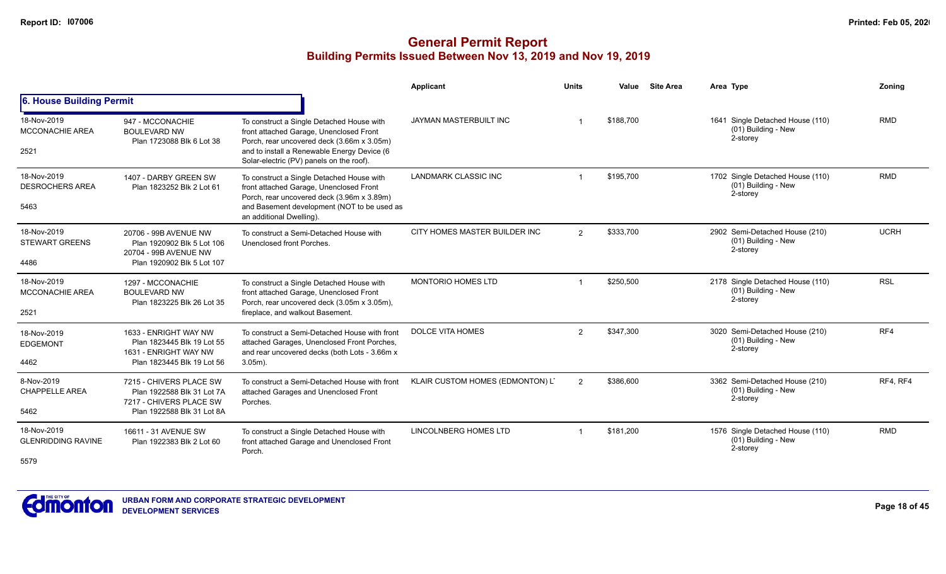|                                                  |                                                                                                                |                                                                                                                                                                                                                               | <b>Applicant</b>                 | <b>Units</b> | Value     | <b>Site Area</b> | Area Type                                                           | <b>Zoning</b> |
|--------------------------------------------------|----------------------------------------------------------------------------------------------------------------|-------------------------------------------------------------------------------------------------------------------------------------------------------------------------------------------------------------------------------|----------------------------------|--------------|-----------|------------------|---------------------------------------------------------------------|---------------|
| 6. House Building Permit                         |                                                                                                                |                                                                                                                                                                                                                               |                                  |              |           |                  |                                                                     |               |
| 18-Nov-2019<br><b>MCCONACHIE AREA</b><br>2521    | 947 - MCCONACHIE<br><b>BOULEVARD NW</b><br>Plan 1723088 Blk 6 Lot 38                                           | To construct a Single Detached House with<br>front attached Garage, Unenclosed Front<br>Porch, rear uncovered deck (3.66m x 3.05m)<br>and to install a Renewable Energy Device (6<br>Solar-electric (PV) panels on the roof). | JAYMAN MASTERBUILT INC           |              | \$188,700 |                  | 1641 Single Detached House (110)<br>(01) Building - New<br>2-storey | <b>RMD</b>    |
| 18-Nov-2019<br><b>DESROCHERS AREA</b><br>5463    | 1407 - DARBY GREEN SW<br>Plan 1823252 Blk 2 Lot 61                                                             | To construct a Single Detached House with<br>front attached Garage, Unenclosed Front<br>Porch, rear uncovered deck (3.96m x 3.89m)<br>and Basement development (NOT to be used as<br>an additional Dwelling).                 | <b>LANDMARK CLASSIC INC</b>      |              | \$195,700 |                  | 1702 Single Detached House (110)<br>(01) Building - New<br>2-storey | <b>RMD</b>    |
| 18-Nov-2019<br><b>STEWART GREENS</b><br>4486     | 20706 - 99B AVENUE NW<br>Plan 1920902 Blk 5 Lot 106<br>20704 - 99B AVENUE NW<br>Plan 1920902 Blk 5 Lot 107     | To construct a Semi-Detached House with<br>Unenclosed front Porches.                                                                                                                                                          | CITY HOMES MASTER BUILDER INC    | 2            | \$333,700 |                  | 2902 Semi-Detached House (210)<br>(01) Building - New<br>2-storey   | <b>UCRH</b>   |
| 18-Nov-2019<br><b>MCCONACHIE AREA</b><br>2521    | 1297 - MCCONACHIE<br><b>BOULEVARD NW</b><br>Plan 1823225 Blk 26 Lot 35                                         | To construct a Single Detached House with<br>front attached Garage, Unenclosed Front<br>Porch, rear uncovered deck (3.05m x 3.05m),<br>fireplace, and walkout Basement.                                                       | MONTORIO HOMES LTD               |              | \$250,500 |                  | 2178 Single Detached House (110)<br>(01) Building - New<br>2-storey | <b>RSL</b>    |
| 18-Nov-2019<br><b>EDGEMONT</b><br>4462           | 1633 - ENRIGHT WAY NW<br>Plan 1823445 Blk 19 Lot 55<br>1631 - ENRIGHT WAY NW<br>Plan 1823445 Blk 19 Lot 56     | To construct a Semi-Detached House with front<br>attached Garages, Unenclosed Front Porches,<br>and rear uncovered decks (both Lots - 3.66m x<br>$3.05m$ ).                                                                   | <b>DOLCE VITA HOMES</b>          | 2            | \$347,300 |                  | 3020 Semi-Detached House (210)<br>(01) Building - New<br>2-storey   | RF4           |
| 8-Nov-2019<br><b>CHAPPELLE AREA</b><br>5462      | 7215 - CHIVERS PLACE SW<br>Plan 1922588 Blk 31 Lot 7A<br>7217 - CHIVERS PLACE SW<br>Plan 1922588 Blk 31 Lot 8A | To construct a Semi-Detached House with front<br>attached Garages and Unenclosed Front<br>Porches.                                                                                                                            | KLAIR CUSTOM HOMES (EDMONTON) L' | 2            | \$386,600 |                  | 3362 Semi-Detached House (210)<br>(01) Building - New<br>2-storey   | RF4, RF4      |
| 18-Nov-2019<br><b>GLENRIDDING RAVINE</b><br>5579 | 16611 - 31 AVENUE SW<br>Plan 1922383 Blk 2 Lot 60                                                              | To construct a Single Detached House with<br>front attached Garage and Unenclosed Front<br>Porch.                                                                                                                             | LINCOLNBERG HOMES LTD            |              | \$181,200 |                  | 1576 Single Detached House (110)<br>(01) Building - New<br>2-storey | <b>RMD</b>    |

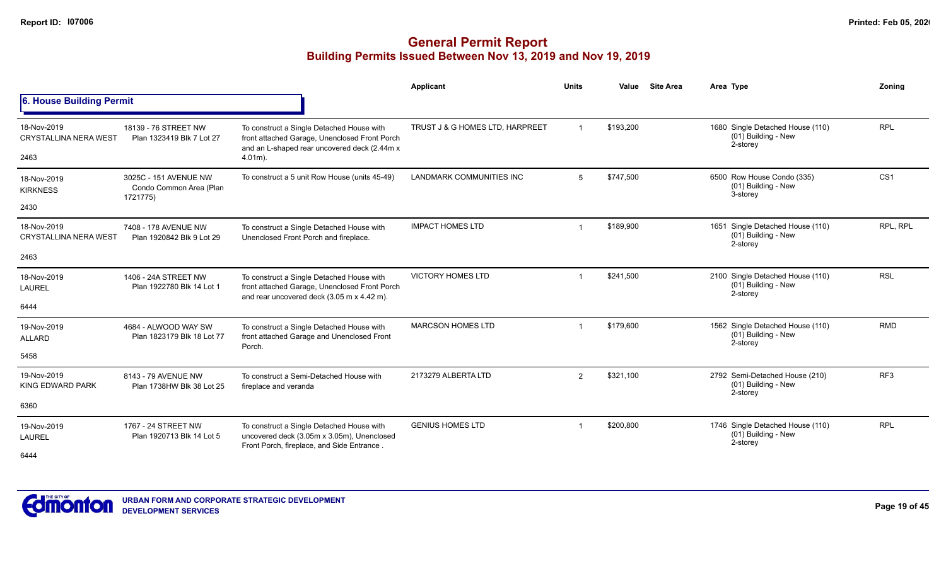|                                             |                                                              |                                                                                                                                            | Applicant                       | <b>Units</b>   | Value     | <b>Site Area</b> | Area Type                                                           | Zoning          |
|---------------------------------------------|--------------------------------------------------------------|--------------------------------------------------------------------------------------------------------------------------------------------|---------------------------------|----------------|-----------|------------------|---------------------------------------------------------------------|-----------------|
| 6. House Building Permit                    |                                                              |                                                                                                                                            |                                 |                |           |                  |                                                                     |                 |
| 18-Nov-2019<br><b>CRYSTALLINA NERA WEST</b> | 18139 - 76 STREET NW<br>Plan 1323419 Blk 7 Lot 27            | To construct a Single Detached House with<br>front attached Garage, Unenclosed Front Porch<br>and an L-shaped rear uncovered deck (2.44m x | TRUST J & G HOMES LTD, HARPREET | $\overline{1}$ | \$193,200 |                  | 1680 Single Detached House (110)<br>(01) Building - New<br>2-storey | <b>RPL</b>      |
| 2463                                        |                                                              | $4.01m$ ).                                                                                                                                 |                                 |                |           |                  |                                                                     |                 |
| 18-Nov-2019<br><b>KIRKNESS</b>              | 3025C - 151 AVENUE NW<br>Condo Common Area (Plan<br>1721775) | To construct a 5 unit Row House (units 45-49)                                                                                              | <b>LANDMARK COMMUNITIES INC</b> | 5              | \$747,500 |                  | 6500 Row House Condo (335)<br>(01) Building - New<br>3-storey       | CS <sub>1</sub> |
| 2430                                        |                                                              |                                                                                                                                            |                                 |                |           |                  |                                                                     |                 |
| 18-Nov-2019<br><b>CRYSTALLINA NERA WEST</b> | 7408 - 178 AVENUE NW<br>Plan 1920842 Blk 9 Lot 29            | To construct a Single Detached House with<br>Unenclosed Front Porch and fireplace.                                                         | <b>IMPACT HOMES LTD</b>         | -1             | \$189,900 |                  | 1651 Single Detached House (110)<br>(01) Building - New<br>2-storey | RPL, RPL        |
| 2463                                        |                                                              |                                                                                                                                            |                                 |                |           |                  |                                                                     |                 |
| 18-Nov-2019<br><b>LAUREL</b>                | 1406 - 24A STREET NW<br>Plan 1922780 Blk 14 Lot 1            | To construct a Single Detached House with<br>front attached Garage, Unenclosed Front Porch<br>and rear uncovered deck (3.05 m x 4.42 m).   | <b>VICTORY HOMES LTD</b>        |                | \$241,500 |                  | 2100 Single Detached House (110)<br>(01) Building - New<br>2-storey | <b>RSL</b>      |
| 6444                                        |                                                              |                                                                                                                                            |                                 |                |           |                  |                                                                     |                 |
| 19-Nov-2019<br><b>ALLARD</b>                | 4684 - ALWOOD WAY SW<br>Plan 1823179 Blk 18 Lot 77           | To construct a Single Detached House with<br>front attached Garage and Unenclosed Front<br>Porch.                                          | <b>MARCSON HOMES LTD</b>        | $\overline{1}$ | \$179,600 |                  | 1562 Single Detached House (110)<br>(01) Building - New<br>2-storey | <b>RMD</b>      |
| 5458                                        |                                                              |                                                                                                                                            |                                 |                |           |                  |                                                                     |                 |
| 19-Nov-2019<br>KING EDWARD PARK             | 8143 - 79 AVENUE NW<br>Plan 1738HW Blk 38 Lot 25             | To construct a Semi-Detached House with<br>fireplace and veranda                                                                           | 2173279 ALBERTA LTD             | $\overline{2}$ | \$321,100 |                  | 2792 Semi-Detached House (210)<br>(01) Building - New<br>2-storey   | RF <sub>3</sub> |
| 6360                                        |                                                              |                                                                                                                                            |                                 |                |           |                  |                                                                     |                 |
| 19-Nov-2019<br><b>LAUREL</b>                | 1767 - 24 STREET NW<br>Plan 1920713 Blk 14 Lot 5             | To construct a Single Detached House with<br>uncovered deck (3.05m x 3.05m), Unenclosed<br>Front Porch, fireplace, and Side Entrance.      | <b>GENIUS HOMES LTD</b>         | -1             | \$200,800 |                  | 1746 Single Detached House (110)<br>(01) Building - New<br>2-storey | <b>RPL</b>      |
| 6444                                        |                                                              |                                                                                                                                            |                                 |                |           |                  |                                                                     |                 |

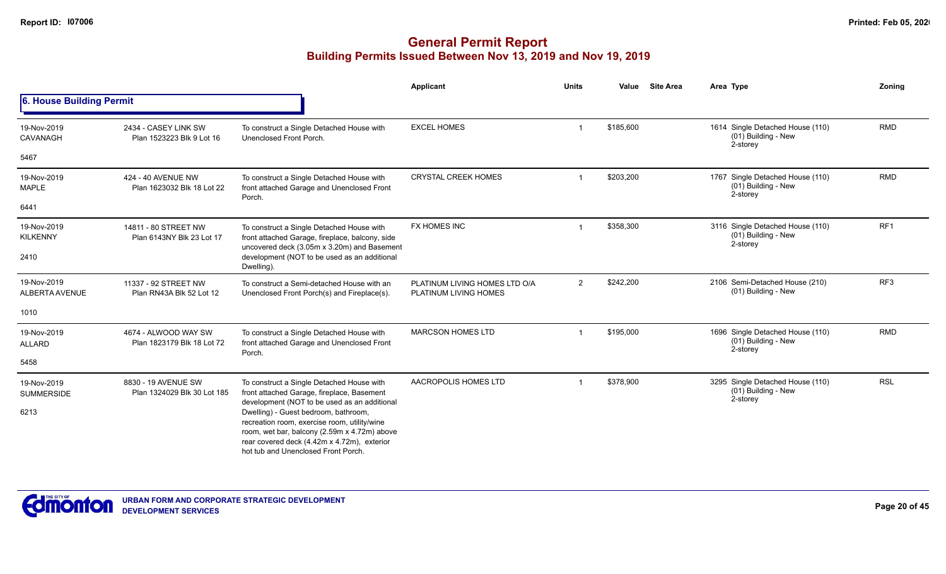|                                  |                                                    |                                                                                                                                                                                                                            | <b>Applicant</b>                                       | <b>Units</b>   | <b>Site Area</b><br>Value | Area Type                                                           | Zoning          |
|----------------------------------|----------------------------------------------------|----------------------------------------------------------------------------------------------------------------------------------------------------------------------------------------------------------------------------|--------------------------------------------------------|----------------|---------------------------|---------------------------------------------------------------------|-----------------|
| 6. House Building Permit         |                                                    |                                                                                                                                                                                                                            |                                                        |                |                           |                                                                     |                 |
| 19-Nov-2019<br>CAVANAGH          | 2434 - CASEY LINK SW<br>Plan 1523223 Blk 9 Lot 16  | To construct a Single Detached House with<br>Unenclosed Front Porch.                                                                                                                                                       | <b>EXCEL HOMES</b>                                     | $\overline{1}$ | \$185,600                 | 1614 Single Detached House (110)<br>(01) Building - New<br>2-storey | <b>RMD</b>      |
| 5467                             |                                                    |                                                                                                                                                                                                                            |                                                        |                |                           |                                                                     |                 |
| 19-Nov-2019<br><b>MAPLE</b>      | 424 - 40 AVENUE NW<br>Plan 1623032 Blk 18 Lot 22   | To construct a Single Detached House with<br>front attached Garage and Unenclosed Front<br>Porch.                                                                                                                          | <b>CRYSTAL CREEK HOMES</b>                             |                | \$203,200                 | 1767 Single Detached House (110)<br>(01) Building - New<br>2-storey | <b>RMD</b>      |
| 6441                             |                                                    |                                                                                                                                                                                                                            |                                                        |                |                           |                                                                     |                 |
| 19-Nov-2019<br><b>KILKENNY</b>   | 14811 - 80 STREET NW<br>Plan 6143NY Blk 23 Lot 17  | To construct a Single Detached House with<br>front attached Garage, fireplace, balcony, side<br>uncovered deck (3.05m x 3.20m) and Basement                                                                                | FX HOMES INC                                           |                | \$358,300                 | 3116 Single Detached House (110)<br>(01) Building - New<br>2-storey | RF <sub>1</sub> |
| 2410                             |                                                    | development (NOT to be used as an additional<br>Dwelling).                                                                                                                                                                 |                                                        |                |                           |                                                                     |                 |
| 19-Nov-2019<br>ALBERTA AVENUE    | 11337 - 92 STREET NW<br>Plan RN43A Blk 52 Lot 12   | To construct a Semi-detached House with an<br>Unenclosed Front Porch(s) and Fireplace(s).                                                                                                                                  | PLATINUM LIVING HOMES LTD O/A<br>PLATINUM LIVING HOMES | $\overline{2}$ | \$242,200                 | 2106 Semi-Detached House (210)<br>(01) Building - New               | RF3             |
| 1010                             |                                                    |                                                                                                                                                                                                                            |                                                        |                |                           |                                                                     |                 |
| 19-Nov-2019<br><b>ALLARD</b>     | 4674 - ALWOOD WAY SW<br>Plan 1823179 Blk 18 Lot 72 | To construct a Single Detached House with<br>front attached Garage and Unenclosed Front<br>Porch.                                                                                                                          | <b>MARCSON HOMES LTD</b>                               |                | \$195,000                 | 1696 Single Detached House (110)<br>(01) Building - New<br>2-storey | <b>RMD</b>      |
| 5458                             |                                                    |                                                                                                                                                                                                                            |                                                        |                |                           |                                                                     |                 |
| 19-Nov-2019<br><b>SUMMERSIDE</b> | 8830 - 19 AVENUE SW<br>Plan 1324029 Blk 30 Lot 185 | To construct a Single Detached House with<br>front attached Garage, fireplace, Basement<br>development (NOT to be used as an additional                                                                                    | AACROPOLIS HOMES LTD                                   |                | \$378,900                 | 3295 Single Detached House (110)<br>(01) Building - New<br>2-storey | <b>RSL</b>      |
| 6213                             |                                                    | Dwelling) - Guest bedroom, bathroom,<br>recreation room, exercise room, utility/wine<br>room, wet bar, balcony (2.59m x 4.72m) above<br>rear covered deck (4.42m x 4.72m), exterior<br>hot tub and Unenclosed Front Porch. |                                                        |                |                           |                                                                     |                 |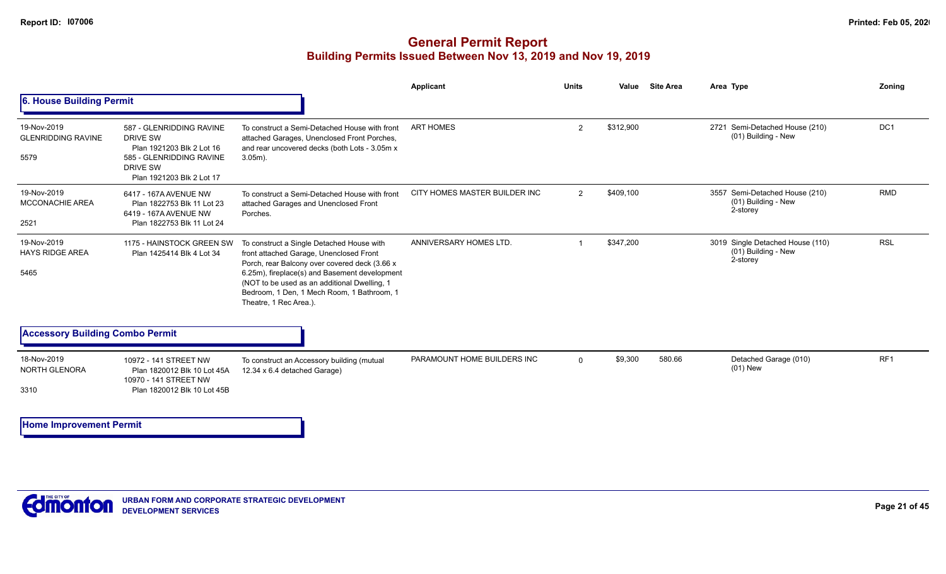|                                                  |                                                                                                                                                      |                                                                                                                                                                                                                                                                                                                | <b>Applicant</b>              | <b>Units</b>   | Value     | <b>Site Area</b>                                                                                                                                                                                                                                   | Area Type | <b>Zoning</b>   |
|--------------------------------------------------|------------------------------------------------------------------------------------------------------------------------------------------------------|----------------------------------------------------------------------------------------------------------------------------------------------------------------------------------------------------------------------------------------------------------------------------------------------------------------|-------------------------------|----------------|-----------|----------------------------------------------------------------------------------------------------------------------------------------------------------------------------------------------------------------------------------------------------|-----------|-----------------|
| 6. House Building Permit                         |                                                                                                                                                      |                                                                                                                                                                                                                                                                                                                |                               |                |           | 2721 Semi-Detached House (210)<br>(01) Building - New<br>3557 Semi-Detached House (210)<br>(01) Building - New<br>2-storey<br>3019 Single Detached House (110)<br>(01) Building - New<br>2-storey<br>580.66<br>Detached Garage (010)<br>$(01)$ New |           |                 |
| 19-Nov-2019<br><b>GLENRIDDING RAVINE</b><br>5579 | 587 - GLENRIDDING RAVINE<br><b>DRIVE SW</b><br>Plan 1921203 Blk 2 Lot 16<br>585 - GLENRIDDING RAVINE<br><b>DRIVE SW</b><br>Plan 1921203 Blk 2 Lot 17 | To construct a Semi-Detached House with front<br>attached Garages, Unenclosed Front Porches,<br>and rear uncovered decks (both Lots - 3.05m x<br>$3.05m$ ).                                                                                                                                                    | <b>ART HOMES</b>              | $\overline{2}$ | \$312,900 |                                                                                                                                                                                                                                                    |           | DC <sub>1</sub> |
| 19-Nov-2019<br>MCCONACHIE AREA<br>2521           | 6417 - 167A AVENUE NW<br>Plan 1822753 Blk 11 Lot 23<br>6419 - 167A AVENUE NW<br>Plan 1822753 Blk 11 Lot 24                                           | To construct a Semi-Detached House with front<br>attached Garages and Unenclosed Front<br>Porches.                                                                                                                                                                                                             | CITY HOMES MASTER BUILDER INC | $\overline{2}$ | \$409,100 |                                                                                                                                                                                                                                                    |           | <b>RMD</b>      |
| 19-Nov-2019<br><b>HAYS RIDGE AREA</b><br>5465    | 1175 - HAINSTOCK GREEN SW<br>Plan 1425414 Blk 4 Lot 34                                                                                               | To construct a Single Detached House with<br>front attached Garage, Unenclosed Front<br>Porch, rear Balcony over covered deck (3.66 x<br>6.25m), fireplace(s) and Basement development<br>(NOT to be used as an additional Dwelling, 1<br>Bedroom, 1 Den, 1 Mech Room, 1 Bathroom, 1<br>Theatre, 1 Rec Area.). | ANNIVERSARY HOMES LTD.        |                | \$347,200 |                                                                                                                                                                                                                                                    |           | <b>RSL</b>      |
| <b>Accessory Building Combo Permit</b>           |                                                                                                                                                      |                                                                                                                                                                                                                                                                                                                |                               |                |           |                                                                                                                                                                                                                                                    |           |                 |
| 18-Nov-2019<br>NORTH GLENORA<br>3310             | 10972 - 141 STREET NW<br>Plan 1820012 Blk 10 Lot 45A<br>10970 - 141 STREET NW<br>Plan 1820012 Blk 10 Lot 45B                                         | To construct an Accessory building (mutual<br>12.34 x 6.4 detached Garage)                                                                                                                                                                                                                                     | PARAMOUNT HOME BUILDERS INC   | $\mathbf 0$    | \$9,300   |                                                                                                                                                                                                                                                    |           | RF <sub>1</sub> |
| <b>Home Improvement Permit</b>                   |                                                                                                                                                      |                                                                                                                                                                                                                                                                                                                |                               |                |           |                                                                                                                                                                                                                                                    |           |                 |

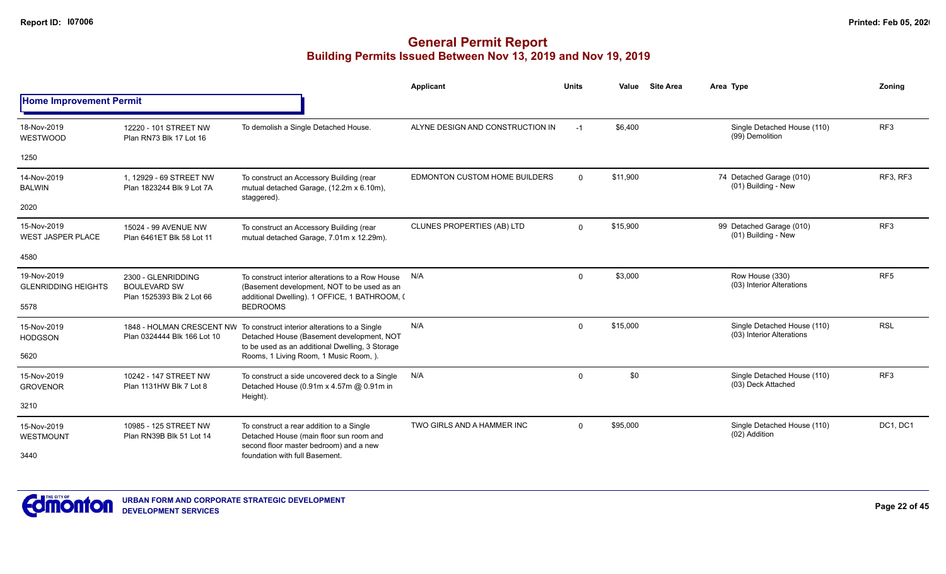|                                           |                                                                        |                                                                                                                                                                         | <b>Applicant</b>                  | <b>Units</b> | Value    | <b>Site Area</b> | Area Type                                                | Zoning          |
|-------------------------------------------|------------------------------------------------------------------------|-------------------------------------------------------------------------------------------------------------------------------------------------------------------------|-----------------------------------|--------------|----------|------------------|----------------------------------------------------------|-----------------|
| <b>Home Improvement Permit</b>            |                                                                        |                                                                                                                                                                         |                                   |              |          |                  |                                                          |                 |
| 18-Nov-2019<br>WESTWOOD                   | 12220 - 101 STREET NW<br>Plan RN73 Blk 17 Lot 16                       | To demolish a Single Detached House.                                                                                                                                    | ALYNE DESIGN AND CONSTRUCTION IN  | $-1$         | \$6,400  |                  | Single Detached House (110)<br>(99) Demolition           | RF <sub>3</sub> |
| 1250                                      |                                                                        |                                                                                                                                                                         |                                   |              |          |                  |                                                          |                 |
| 14-Nov-2019<br><b>BALWIN</b>              | 1. 12929 - 69 STREET NW<br>Plan 1823244 Blk 9 Lot 7A                   | To construct an Accessory Building (rear<br>mutual detached Garage, (12.2m x 6.10m),<br>staggered).                                                                     | EDMONTON CUSTOM HOME BUILDERS     | $\Omega$     | \$11,900 |                  | 74 Detached Garage (010)<br>(01) Building - New          | RF3, RF3        |
| 2020                                      |                                                                        |                                                                                                                                                                         |                                   |              |          |                  |                                                          |                 |
| 15-Nov-2019<br><b>WEST JASPER PLACE</b>   | 15024 - 99 AVENUE NW<br>Plan 6461ET Blk 58 Lot 11                      | To construct an Accessory Building (rear<br>mutual detached Garage, 7.01m x 12.29m).                                                                                    | <b>CLUNES PROPERTIES (AB) LTD</b> | $\Omega$     | \$15,900 |                  | 99 Detached Garage (010)<br>(01) Building - New          | RF <sub>3</sub> |
| 4580                                      |                                                                        |                                                                                                                                                                         |                                   |              |          |                  |                                                          |                 |
| 19-Nov-2019<br><b>GLENRIDDING HEIGHTS</b> | 2300 - GLENRIDDING<br><b>BOULEVARD SW</b><br>Plan 1525393 Blk 2 Lot 66 | To construct interior alterations to a Row House<br>(Basement development, NOT to be used as an<br>additional Dwelling). 1 OFFICE, 1 BATHROOM, (                        | N/A                               | $\mathbf 0$  | \$3,000  |                  | Row House (330)<br>(03) Interior Alterations             | RF <sub>5</sub> |
| 5578                                      |                                                                        | <b>BEDROOMS</b>                                                                                                                                                         |                                   |              |          |                  |                                                          |                 |
| 15-Nov-2019<br><b>HODGSON</b>             | Plan 0324444 Blk 166 Lot 10                                            | 1848 - HOLMAN CRESCENT NW To construct interior alterations to a Single<br>Detached House (Basement development, NOT<br>to be used as an additional Dwelling, 3 Storage | N/A                               | $\Omega$     | \$15,000 |                  | Single Detached House (110)<br>(03) Interior Alterations | <b>RSL</b>      |
| 5620                                      |                                                                        | Rooms, 1 Living Room, 1 Music Room, ).                                                                                                                                  |                                   |              |          |                  |                                                          |                 |
| 15-Nov-2019<br><b>GROVENOR</b>            | 10242 - 147 STREET NW<br>Plan 1131HW Blk 7 Lot 8                       | To construct a side uncovered deck to a Single<br>Detached House (0.91m x 4.57m @ 0.91m in<br>Height).                                                                  | N/A                               | $\mathbf 0$  | \$0      |                  | Single Detached House (110)<br>(03) Deck Attached        | RF <sub>3</sub> |
| 3210                                      |                                                                        |                                                                                                                                                                         |                                   |              |          |                  |                                                          |                 |
| 15-Nov-2019<br><b>WESTMOUNT</b>           | 10985 - 125 STREET NW<br>Plan RN39B Blk 51 Lot 14                      | To construct a rear addition to a Single<br>Detached House (main floor sun room and<br>second floor master bedroom) and a new                                           | TWO GIRLS AND A HAMMER INC        | $\Omega$     | \$95,000 |                  | Single Detached House (110)<br>(02) Addition             | DC1, DC1        |
| 3440                                      |                                                                        | foundation with full Basement.                                                                                                                                          |                                   |              |          |                  |                                                          |                 |

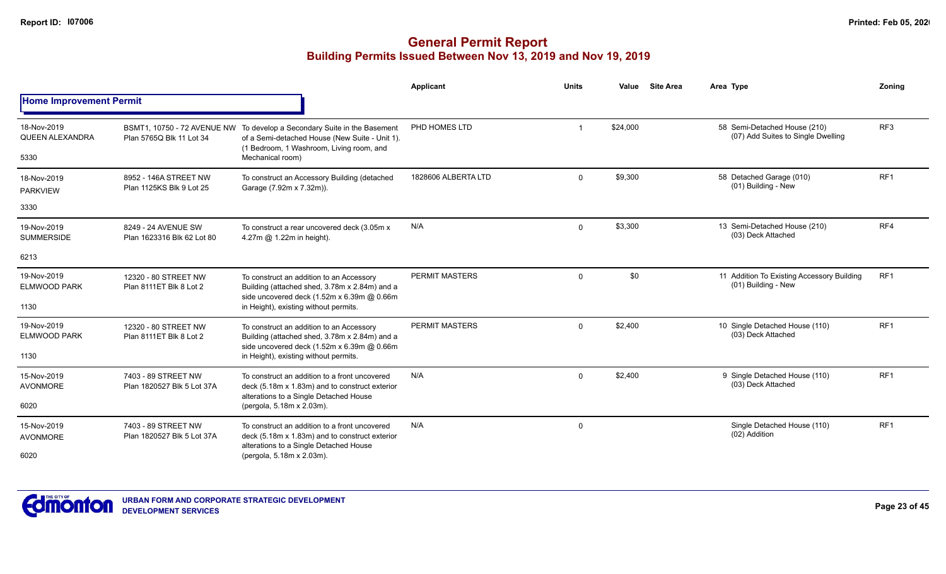|                                               |                                                         |                                                                                                                                                                                  | <b>Applicant</b>    | <b>Units</b> | Value    | <b>Site Area</b> | Area Type                                                          | Zoning          |
|-----------------------------------------------|---------------------------------------------------------|----------------------------------------------------------------------------------------------------------------------------------------------------------------------------------|---------------------|--------------|----------|------------------|--------------------------------------------------------------------|-----------------|
| <b>Home Improvement Permit</b>                |                                                         |                                                                                                                                                                                  |                     |              |          |                  |                                                                    |                 |
| 18-Nov-2019<br><b>QUEEN ALEXANDRA</b><br>5330 | BSMT1, 10750 - 72 AVENUE NW<br>Plan 5765Q Blk 11 Lot 34 | To develop a Secondary Suite in the Basement<br>of a Semi-detached House (New Suite - Unit 1).<br>(1 Bedroom, 1 Washroom, Living room, and<br>Mechanical room)                   | PHD HOMES LTD       |              | \$24,000 |                  | 58 Semi-Detached House (210)<br>(07) Add Suites to Single Dwelling | RF <sub>3</sub> |
| 18-Nov-2019<br><b>PARKVIEW</b>                | 8952 - 146A STREET NW<br>Plan 1125KS Blk 9 Lot 25       | To construct an Accessory Building (detached<br>Garage (7.92m x 7.32m)).                                                                                                         | 1828606 ALBERTA LTD | $\mathbf 0$  | \$9,300  |                  | 58 Detached Garage (010)<br>(01) Building - New                    | RF <sub>1</sub> |
| 3330                                          |                                                         |                                                                                                                                                                                  |                     |              |          |                  |                                                                    |                 |
| 19-Nov-2019<br><b>SUMMERSIDE</b>              | 8249 - 24 AVENUE SW<br>Plan 1623316 Blk 62 Lot 80       | To construct a rear uncovered deck (3.05m x<br>4.27m @ 1.22m in height).                                                                                                         | N/A                 | $\Omega$     | \$3,300  |                  | 13 Semi-Detached House (210)<br>(03) Deck Attached                 | RF4             |
| 6213                                          |                                                         |                                                                                                                                                                                  |                     |              |          |                  |                                                                    |                 |
| 19-Nov-2019<br><b>ELMWOOD PARK</b><br>1130    | 12320 - 80 STREET NW<br>Plan 8111ET Blk 8 Lot 2         | To construct an addition to an Accessory<br>Building (attached shed, 3.78m x 2.84m) and a<br>side uncovered deck (1.52m x 6.39m @ 0.66m<br>in Height), existing without permits. | PERMIT MASTERS      | $\Omega$     | \$0      |                  | 11 Addition To Existing Accessory Building<br>(01) Building - New  | RF <sub>1</sub> |
| 19-Nov-2019<br><b>ELMWOOD PARK</b><br>1130    | 12320 - 80 STREET NW<br>Plan 8111ET Blk 8 Lot 2         | To construct an addition to an Accessory<br>Building (attached shed, 3.78m x 2.84m) and a<br>side uncovered deck (1.52m x 6.39m @ 0.66m<br>in Height), existing without permits. | PERMIT MASTERS      | $\mathbf 0$  | \$2,400  |                  | 10 Single Detached House (110)<br>(03) Deck Attached               | RF <sub>1</sub> |
| 15-Nov-2019<br><b>AVONMORE</b>                | 7403 - 89 STREET NW<br>Plan 1820527 Blk 5 Lot 37A       | To construct an addition to a front uncovered<br>deck (5.18m x 1.83m) and to construct exterior<br>alterations to a Single Detached House                                        | N/A                 | $\Omega$     | \$2,400  |                  | 9 Single Detached House (110)<br>(03) Deck Attached                | RF <sub>1</sub> |
| 6020                                          |                                                         | (pergola, 5.18m x 2.03m).                                                                                                                                                        |                     |              |          |                  |                                                                    |                 |
| 15-Nov-2019<br><b>AVONMORE</b>                | 7403 - 89 STREET NW<br>Plan 1820527 Blk 5 Lot 37A       | To construct an addition to a front uncovered<br>deck (5.18m x 1.83m) and to construct exterior<br>alterations to a Single Detached House                                        | N/A                 | $\mathbf 0$  |          |                  | Single Detached House (110)<br>(02) Addition                       | RF <sub>1</sub> |
| 6020                                          |                                                         | (pergola, 5.18m x 2.03m).                                                                                                                                                        |                     |              |          |                  |                                                                    |                 |

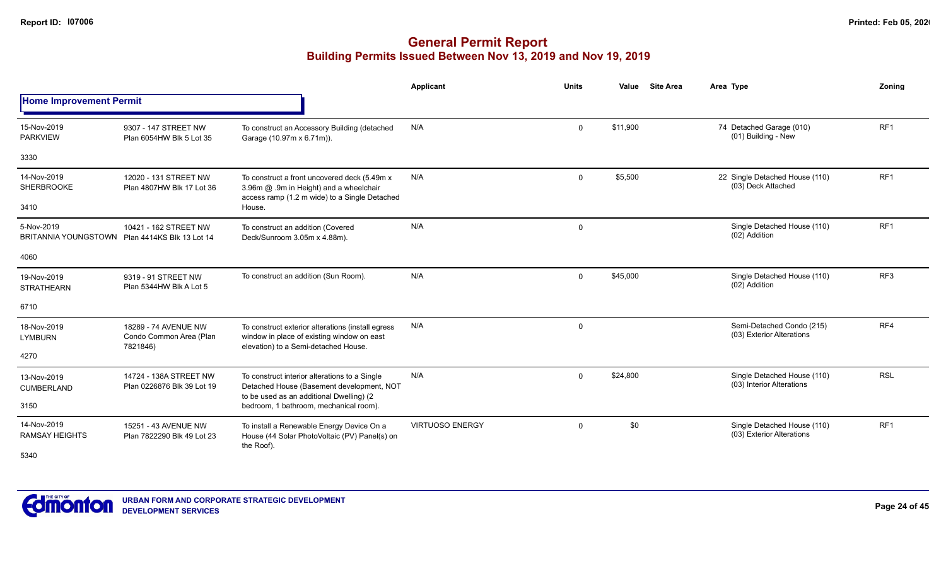|                                      |                                                             |                                                                                                                                           | Applicant              | <b>Units</b> | Value    | <b>Site Area</b> | Area Type                                                | Zoning          |
|--------------------------------------|-------------------------------------------------------------|-------------------------------------------------------------------------------------------------------------------------------------------|------------------------|--------------|----------|------------------|----------------------------------------------------------|-----------------|
| <b>Home Improvement Permit</b>       |                                                             |                                                                                                                                           |                        |              |          |                  |                                                          |                 |
| 15-Nov-2019<br><b>PARKVIEW</b>       | 9307 - 147 STREET NW<br>Plan 6054HW Blk 5 Lot 35            | To construct an Accessory Building (detached<br>Garage (10.97m x 6.71m)).                                                                 | N/A                    | $\mathbf 0$  | \$11,900 |                  | 74 Detached Garage (010)<br>(01) Building - New          | RF <sub>1</sub> |
| 3330                                 |                                                             |                                                                                                                                           |                        |              |          |                  |                                                          |                 |
| 14-Nov-2019<br>SHERBROOKE            | 12020 - 131 STREET NW<br>Plan 4807HW Blk 17 Lot 36          | To construct a front uncovered deck (5.49m x)<br>3.96m @ .9m in Height) and a wheelchair<br>access ramp (1.2 m wide) to a Single Detached | N/A                    | $\Omega$     | \$5,500  |                  | 22 Single Detached House (110)<br>(03) Deck Attached     | RF <sub>1</sub> |
| 3410                                 |                                                             | House.                                                                                                                                    |                        |              |          |                  |                                                          |                 |
| 5-Nov-2019<br>BRITANNIA YOUNGSTOWN   | 10421 - 162 STREET NW<br>Plan 4414KS Blk 13 Lot 14          | To construct an addition (Covered<br>Deck/Sunroom 3.05m x 4.88m).                                                                         | N/A                    | $\mathbf 0$  |          |                  | Single Detached House (110)<br>(02) Addition             | RF <sub>1</sub> |
| 4060                                 |                                                             |                                                                                                                                           |                        |              |          |                  |                                                          |                 |
| 19-Nov-2019<br><b>STRATHEARN</b>     | 9319 - 91 STREET NW<br>Plan 5344HW Blk A Lot 5              | To construct an addition (Sun Room).                                                                                                      | N/A                    | $\mathbf 0$  | \$45,000 |                  | Single Detached House (110)<br>(02) Addition             | RF <sub>3</sub> |
| 6710                                 |                                                             |                                                                                                                                           |                        |              |          |                  |                                                          |                 |
| 18-Nov-2019<br><b>LYMBURN</b>        | 18289 - 74 AVENUE NW<br>Condo Common Area (Plan<br>7821846) | To construct exterior alterations (install egress<br>window in place of existing window on east<br>elevation) to a Semi-detached House.   | N/A                    | $\mathbf 0$  |          |                  | Semi-Detached Condo (215)<br>(03) Exterior Alterations   | RF4             |
| 4270                                 |                                                             |                                                                                                                                           |                        |              |          |                  |                                                          |                 |
| 13-Nov-2019<br><b>CUMBERLAND</b>     | 14724 - 138A STREET NW<br>Plan 0226876 Blk 39 Lot 19        | To construct interior alterations to a Single<br>Detached House (Basement development, NOT<br>to be used as an additional Dwelling) (2    | N/A                    | $\mathbf 0$  | \$24,800 |                  | Single Detached House (110)<br>(03) Interior Alterations | <b>RSL</b>      |
| 3150                                 |                                                             | bedroom, 1 bathroom, mechanical room).                                                                                                    |                        |              |          |                  |                                                          |                 |
| 14-Nov-2019<br><b>RAMSAY HEIGHTS</b> | 15251 - 43 AVENUE NW<br>Plan 7822290 Blk 49 Lot 23          | To install a Renewable Energy Device On a<br>House (44 Solar PhotoVoltaic (PV) Panel(s) on<br>the Roof).                                  | <b>VIRTUOSO ENERGY</b> | $\mathbf 0$  | \$0      |                  | Single Detached House (110)<br>(03) Exterior Alterations | RF1             |
| 5340                                 |                                                             |                                                                                                                                           |                        |              |          |                  |                                                          |                 |

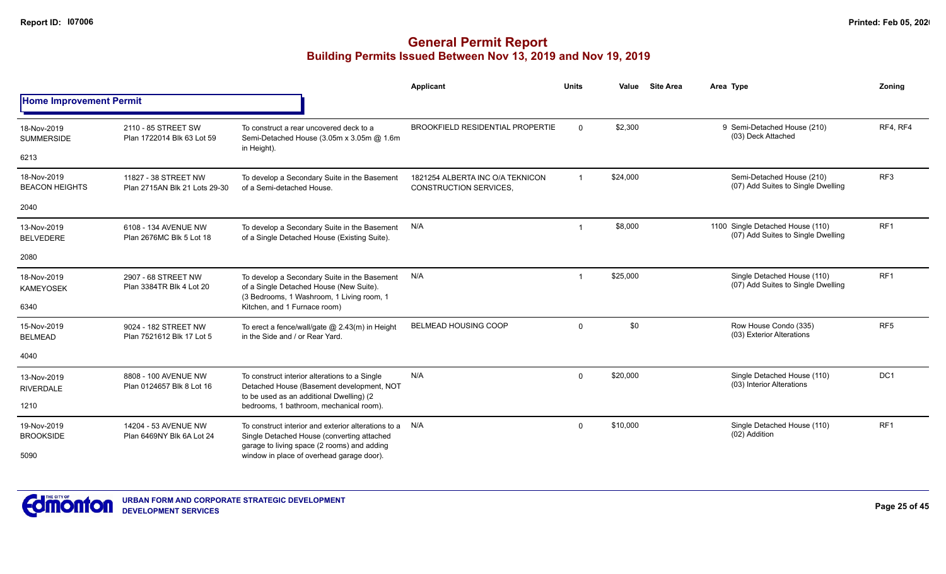|                                      |                                                       |                                                                                                                                                  | <b>Applicant</b>                                                  | <b>Units</b> | Value    | <b>Site Area</b> | Area Type                                                              | Zoning          |
|--------------------------------------|-------------------------------------------------------|--------------------------------------------------------------------------------------------------------------------------------------------------|-------------------------------------------------------------------|--------------|----------|------------------|------------------------------------------------------------------------|-----------------|
| <b>Home Improvement Permit</b>       |                                                       |                                                                                                                                                  |                                                                   |              |          |                  |                                                                        |                 |
| 18-Nov-2019<br><b>SUMMERSIDE</b>     | 2110 - 85 STREET SW<br>Plan 1722014 Blk 63 Lot 59     | To construct a rear uncovered deck to a<br>Semi-Detached House (3.05m x 3.05m @ 1.6m<br>in Height).                                              | <b>BROOKFIELD RESIDENTIAL PROPERTIE</b>                           | $\Omega$     | \$2,300  |                  | 9 Semi-Detached House (210)<br>(03) Deck Attached                      | RF4, RF4        |
| 6213                                 |                                                       |                                                                                                                                                  |                                                                   |              |          |                  |                                                                        |                 |
| 18-Nov-2019<br><b>BEACON HEIGHTS</b> | 11827 - 38 STREET NW<br>Plan 2715AN Blk 21 Lots 29-30 | To develop a Secondary Suite in the Basement<br>of a Semi-detached House.                                                                        | 1821254 ALBERTA INC O/A TEKNICON<br><b>CONSTRUCTION SERVICES,</b> | $\mathbf{1}$ | \$24,000 |                  | Semi-Detached House (210)<br>(07) Add Suites to Single Dwelling        | RF <sub>3</sub> |
| 2040                                 |                                                       |                                                                                                                                                  |                                                                   |              |          |                  |                                                                        |                 |
| 13-Nov-2019<br><b>BELVEDERE</b>      | 6108 - 134 AVENUE NW<br>Plan 2676MC Blk 5 Lot 18      | To develop a Secondary Suite in the Basement<br>of a Single Detached House (Existing Suite).                                                     | N/A                                                               | -1           | \$8,000  |                  | 1100 Single Detached House (110)<br>(07) Add Suites to Single Dwelling | RF <sub>1</sub> |
| 2080                                 |                                                       |                                                                                                                                                  |                                                                   |              |          |                  |                                                                        |                 |
| 18-Nov-2019<br><b>KAMEYOSEK</b>      | 2907 - 68 STREET NW<br>Plan 3384TR Blk 4 Lot 20       | To develop a Secondary Suite in the Basement<br>of a Single Detached House (New Suite).<br>(3 Bedrooms, 1 Washroom, 1 Living room, 1             | N/A                                                               |              | \$25,000 |                  | Single Detached House (110)<br>(07) Add Suites to Single Dwelling      | RF <sub>1</sub> |
| 6340                                 |                                                       | Kitchen, and 1 Furnace room)                                                                                                                     |                                                                   |              |          |                  |                                                                        |                 |
| 15-Nov-2019<br><b>BELMEAD</b>        | 9024 - 182 STREET NW<br>Plan 7521612 Blk 17 Lot 5     | To erect a fence/wall/gate @ 2.43(m) in Height<br>in the Side and / or Rear Yard.                                                                | <b>BELMEAD HOUSING COOP</b>                                       | $\Omega$     | \$0      |                  | Row House Condo (335)<br>(03) Exterior Alterations                     | RF <sub>5</sub> |
| 4040                                 |                                                       |                                                                                                                                                  |                                                                   |              |          |                  |                                                                        |                 |
| 13-Nov-2019<br><b>RIVERDALE</b>      | 8808 - 100 AVENUE NW<br>Plan 0124657 Blk 8 Lot 16     | To construct interior alterations to a Single<br>Detached House (Basement development, NOT<br>to be used as an additional Dwelling) (2           | N/A                                                               | $\Omega$     | \$20,000 |                  | Single Detached House (110)<br>(03) Interior Alterations               | DC <sub>1</sub> |
| 1210                                 |                                                       | bedrooms, 1 bathroom, mechanical room).                                                                                                          |                                                                   |              |          |                  |                                                                        |                 |
| 19-Nov-2019<br><b>BROOKSIDE</b>      | 14204 - 53 AVENUE NW<br>Plan 6469NY Blk 6A Lot 24     | To construct interior and exterior alterations to a<br>Single Detached House (converting attached<br>garage to living space (2 rooms) and adding | N/A                                                               | $\Omega$     | \$10,000 |                  | Single Detached House (110)<br>(02) Addition                           | RF <sub>1</sub> |
| 5090                                 |                                                       | window in place of overhead garage door).                                                                                                        |                                                                   |              |          |                  |                                                                        |                 |

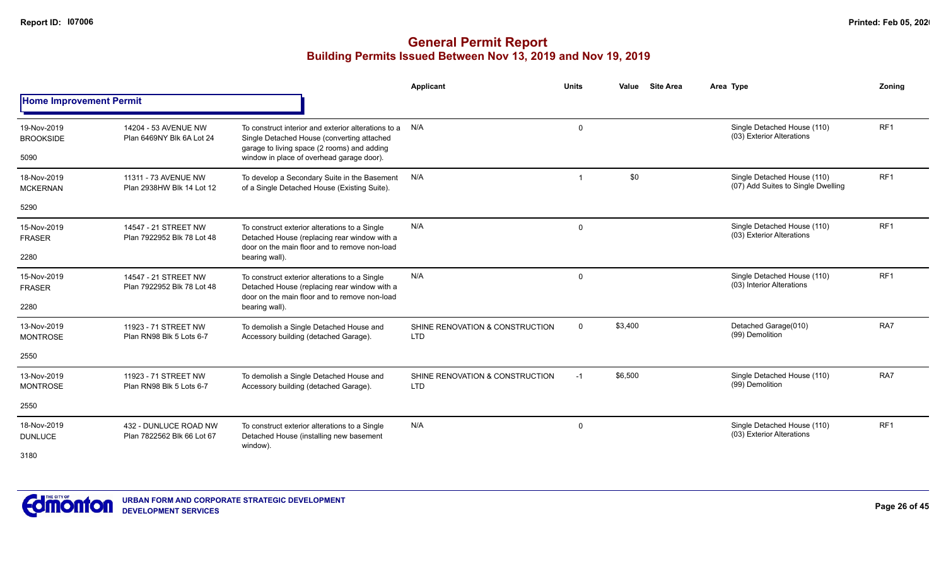|                                 |                                                     |                                                                                                                                                  | <b>Applicant</b>                              | <b>Units</b> | <b>Site Area</b><br>Value | Area Type                                                         | Zonina          |
|---------------------------------|-----------------------------------------------------|--------------------------------------------------------------------------------------------------------------------------------------------------|-----------------------------------------------|--------------|---------------------------|-------------------------------------------------------------------|-----------------|
| <b>Home Improvement Permit</b>  |                                                     |                                                                                                                                                  |                                               |              |                           |                                                                   |                 |
| 19-Nov-2019<br><b>BROOKSIDE</b> | 14204 - 53 AVENUE NW<br>Plan 6469NY Blk 6A Lot 24   | To construct interior and exterior alterations to a<br>Single Detached House (converting attached<br>garage to living space (2 rooms) and adding | N/A                                           | 0            |                           | Single Detached House (110)<br>(03) Exterior Alterations          | RF <sub>1</sub> |
| 5090                            |                                                     | window in place of overhead garage door).                                                                                                        |                                               |              |                           |                                                                   |                 |
| 18-Nov-2019<br><b>MCKERNAN</b>  | 11311 - 73 AVENUE NW<br>Plan 2938HW Blk 14 Lot 12   | To develop a Secondary Suite in the Basement<br>of a Single Detached House (Existing Suite).                                                     | N/A                                           | -1           | \$0                       | Single Detached House (110)<br>(07) Add Suites to Single Dwelling | RF <sub>1</sub> |
| 5290                            |                                                     |                                                                                                                                                  |                                               |              |                           |                                                                   |                 |
| 15-Nov-2019<br><b>FRASER</b>    | 14547 - 21 STREET NW<br>Plan 7922952 Blk 78 Lot 48  | To construct exterior alterations to a Single<br>Detached House (replacing rear window with a<br>door on the main floor and to remove non-load   | N/A                                           | 0            |                           | Single Detached House (110)<br>(03) Exterior Alterations          | RF <sub>1</sub> |
| 2280                            |                                                     | bearing wall).                                                                                                                                   |                                               |              |                           |                                                                   |                 |
| 15-Nov-2019<br><b>FRASER</b>    | 14547 - 21 STREET NW<br>Plan 7922952 Blk 78 Lot 48  | To construct exterior alterations to a Single<br>Detached House (replacing rear window with a<br>door on the main floor and to remove non-load   | N/A                                           | 0            |                           | Single Detached House (110)<br>(03) Interior Alterations          | RF <sub>1</sub> |
| 2280                            |                                                     | bearing wall).                                                                                                                                   |                                               |              |                           |                                                                   |                 |
| 13-Nov-2019<br><b>MONTROSE</b>  | 11923 - 71 STREET NW<br>Plan RN98 Blk 5 Lots 6-7    | To demolish a Single Detached House and<br>Accessory building (detached Garage).                                                                 | SHINE RENOVATION & CONSTRUCTION<br><b>LTD</b> | $\Omega$     | \$3,400                   | Detached Garage(010)<br>(99) Demolition                           | RA7             |
| 2550                            |                                                     |                                                                                                                                                  |                                               |              |                           |                                                                   |                 |
| 13-Nov-2019<br><b>MONTROSE</b>  | 11923 - 71 STREET NW<br>Plan RN98 Blk 5 Lots 6-7    | To demolish a Single Detached House and<br>Accessory building (detached Garage).                                                                 | SHINE RENOVATION & CONSTRUCTION<br><b>LTD</b> | $-1$         | \$6,500                   | Single Detached House (110)<br>(99) Demolition                    | RA7             |
| 2550                            |                                                     |                                                                                                                                                  |                                               |              |                           |                                                                   |                 |
| 18-Nov-2019<br><b>DUNLUCE</b>   | 432 - DUNLUCE ROAD NW<br>Plan 7822562 Blk 66 Lot 67 | To construct exterior alterations to a Single<br>Detached House (installing new basement<br>window).                                             | N/A                                           | 0            |                           | Single Detached House (110)<br>(03) Exterior Alterations          | RF <sub>1</sub> |
| 3180                            |                                                     |                                                                                                                                                  |                                               |              |                           |                                                                   |                 |

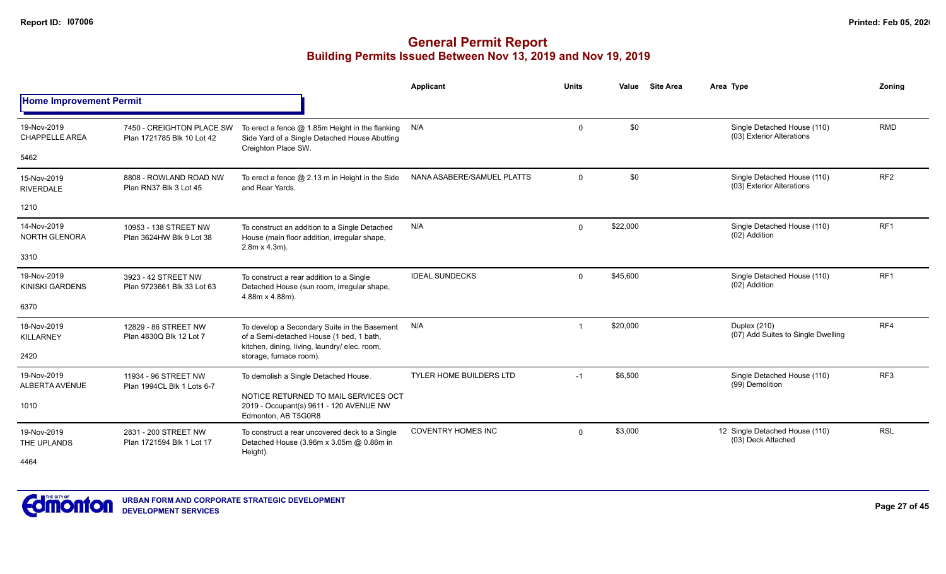|                                       |                                                         |                                                                                                                                           | <b>Applicant</b>           | <b>Units</b> | Value    | <b>Site Area</b> | Area Type                                                | Zonina          |
|---------------------------------------|---------------------------------------------------------|-------------------------------------------------------------------------------------------------------------------------------------------|----------------------------|--------------|----------|------------------|----------------------------------------------------------|-----------------|
| <b>Home Improvement Permit</b>        |                                                         |                                                                                                                                           |                            |              |          |                  |                                                          |                 |
| 19-Nov-2019<br><b>CHAPPELLE AREA</b>  | 7450 - CREIGHTON PLACE SW<br>Plan 1721785 Blk 10 Lot 42 | To erect a fence $@$ 1.85m Height in the flanking $N/A$<br>Side Yard of a Single Detached House Abutting                                  |                            | $\mathbf 0$  | \$0      |                  | Single Detached House (110)<br>(03) Exterior Alterations | <b>RMD</b>      |
| 5462                                  |                                                         | Creighton Place SW.                                                                                                                       |                            |              |          |                  |                                                          |                 |
| 15-Nov-2019<br><b>RIVERDALE</b>       | 8808 - ROWLAND ROAD NW<br>Plan RN37 Blk 3 Lot 45        | To erect a fence $@$ 2.13 m in Height in the Side<br>and Rear Yards.                                                                      | NANA ASABERE/SAMUEL PLATTS | $\Omega$     | \$0      |                  | Single Detached House (110)<br>(03) Exterior Alterations | RF <sub>2</sub> |
| 1210                                  |                                                         |                                                                                                                                           |                            |              |          |                  |                                                          |                 |
| 14-Nov-2019<br><b>NORTH GLENORA</b>   | 10953 - 138 STREET NW<br>Plan 3624HW Blk 9 Lot 38       | To construct an addition to a Single Detached<br>House (main floor addition, irregular shape,<br>$2.8m \times 4.3m$ ).                    | N/A                        | $\Omega$     | \$22,000 |                  | Single Detached House (110)<br>(02) Addition             | RF <sub>1</sub> |
| 3310                                  |                                                         |                                                                                                                                           |                            |              |          |                  |                                                          |                 |
| 19-Nov-2019<br><b>KINISKI GARDENS</b> | 3923 - 42 STREET NW<br>Plan 9723661 Blk 33 Lot 63       | To construct a rear addition to a Single<br>Detached House (sun room, irregular shape,<br>4.88m x 4.88m).                                 | <b>IDEAL SUNDECKS</b>      | $\mathbf 0$  | \$45,600 |                  | Single Detached House (110)<br>(02) Addition             | RF <sub>1</sub> |
| 6370                                  |                                                         |                                                                                                                                           |                            |              |          |                  |                                                          |                 |
| 18-Nov-2019<br><b>KILLARNEY</b>       | 12829 - 86 STREET NW<br>Plan 4830Q Blk 12 Lot 7         | To develop a Secondary Suite in the Basement<br>of a Semi-detached House (1 bed, 1 bath,<br>kitchen, dining, living, laundry/ elec. room, | N/A                        |              | \$20,000 |                  | Duplex (210)<br>(07) Add Suites to Single Dwelling       | RF4             |
| 2420                                  |                                                         | storage, furnace room).                                                                                                                   |                            |              |          |                  |                                                          |                 |
| 19-Nov-2019<br>ALBERTA AVENUE         | 11934 - 96 STREET NW<br>Plan 1994CL Blk 1 Lots 6-7      | To demolish a Single Detached House.                                                                                                      | TYLER HOME BUILDERS LTD    | $-1$         | \$6,500  |                  | Single Detached House (110)<br>(99) Demolition           | RF <sub>3</sub> |
| 1010                                  |                                                         | NOTICE RETURNED TO MAIL SERVICES OCT<br>2019 - Occupant(s) 9611 - 120 AVENUE NW<br>Edmonton, AB T5G0R8                                    |                            |              |          |                  |                                                          |                 |
| 19-Nov-2019<br>THE UPLANDS            | 2831 - 200 STREET NW<br>Plan 1721594 Blk 1 Lot 17       | To construct a rear uncovered deck to a Single<br>Detached House (3.96m x 3.05m @ 0.86m in<br>Height).                                    | <b>COVENTRY HOMES INC</b>  | $\Omega$     | \$3,000  |                  | 12 Single Detached House (110)<br>(03) Deck Attached     | <b>RSL</b>      |
| 4464                                  |                                                         |                                                                                                                                           |                            |              |          |                  |                                                          |                 |

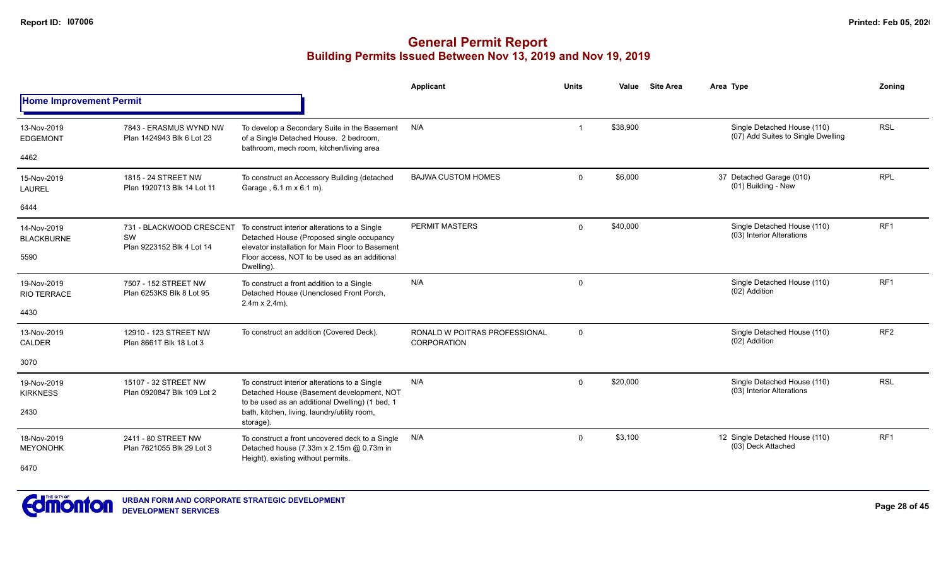|                                   |                                                              |                                                                                                                                                                         | Applicant                                           | <b>Units</b>   | Value    | <b>Site Area</b> | Area Type                                                         | Zoning          |
|-----------------------------------|--------------------------------------------------------------|-------------------------------------------------------------------------------------------------------------------------------------------------------------------------|-----------------------------------------------------|----------------|----------|------------------|-------------------------------------------------------------------|-----------------|
| <b>Home Improvement Permit</b>    |                                                              |                                                                                                                                                                         |                                                     |                |          |                  |                                                                   |                 |
| 13-Nov-2019<br><b>EDGEMONT</b>    | 7843 - ERASMUS WYND NW<br>Plan 1424943 Blk 6 Lot 23          | To develop a Secondary Suite in the Basement<br>of a Single Detached House. 2 bedroom,                                                                                  | N/A                                                 | $\overline{1}$ | \$38,900 |                  | Single Detached House (110)<br>(07) Add Suites to Single Dwelling | <b>RSL</b>      |
| 4462                              |                                                              | bathroom, mech room, kitchen/living area                                                                                                                                |                                                     |                |          |                  |                                                                   |                 |
| 15-Nov-2019<br><b>LAUREL</b>      | 1815 - 24 STREET NW<br>Plan 1920713 Blk 14 Lot 11            | To construct an Accessory Building (detached<br>Garage, $6.1 \text{ m} \times 6.1 \text{ m}$ ).                                                                         | <b>BAJWA CUSTOM HOMES</b>                           | $\Omega$       | \$6,000  |                  | 37 Detached Garage (010)<br>(01) Building - New                   | <b>RPL</b>      |
| 6444                              |                                                              |                                                                                                                                                                         |                                                     |                |          |                  |                                                                   |                 |
| 14-Nov-2019<br><b>BLACKBURNE</b>  | SW<br>Plan 9223152 Blk 4 Lot 14                              | 731 - BLACKWOOD CRESCENT To construct interior alterations to a Single<br>Detached House (Proposed single occupancy<br>elevator installation for Main Floor to Basement | PERMIT MASTERS                                      | $\Omega$       | \$40,000 |                  | Single Detached House (110)<br>(03) Interior Alterations          | RF <sub>1</sub> |
| 5590                              |                                                              | Floor access. NOT to be used as an additional<br>Dwelling).                                                                                                             |                                                     |                |          |                  |                                                                   |                 |
| 19-Nov-2019<br><b>RIO TERRACE</b> | 7507 - 152 STREET NW<br>Plan 6253KS Blk 8 Lot 95             | To construct a front addition to a Single<br>Detached House (Unenclosed Front Porch,<br>$2.4m \times 2.4m$ ).                                                           | N/A                                                 | $\mathbf 0$    |          |                  | Single Detached House (110)<br>(02) Addition                      | RF1             |
| 4430                              |                                                              |                                                                                                                                                                         |                                                     |                |          |                  |                                                                   |                 |
| 13-Nov-2019<br>CALDER             | 12910 - 123 STREET NW<br>Plan 8661T Blk 18 Lot 3             | To construct an addition (Covered Deck).                                                                                                                                | RONALD W POITRAS PROFESSIONAL<br><b>CORPORATION</b> | $\mathbf 0$    |          |                  | Single Detached House (110)<br>(02) Addition                      | RF <sub>2</sub> |
| 3070                              |                                                              |                                                                                                                                                                         |                                                     |                |          |                  |                                                                   |                 |
| 19-Nov-2019<br><b>KIRKNESS</b>    | 15107 - 32 STREET NW<br>Plan 0920847 Blk 109 Lot 2           | To construct interior alterations to a Single<br>Detached House (Basement development, NOT                                                                              | N/A                                                 | $\mathbf{0}$   | \$20,000 |                  | Single Detached House (110)<br>(03) Interior Alterations          | <b>RSL</b>      |
| 2430                              | to be used as an additional Dwelling) (1 bed, 1<br>storage). | bath, kitchen, living, laundry/utility room,                                                                                                                            |                                                     |                |          |                  |                                                                   |                 |
| 18-Nov-2019<br><b>MEYONOHK</b>    | 2411 - 80 STREET NW<br>Plan 7621055 Blk 29 Lot 3             | To construct a front uncovered deck to a Single<br>Detached house (7.33m x 2.15m @ 0.73m in                                                                             | N/A                                                 | $\Omega$       | \$3,100  |                  | 12 Single Detached House (110)<br>(03) Deck Attached              | RF <sub>1</sub> |
| 6470                              |                                                              | Height), existing without permits.                                                                                                                                      |                                                     |                |          |                  |                                                                   |                 |

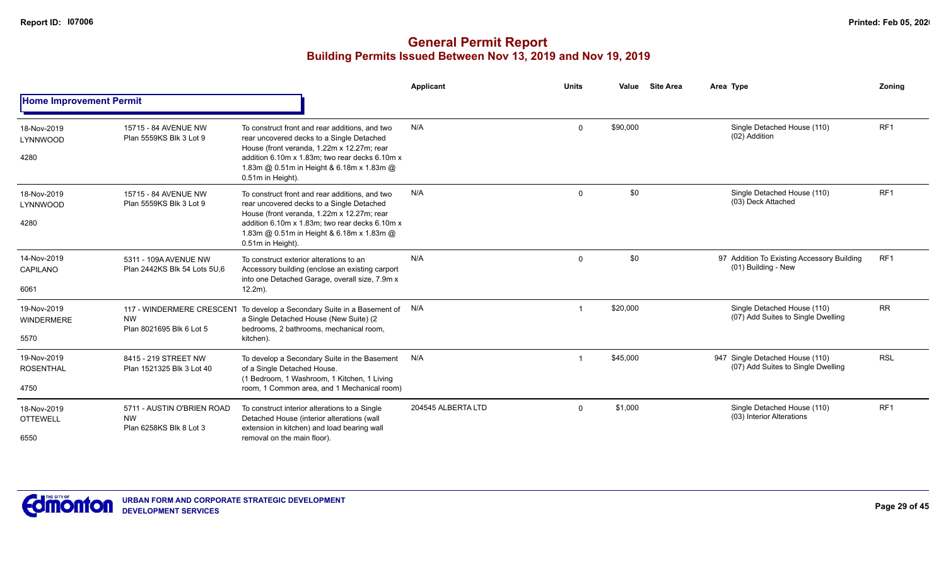|                                        |                                                                    |                                                                                                                                                                                                                                                               | Applicant          | <b>Units</b> | Value    | <b>Site Area</b> | Area Type                                                             | Zoning          |
|----------------------------------------|--------------------------------------------------------------------|---------------------------------------------------------------------------------------------------------------------------------------------------------------------------------------------------------------------------------------------------------------|--------------------|--------------|----------|------------------|-----------------------------------------------------------------------|-----------------|
| <b>Home Improvement Permit</b>         |                                                                    |                                                                                                                                                                                                                                                               |                    |              |          |                  |                                                                       |                 |
| 18-Nov-2019<br>LYNNWOOD<br>4280        | 15715 - 84 AVENUE NW<br>Plan 5559KS Blk 3 Lot 9                    | To construct front and rear additions, and two<br>rear uncovered decks to a Single Detached<br>House (front veranda, 1.22m x 12.27m; rear<br>addition 6.10m x 1.83m; two rear decks 6.10m x<br>1.83m @ 0.51m in Height & 6.18m x 1.83m @<br>0.51m in Height). | N/A                | $\mathbf 0$  | \$90,000 |                  | Single Detached House (110)<br>(02) Addition                          | RF <sub>1</sub> |
| 18-Nov-2019<br>LYNNWOOD                | 15715 - 84 AVENUE NW<br>Plan 5559KS Blk 3 Lot 9                    | To construct front and rear additions, and two<br>rear uncovered decks to a Single Detached                                                                                                                                                                   | N/A                | $\mathbf 0$  | \$0      |                  | Single Detached House (110)<br>(03) Deck Attached                     | RF <sub>1</sub> |
| 4280                                   |                                                                    | House (front veranda, 1.22m x 12.27m; rear<br>addition 6.10m x 1.83m; two rear decks 6.10m x<br>1.83m @ 0.51m in Height & 6.18m x 1.83m @<br>0.51m in Height).                                                                                                |                    |              |          | \$0              |                                                                       |                 |
| 14-Nov-2019<br>CAPILANO                | 5311 - 109A AVENUE NW<br>Plan 2442KS Blk 54 Lots 5U.6              | To construct exterior alterations to an<br>Accessory building (enclose an existing carport<br>into one Detached Garage, overall size, 7.9m x                                                                                                                  | N/A                | $\mathbf 0$  |          |                  | 97 Addition To Existing Accessory Building<br>(01) Building - New     | RF1             |
| 6061                                   |                                                                    | $12.2m$ ).                                                                                                                                                                                                                                                    |                    |              |          |                  |                                                                       |                 |
| 19-Nov-2019<br><b>WINDERMERE</b>       | 117 - WINDERMERE CRESCENT<br><b>NW</b><br>Plan 8021695 Blk 6 Lot 5 | To develop a Secondary Suite in a Basement of N/A<br>a Single Detached House (New Suite) (2<br>bedrooms, 2 bathrooms, mechanical room,                                                                                                                        |                    | -1           | \$20,000 |                  | Single Detached House (110)<br>(07) Add Suites to Single Dwelling     | <b>RR</b>       |
| 5570                                   |                                                                    | kitchen).                                                                                                                                                                                                                                                     |                    |              |          |                  |                                                                       |                 |
| 19-Nov-2019<br><b>ROSENTHAL</b>        | 8415 - 219 STREET NW<br>Plan 1521325 Blk 3 Lot 40                  | To develop a Secondary Suite in the Basement N/A<br>of a Single Detached House.<br>(1 Bedroom, 1 Washroom, 1 Kitchen, 1 Living                                                                                                                                |                    |              | \$45,000 |                  | 947 Single Detached House (110)<br>(07) Add Suites to Single Dwelling | <b>RSL</b>      |
| 4750                                   |                                                                    | room, 1 Common area, and 1 Mechanical room)                                                                                                                                                                                                                   |                    |              |          |                  |                                                                       |                 |
| 18-Nov-2019<br><b>OTTEWELL</b><br>6550 | 5711 - AUSTIN O'BRIEN ROAD<br><b>NW</b><br>Plan 6258KS Blk 8 Lot 3 | To construct interior alterations to a Single<br>Detached House (interior alterations (wall<br>extension in kitchen) and load bearing wall<br>removal on the main floor).                                                                                     | 204545 ALBERTA LTD | $\mathbf 0$  | \$1,000  |                  | Single Detached House (110)<br>(03) Interior Alterations              | RF <sub>1</sub> |

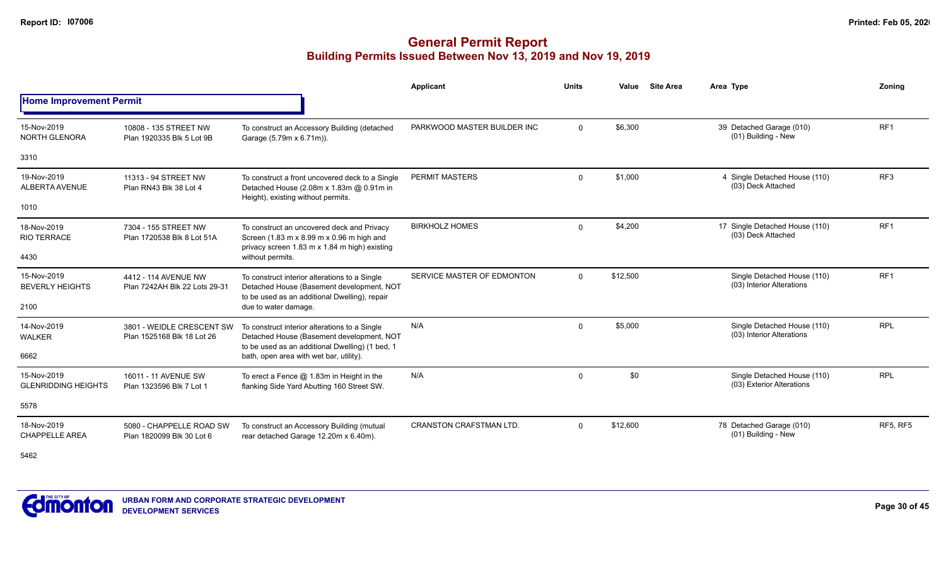|                                           |                                                         |                                                                                                                                               | Applicant                      | <b>Units</b> | Value    | <b>Site Area</b> | Area Type                                                | Zonina          |
|-------------------------------------------|---------------------------------------------------------|-----------------------------------------------------------------------------------------------------------------------------------------------|--------------------------------|--------------|----------|------------------|----------------------------------------------------------|-----------------|
| <b>Home Improvement Permit</b>            |                                                         |                                                                                                                                               |                                |              |          |                  |                                                          |                 |
| 15-Nov-2019<br>NORTH GLENORA              | 10808 - 135 STREET NW<br>Plan 1920335 Blk 5 Lot 9B      | To construct an Accessory Building (detached<br>Garage (5.79m x 6.71m)).                                                                      | PARKWOOD MASTER BUILDER INC    | $\mathbf{0}$ | \$6,300  |                  | 39 Detached Garage (010)<br>(01) Building - New          | RF <sub>1</sub> |
| 3310                                      |                                                         |                                                                                                                                               |                                |              |          |                  |                                                          |                 |
| 19-Nov-2019<br>ALBERTA AVENUE             | 11313 - 94 STREET NW<br>Plan RN43 Blk 38 Lot 4          | To construct a front uncovered deck to a Single<br>Detached House (2.08m x 1.83m @ 0.91m in<br>Height), existing without permits.             | PERMIT MASTERS                 | $\mathbf 0$  | \$1,000  |                  | 4 Single Detached House (110)<br>(03) Deck Attached      | RF <sub>3</sub> |
| 1010                                      |                                                         |                                                                                                                                               |                                |              |          |                  |                                                          |                 |
| 18-Nov-2019<br><b>RIO TERRACE</b>         | 7304 - 155 STREET NW<br>Plan 1720538 Blk 8 Lot 51A      | To construct an uncovered deck and Privacy<br>Screen (1.83 m x 8.99 m x 0.96 m high and<br>privacy screen 1.83 m x 1.84 m high) existing      | <b>BIRKHOLZ HOMES</b>          | $\mathbf 0$  | \$4,200  |                  | 17 Single Detached House (110)<br>(03) Deck Attached     | RF <sub>1</sub> |
| 4430                                      |                                                         | without permits.                                                                                                                              |                                |              |          |                  |                                                          |                 |
| 15-Nov-2019<br><b>BEVERLY HEIGHTS</b>     | 4412 - 114 AVENUE NW<br>Plan 7242AH Blk 22 Lots 29-31   | To construct interior alterations to a Single<br>Detached House (Basement development, NOT<br>to be used as an additional Dwelling), repair   | SERVICE MASTER OF EDMONTON     | $\Omega$     | \$12,500 |                  | Single Detached House (110)<br>(03) Interior Alterations | RF <sub>1</sub> |
| 2100                                      |                                                         | due to water damage.                                                                                                                          |                                |              |          |                  |                                                          |                 |
| 14-Nov-2019<br><b>WALKER</b>              | 3801 - WEIDLE CRESCENT SW<br>Plan 1525168 Blk 18 Lot 26 | To construct interior alterations to a Single<br>Detached House (Basement development, NOT<br>to be used as an additional Dwelling) (1 bed, 1 | N/A                            | $\mathbf 0$  | \$5,000  |                  | Single Detached House (110)<br>(03) Interior Alterations | <b>RPL</b>      |
| 6662                                      |                                                         | bath, open area with wet bar, utility).                                                                                                       |                                |              |          |                  |                                                          |                 |
| 15-Nov-2019<br><b>GLENRIDDING HEIGHTS</b> | 16011 - 11 AVENUE SW<br>Plan 1323596 Blk 7 Lot 1        | To erect a Fence $@$ 1.83m in Height in the<br>flanking Side Yard Abutting 160 Street SW.                                                     | N/A                            | $\mathbf 0$  | \$0      |                  | Single Detached House (110)<br>(03) Exterior Alterations | <b>RPL</b>      |
| 5578                                      |                                                         |                                                                                                                                               |                                |              |          |                  |                                                          |                 |
| 18-Nov-2019<br><b>CHAPPELLE AREA</b>      | 5080 - CHAPPELLE ROAD SW<br>Plan 1820099 Blk 30 Lot 6   | To construct an Accessory Building (mutual<br>rear detached Garage 12.20m x 6.40m).                                                           | <b>CRANSTON CRAFSTMAN LTD.</b> | $\Omega$     | \$12,600 |                  | 78 Detached Garage (010)<br>(01) Building - New          | <b>RF5, RF5</b> |

5462

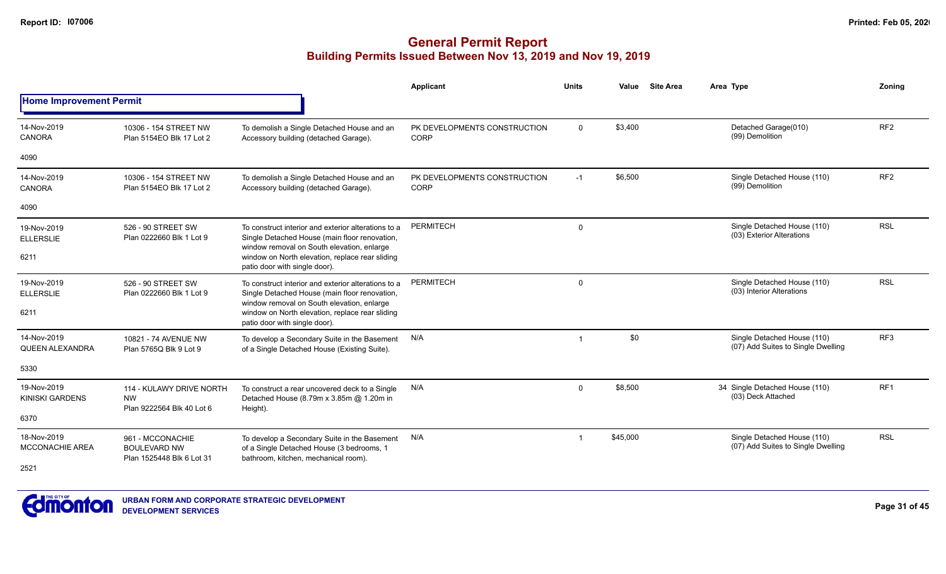|                                       |                                                                    |                                                                                                                                                    | Applicant                            | <b>Units</b> | Value    | <b>Site Area</b> | Area Type                                                         | Zoning          |
|---------------------------------------|--------------------------------------------------------------------|----------------------------------------------------------------------------------------------------------------------------------------------------|--------------------------------------|--------------|----------|------------------|-------------------------------------------------------------------|-----------------|
| <b>Home Improvement Permit</b>        |                                                                    |                                                                                                                                                    |                                      |              |          |                  |                                                                   |                 |
| 14-Nov-2019<br><b>CANORA</b>          | 10306 - 154 STREET NW<br>Plan 5154EO Blk 17 Lot 2                  | To demolish a Single Detached House and an<br>Accessory building (detached Garage).                                                                | PK DEVELOPMENTS CONSTRUCTION<br>CORP | $\mathbf{0}$ | \$3,400  |                  | Detached Garage(010)<br>(99) Demolition                           | RF <sub>2</sub> |
| 4090                                  |                                                                    |                                                                                                                                                    |                                      |              |          |                  |                                                                   |                 |
| 14-Nov-2019<br><b>CANORA</b>          | 10306 - 154 STREET NW<br>Plan 5154EO Blk 17 Lot 2                  | To demolish a Single Detached House and an<br>Accessory building (detached Garage).                                                                | PK DEVELOPMENTS CONSTRUCTION<br>CORP | $-1$         | \$6,500  |                  | Single Detached House (110)<br>(99) Demolition                    | RF <sub>2</sub> |
| 4090                                  |                                                                    |                                                                                                                                                    |                                      |              |          |                  |                                                                   |                 |
| 19-Nov-2019<br><b>ELLERSLIE</b>       | 526 - 90 STREET SW<br>Plan 0222660 Blk 1 Lot 9                     | To construct interior and exterior alterations to a<br>Single Detached House (main floor renovation,<br>window removal on South elevation, enlarge | PERMITECH                            | $\mathbf 0$  |          |                  | Single Detached House (110)<br>(03) Exterior Alterations          | <b>RSL</b>      |
| 6211                                  |                                                                    | window on North elevation, replace rear sliding<br>patio door with single door).                                                                   |                                      |              |          |                  |                                                                   |                 |
| 19-Nov-2019<br><b>ELLERSLIE</b>       | 526 - 90 STREET SW<br>Plan 0222660 Blk 1 Lot 9                     | To construct interior and exterior alterations to a<br>Single Detached House (main floor renovation,<br>window removal on South elevation, enlarge | <b>PERMITECH</b>                     | $\mathbf 0$  |          |                  | Single Detached House (110)<br>(03) Interior Alterations          | <b>RSL</b>      |
| 6211                                  |                                                                    | window on North elevation, replace rear sliding<br>patio door with single door).                                                                   |                                      |              |          |                  |                                                                   |                 |
| 14-Nov-2019<br>QUEEN ALEXANDRA        | 10821 - 74 AVENUE NW<br>Plan 5765Q Blk 9 Lot 9                     | To develop a Secondary Suite in the Basement<br>of a Single Detached House (Existing Suite).                                                       | N/A                                  |              | \$0      |                  | Single Detached House (110)<br>(07) Add Suites to Single Dwelling | RF <sub>3</sub> |
| 5330                                  |                                                                    |                                                                                                                                                    |                                      |              |          |                  |                                                                   |                 |
| 19-Nov-2019<br><b>KINISKI GARDENS</b> | 114 - KULAWY DRIVE NORTH<br><b>NW</b><br>Plan 9222564 Blk 40 Lot 6 | To construct a rear uncovered deck to a Single<br>Detached House (8.79m x 3.85m @ 1.20m in                                                         | N/A                                  | $\Omega$     | \$8,500  |                  | 34 Single Detached House (110)<br>(03) Deck Attached              | RF <sub>1</sub> |
| 6370                                  |                                                                    | Height).                                                                                                                                           |                                      |              |          |                  |                                                                   |                 |
| 18-Nov-2019<br><b>MCCONACHIE AREA</b> | 961 - MCCONACHIE<br><b>BOULEVARD NW</b>                            | To develop a Secondary Suite in the Basement<br>of a Single Detached House (3 bedrooms, 1                                                          | N/A                                  |              | \$45,000 |                  | Single Detached House (110)<br>(07) Add Suites to Single Dwelling | <b>RSL</b>      |
| 2521                                  | Plan 1525448 Blk 6 Lot 31                                          | bathroom, kitchen, mechanical room).                                                                                                               |                                      |              |          |                  |                                                                   |                 |

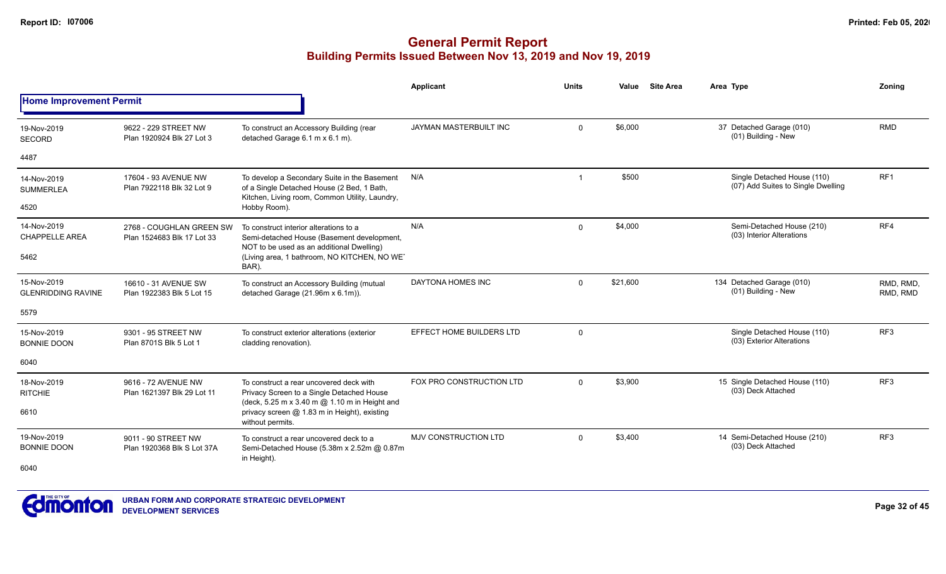|                                          |                                                                                                                   |                                                                                                                                              | Applicant                   | Units       | Value    | <b>Site Area</b> | Area Type                                                         | Zoning                |
|------------------------------------------|-------------------------------------------------------------------------------------------------------------------|----------------------------------------------------------------------------------------------------------------------------------------------|-----------------------------|-------------|----------|------------------|-------------------------------------------------------------------|-----------------------|
| <b>Home Improvement Permit</b>           |                                                                                                                   |                                                                                                                                              |                             |             |          |                  |                                                                   |                       |
| 19-Nov-2019<br><b>SECORD</b>             | 9622 - 229 STREET NW<br>Plan 1920924 Blk 27 Lot 3                                                                 | To construct an Accessory Building (rear<br>detached Garage 6.1 m x 6.1 m).                                                                  | JAYMAN MASTERBUILT INC      | $\Omega$    | \$6,000  |                  | 37 Detached Garage (010)<br>(01) Building - New                   | <b>RMD</b>            |
| 4487                                     |                                                                                                                   |                                                                                                                                              |                             |             |          |                  |                                                                   |                       |
| 14-Nov-2019<br><b>SUMMERLEA</b>          | 17604 - 93 AVENUE NW<br>Plan 7922118 Blk 32 Lot 9                                                                 | To develop a Secondary Suite in the Basement<br>of a Single Detached House (2 Bed, 1 Bath,<br>Kitchen, Living room, Common Utility, Laundry, | N/A                         | -1          | \$500    |                  | Single Detached House (110)<br>(07) Add Suites to Single Dwelling | RF <sub>1</sub>       |
| 4520                                     |                                                                                                                   | Hobby Room).                                                                                                                                 |                             |             |          |                  |                                                                   |                       |
| 14-Nov-2019<br><b>CHAPPELLE AREA</b>     | 2768 - COUGHLAN GREEN SW<br>Plan 1524683 Blk 17 Lot 33                                                            | To construct interior alterations to a<br>Semi-detached House (Basement development,<br>NOT to be used as an additional Dwelling)            | N/A                         | $\Omega$    | \$4,000  |                  | Semi-Detached House (210)<br>(03) Interior Alterations            | RF4                   |
| 5462                                     |                                                                                                                   | (Living area, 1 bathroom, NO KITCHEN, NO WET<br>BAR).                                                                                        |                             |             |          |                  |                                                                   |                       |
| 15-Nov-2019<br><b>GLENRIDDING RAVINE</b> | 16610 - 31 AVENUE SW<br>Plan 1922383 Blk 5 Lot 15                                                                 | To construct an Accessory Building (mutual<br>detached Garage (21.96m x 6.1m)).                                                              | DAYTONA HOMES INC           | $\Omega$    | \$21,600 |                  | 134 Detached Garage (010)<br>(01) Building - New                  | RMD, RMD,<br>RMD, RMD |
| 5579                                     |                                                                                                                   |                                                                                                                                              |                             |             |          |                  |                                                                   |                       |
| 15-Nov-2019<br><b>BONNIE DOON</b>        | 9301 - 95 STREET NW<br>Plan 8701S Blk 5 Lot 1                                                                     | To construct exterior alterations (exterior<br>cladding renovation).                                                                         | EFFECT HOME BUILDERS LTD    | $\mathbf 0$ |          |                  | Single Detached House (110)<br>(03) Exterior Alterations          | RF <sub>3</sub>       |
| 6040                                     |                                                                                                                   |                                                                                                                                              |                             |             |          |                  |                                                                   |                       |
| 18-Nov-2019<br><b>RITCHIE</b>            | 9616 - 72 AVENUE NW<br>Plan 1621397 Blk 29 Lot 11                                                                 | To construct a rear uncovered deck with<br>Privacy Screen to a Single Detached House                                                         | FOX PRO CONSTRUCTION LTD    | $\Omega$    | \$3,900  |                  | 15 Single Detached House (110)<br>(03) Deck Attached              | RF3                   |
| 6610                                     | (deck, 5.25 m x 3.40 m @ 1.10 m in Height and<br>privacy screen @ 1.83 m in Height), existing<br>without permits. |                                                                                                                                              |                             |             |          |                  |                                                                   |                       |
| 19-Nov-2019<br><b>BONNIE DOON</b>        | 9011 - 90 STREET NW<br>Plan 1920368 Blk S Lot 37A                                                                 | To construct a rear uncovered deck to a<br>Semi-Detached House (5.38m x 2.52m @ 0.87m<br>in Height).                                         | <b>MJV CONSTRUCTION LTD</b> | $\Omega$    | \$3.400  |                  | 14 Semi-Detached House (210)<br>(03) Deck Attached                | RF3                   |
| 6040                                     |                                                                                                                   |                                                                                                                                              |                             |             |          |                  |                                                                   |                       |

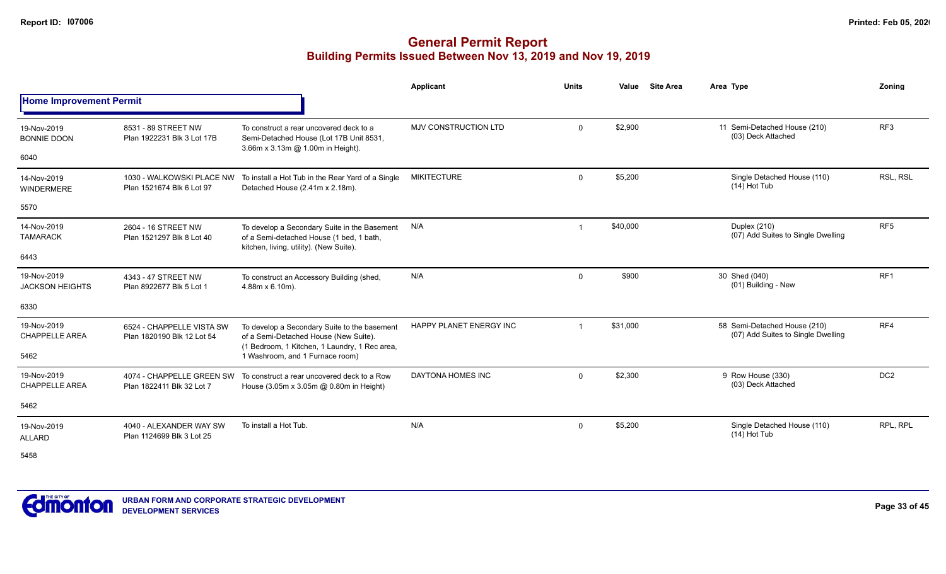|                                       |                                                         |                                                                                                                                        | <b>Applicant</b>        | <b>Units</b>   | Value    | <b>Site Area</b> | Area Type                                                          | Zonina          |
|---------------------------------------|---------------------------------------------------------|----------------------------------------------------------------------------------------------------------------------------------------|-------------------------|----------------|----------|------------------|--------------------------------------------------------------------|-----------------|
| <b>Home Improvement Permit</b>        |                                                         |                                                                                                                                        |                         |                |          |                  |                                                                    |                 |
| 19-Nov-2019<br><b>BONNIE DOON</b>     | 8531 - 89 STREET NW<br>Plan 1922231 Blk 3 Lot 17B       | To construct a rear uncovered deck to a<br>Semi-Detached House (Lot 17B Unit 8531,<br>3.66m x 3.13m @ 1.00m in Height).                | MJV CONSTRUCTION LTD    | $\mathbf{0}$   | \$2,900  |                  | 11 Semi-Detached House (210)<br>(03) Deck Attached                 | RF <sub>3</sub> |
| 6040                                  |                                                         |                                                                                                                                        |                         |                |          |                  |                                                                    |                 |
| 14-Nov-2019<br><b>WINDERMERE</b>      | 1030 - WALKOWSKI PLACE NW<br>Plan 1521674 Blk 6 Lot 97  | To install a Hot Tub in the Rear Yard of a Single<br>Detached House (2.41m x 2.18m).                                                   | <b>MIKITECTURE</b>      | $\mathbf{0}$   | \$5,200  |                  | Single Detached House (110)<br>$(14)$ Hot Tub                      | RSL, RSL        |
| 5570                                  |                                                         |                                                                                                                                        |                         |                |          |                  |                                                                    |                 |
| 14-Nov-2019<br><b>TAMARACK</b>        | 2604 - 16 STREET NW<br>Plan 1521297 Blk 8 Lot 40        | To develop a Secondary Suite in the Basement<br>of a Semi-detached House (1 bed, 1 bath,<br>kitchen, living, utility). (New Suite).    | N/A                     | -1             | \$40,000 |                  | Duplex (210)<br>(07) Add Suites to Single Dwelling                 | RF <sub>5</sub> |
| 6443                                  |                                                         |                                                                                                                                        |                         |                |          |                  |                                                                    |                 |
| 19-Nov-2019<br><b>JACKSON HEIGHTS</b> | 4343 - 47 STREET NW<br>Plan 8922677 Blk 5 Lot 1         | To construct an Accessory Building (shed,<br>4.88m x 6.10m).                                                                           | N/A                     | $\mathbf 0$    | \$900    |                  | 30 Shed (040)<br>(01) Building - New                               | RF <sub>1</sub> |
| 6330                                  |                                                         |                                                                                                                                        |                         |                |          |                  |                                                                    |                 |
| 19-Nov-2019<br><b>CHAPPELLE AREA</b>  | 6524 - CHAPPELLE VISTA SW<br>Plan 1820190 Blk 12 Lot 54 | To develop a Secondary Suite to the basement<br>of a Semi-Detached House (New Suite).<br>(1 Bedroom, 1 Kitchen, 1 Laundry, 1 Rec area, | HAPPY PLANET ENERGY INC | $\overline{1}$ | \$31,000 |                  | 58 Semi-Detached House (210)<br>(07) Add Suites to Single Dwelling | RF4             |
| 5462                                  |                                                         | 1 Washroom, and 1 Furnace room)                                                                                                        |                         |                |          |                  |                                                                    |                 |
| 19-Nov-2019<br><b>CHAPPELLE AREA</b>  | 4074 - CHAPPELLE GREEN SW<br>Plan 1822411 Blk 32 Lot 7  | To construct a rear uncovered deck to a Row<br>House (3.05m x 3.05m @ 0.80m in Height)                                                 | DAYTONA HOMES INC       | $\mathbf 0$    | \$2,300  |                  | 9 Row House (330)<br>(03) Deck Attached                            | DC <sub>2</sub> |
| 5462                                  |                                                         |                                                                                                                                        |                         |                |          |                  |                                                                    |                 |
| 19-Nov-2019<br><b>ALLARD</b>          | 4040 - ALEXANDER WAY SW<br>Plan 1124699 Blk 3 Lot 25    | To install a Hot Tub.                                                                                                                  | N/A                     | $\mathbf{0}$   | \$5,200  |                  | Single Detached House (110)<br>$(14)$ Hot Tub                      | RPL, RPL        |
| 5458                                  |                                                         |                                                                                                                                        |                         |                |          |                  |                                                                    |                 |

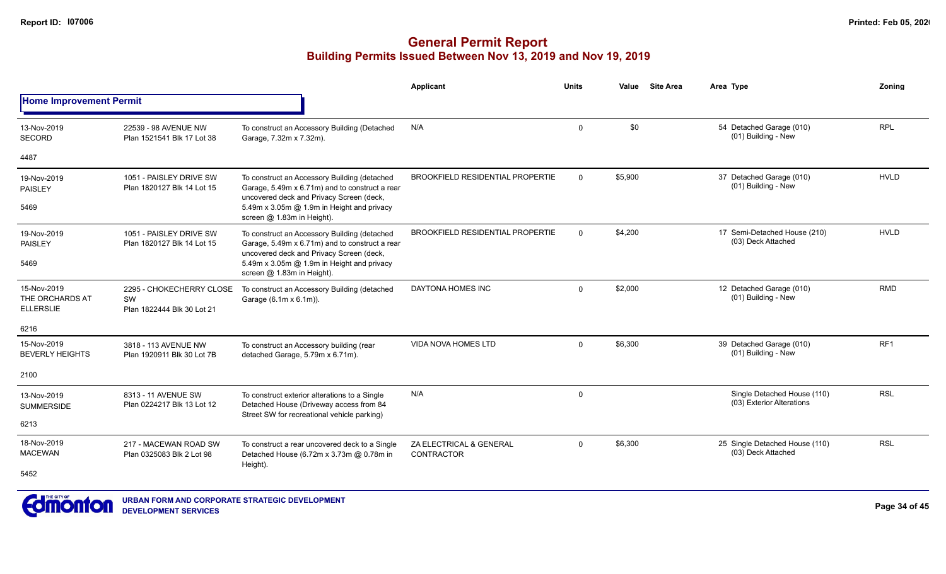|                                                    |                                                              |                                                                                                                                                                                                                        | Applicant                                    | <b>Units</b> | Value   | <b>Site Area</b> | Area Type                                                | Zoning      |
|----------------------------------------------------|--------------------------------------------------------------|------------------------------------------------------------------------------------------------------------------------------------------------------------------------------------------------------------------------|----------------------------------------------|--------------|---------|------------------|----------------------------------------------------------|-------------|
| <b>Home Improvement Permit</b>                     |                                                              |                                                                                                                                                                                                                        |                                              |              |         |                  |                                                          |             |
| 13-Nov-2019<br><b>SECORD</b>                       | 22539 - 98 AVENUE NW<br>Plan 1521541 Blk 17 Lot 38           | To construct an Accessory Building (Detached<br>Garage, 7.32m x 7.32m).                                                                                                                                                | N/A                                          | $\mathbf 0$  | \$0     |                  | 54 Detached Garage (010)<br>(01) Building - New          | <b>RPL</b>  |
| 4487                                               |                                                              |                                                                                                                                                                                                                        |                                              |              |         |                  |                                                          |             |
| 19-Nov-2019<br><b>PAISLEY</b><br>5469              | 1051 - PAISLEY DRIVE SW<br>Plan 1820127 Blk 14 Lot 15        | To construct an Accessory Building (detached<br>Garage, 5.49m x 6.71m) and to construct a rear<br>uncovered deck and Privacy Screen (deck,<br>5.49m x 3.05m @ 1.9m in Height and privacy<br>screen @ 1.83m in Height). | <b>BROOKFIELD RESIDENTIAL PROPERTIE</b>      | $\Omega$     | \$5,900 |                  | 37 Detached Garage (010)<br>(01) Building - New          | <b>HVLD</b> |
| 19-Nov-2019<br>PAISLEY                             | 1051 - PAISLEY DRIVE SW<br>Plan 1820127 Blk 14 Lot 15        | To construct an Accessory Building (detached<br>Garage, 5.49m x 6.71m) and to construct a rear<br>uncovered deck and Privacy Screen (deck,                                                                             | <b>BROOKFIELD RESIDENTIAL PROPERTIE</b>      | $\Omega$     | \$4,200 |                  | 17 Semi-Detached House (210)<br>(03) Deck Attached       | <b>HVLD</b> |
| 5469                                               |                                                              | 5.49m x 3.05m @ 1.9m in Height and privacy<br>screen @ 1.83m in Height).                                                                                                                                               |                                              |              |         |                  |                                                          |             |
| 15-Nov-2019<br>THE ORCHARDS AT<br><b>ELLERSLIE</b> | 2295 - CHOKECHERRY CLOSE<br>SW<br>Plan 1822444 Blk 30 Lot 21 | To construct an Accessory Building (detached<br>Garage (6.1m x 6.1m)).                                                                                                                                                 | DAYTONA HOMES INC                            | $\mathbf 0$  | \$2,000 |                  | 12 Detached Garage (010)<br>(01) Building - New          | <b>RMD</b>  |
| 6216                                               |                                                              |                                                                                                                                                                                                                        |                                              |              |         |                  |                                                          |             |
| 15-Nov-2019<br><b>BEVERLY HEIGHTS</b>              | 3818 - 113 AVENUE NW<br>Plan 1920911 Blk 30 Lot 7B           | To construct an Accessory building (rear<br>detached Garage, 5.79m x 6.71m).                                                                                                                                           | <b>VIDA NOVA HOMES LTD</b>                   | $\Omega$     | \$6,300 |                  | 39 Detached Garage (010)<br>(01) Building - New          | RF1         |
| 2100                                               |                                                              |                                                                                                                                                                                                                        |                                              |              |         |                  |                                                          |             |
| 13-Nov-2019<br><b>SUMMERSIDE</b>                   | 8313 - 11 AVENUE SW<br>Plan 0224217 Blk 13 Lot 12            | To construct exterior alterations to a Single<br>Detached House (Driveway access from 84<br>Street SW for recreational vehicle parking)                                                                                | N/A                                          | $\mathbf 0$  |         |                  | Single Detached House (110)<br>(03) Exterior Alterations | <b>RSL</b>  |
| 6213                                               |                                                              |                                                                                                                                                                                                                        |                                              |              |         |                  |                                                          |             |
| 18-Nov-2019<br><b>MACEWAN</b>                      | 217 - MACEWAN ROAD SW<br>Plan 0325083 Blk 2 Lot 98           | To construct a rear uncovered deck to a Single<br>Detached House (6.72m x 3.73m @ 0.78m in                                                                                                                             | ZA ELECTRICAL & GENERAL<br><b>CONTRACTOR</b> | $\mathbf 0$  | \$6,300 |                  | 25 Single Detached House (110)<br>(03) Deck Attached     | <b>RSL</b>  |
| 5452                                               |                                                              | Height).                                                                                                                                                                                                               |                                              |              |         |                  |                                                          |             |

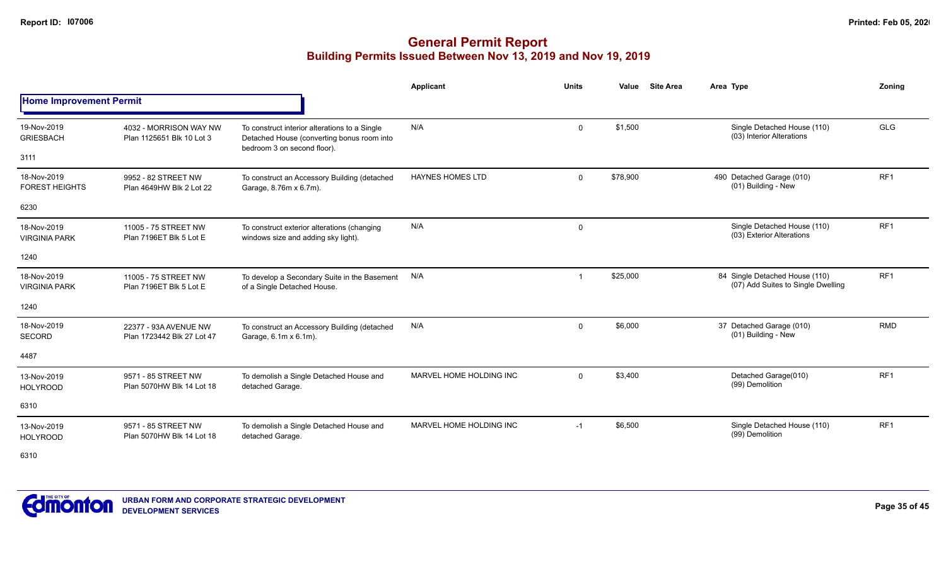### **General Permit Report Building Permits Issued Between Nov 13, 2019 and Nov 19, 2019**

|                                      |                                                     |                                                                                             | <b>Applicant</b>        | <b>Units</b> | Value    | <b>Site Area</b> | Area Type                                                            | Zonina          |
|--------------------------------------|-----------------------------------------------------|---------------------------------------------------------------------------------------------|-------------------------|--------------|----------|------------------|----------------------------------------------------------------------|-----------------|
| <b>Home Improvement Permit</b>       |                                                     |                                                                                             |                         |              |          |                  |                                                                      |                 |
| 19-Nov-2019<br><b>GRIESBACH</b>      | 4032 - MORRISON WAY NW<br>Plan 1125651 Blk 10 Lot 3 | To construct interior alterations to a Single<br>Detached House (converting bonus room into | N/A                     | $\mathbf 0$  | \$1,500  |                  | Single Detached House (110)<br>(03) Interior Alterations             | <b>GLG</b>      |
| 3111                                 |                                                     | bedroom 3 on second floor).                                                                 |                         |              |          |                  |                                                                      |                 |
| 18-Nov-2019<br><b>FOREST HEIGHTS</b> | 9952 - 82 STREET NW<br>Plan 4649HW Blk 2 Lot 22     | To construct an Accessory Building (detached<br>Garage, 8.76m x 6.7m).                      | <b>HAYNES HOMES LTD</b> | $\mathbf 0$  | \$78,900 |                  | 490 Detached Garage (010)<br>(01) Building - New                     | RF <sub>1</sub> |
| 6230                                 |                                                     |                                                                                             |                         |              |          |                  |                                                                      |                 |
| 18-Nov-2019<br><b>VIRGINIA PARK</b>  | 11005 - 75 STREET NW<br>Plan 7196ET Blk 5 Lot E     | To construct exterior alterations (changing<br>windows size and adding sky light).          | N/A                     | 0            |          |                  | Single Detached House (110)<br>(03) Exterior Alterations             | RF <sub>1</sub> |
| 1240                                 |                                                     |                                                                                             |                         |              |          |                  |                                                                      |                 |
| 18-Nov-2019<br><b>VIRGINIA PARK</b>  | 11005 - 75 STREET NW<br>Plan 7196ET Blk 5 Lot E     | To develop a Secondary Suite in the Basement<br>of a Single Detached House.                 | N/A                     | 1            | \$25,000 |                  | 84 Single Detached House (110)<br>(07) Add Suites to Single Dwelling | RF <sub>1</sub> |
| 1240                                 |                                                     |                                                                                             |                         |              |          |                  |                                                                      |                 |
| 18-Nov-2019<br><b>SECORD</b>         | 22377 - 93A AVENUE NW<br>Plan 1723442 Blk 27 Lot 47 | To construct an Accessory Building (detached<br>Garage, 6.1m x 6.1m).                       | N/A                     | $\mathbf 0$  | \$6,000  |                  | 37 Detached Garage (010)<br>(01) Building - New                      | <b>RMD</b>      |
| 4487                                 |                                                     |                                                                                             |                         |              |          |                  |                                                                      |                 |
| 13-Nov-2019<br><b>HOLYROOD</b>       | 9571 - 85 STREET NW<br>Plan 5070HW Blk 14 Lot 18    | To demolish a Single Detached House and<br>detached Garage.                                 | MARVEL HOME HOLDING INC | $\mathbf 0$  | \$3,400  |                  | Detached Garage(010)<br>(99) Demolition                              | RF <sub>1</sub> |
| 6310                                 |                                                     |                                                                                             |                         |              |          |                  |                                                                      |                 |
| 13-Nov-2019<br><b>HOLYROOD</b>       | 9571 - 85 STREET NW<br>Plan 5070HW Blk 14 Lot 18    | To demolish a Single Detached House and<br>detached Garage.                                 | MARVEL HOME HOLDING INC | $-1$         | \$6,500  |                  | Single Detached House (110)<br>(99) Demolition                       | RF <sub>1</sub> |

6310

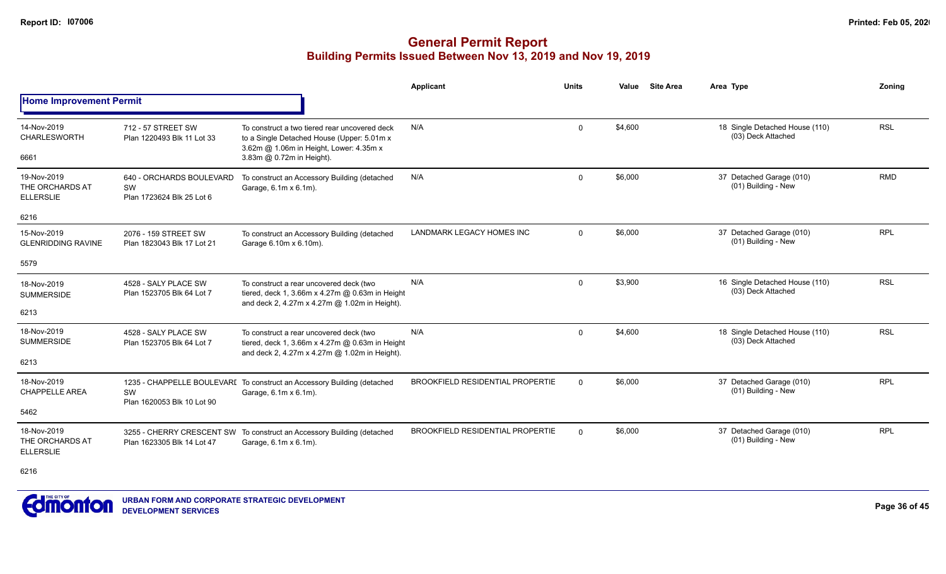#### **General Permit Report Building Permits Issued Between Nov 13, 2019 and Nov 19, 2019**

|                                                            |                                                             |                                                                                                                                                                      | Applicant                               | <b>Units</b> | Value   | <b>Site Area</b> | Area Type                                            | Zonina     |
|------------------------------------------------------------|-------------------------------------------------------------|----------------------------------------------------------------------------------------------------------------------------------------------------------------------|-----------------------------------------|--------------|---------|------------------|------------------------------------------------------|------------|
| <b>Home Improvement Permit</b>                             |                                                             |                                                                                                                                                                      |                                         |              |         |                  |                                                      |            |
| 14-Nov-2019<br><b>CHARLESWORTH</b><br>6661                 | 712 - 57 STREET SW<br>Plan 1220493 Blk 11 Lot 33            | To construct a two tiered rear uncovered deck<br>to a Single Detached House (Upper: 5.01m x)<br>3.62m @ 1.06m in Height, Lower: 4.35m x<br>3.83m @ 0.72m in Height). | N/A                                     | $\Omega$     | \$4,600 |                  | 18 Single Detached House (110)<br>(03) Deck Attached | <b>RSL</b> |
| 19-Nov-2019<br>THE ORCHARDS AT<br><b>ELLERSLIE</b><br>6216 | 640 - ORCHARDS BOULEVARD<br>SW<br>Plan 1723624 Blk 25 Lot 6 | To construct an Accessory Building (detached<br>Garage, 6.1m x 6.1m).                                                                                                | N/A                                     | $\mathbf 0$  | \$6,000 |                  | 37 Detached Garage (010)<br>(01) Building - New      | <b>RMD</b> |
| 15-Nov-2019<br><b>GLENRIDDING RAVINE</b>                   | 2076 - 159 STREET SW<br>Plan 1823043 Blk 17 Lot 21          | To construct an Accessory Building (detached<br>Garage 6.10m x 6.10m).                                                                                               | LANDMARK LEGACY HOMES INC               | $\mathbf 0$  | \$6,000 |                  | 37 Detached Garage (010)<br>(01) Building - New      | <b>RPL</b> |
| 5579                                                       |                                                             |                                                                                                                                                                      |                                         |              |         |                  |                                                      |            |
| 18-Nov-2019<br><b>SUMMERSIDE</b><br>6213                   | 4528 - SALY PLACE SW<br>Plan 1523705 Blk 64 Lot 7           | To construct a rear uncovered deck (two<br>tiered, deck 1, 3.66m x 4.27m @ 0.63m in Height<br>and deck 2, 4.27m x 4.27m @ 1.02m in Height).                          | N/A                                     | $\Omega$     | \$3,900 |                  | 16 Single Detached House (110)<br>(03) Deck Attached | <b>RSL</b> |
| 18-Nov-2019<br><b>SUMMERSIDE</b><br>6213                   | 4528 - SALY PLACE SW<br>Plan 1523705 Blk 64 Lot 7           | To construct a rear uncovered deck (two<br>tiered, deck 1, 3.66m x 4.27m @ 0.63m in Height<br>and deck 2, 4.27m x 4.27m @ 1.02m in Height).                          | N/A                                     | $\Omega$     | \$4,600 |                  | 18 Single Detached House (110)<br>(03) Deck Attached | <b>RSL</b> |
| 18-Nov-2019<br><b>CHAPPELLE AREA</b><br>5462               | <b>SW</b><br>Plan 1620053 Blk 10 Lot 90                     | 1235 - CHAPPELLE BOULEVARI To construct an Accessory Building (detached<br>Garage, 6.1m x 6.1m).                                                                     | <b>BROOKFIELD RESIDENTIAL PROPERTIE</b> | $\Omega$     | \$6,000 |                  | 37 Detached Garage (010)<br>(01) Building - New      | <b>RPL</b> |
| 18-Nov-2019<br>THE ORCHARDS AT<br><b>ELLERSLIE</b>         | Plan 1623305 Blk 14 Lot 47                                  | 3255 - CHERRY CRESCENT SW To construct an Accessory Building (detached<br>Garage, 6.1m x 6.1m).                                                                      | <b>BROOKFIELD RESIDENTIAL PROPERTIE</b> | $\Omega$     | \$6,000 |                  | 37 Detached Garage (010)<br>(01) Building - New      | <b>RPL</b> |

6216

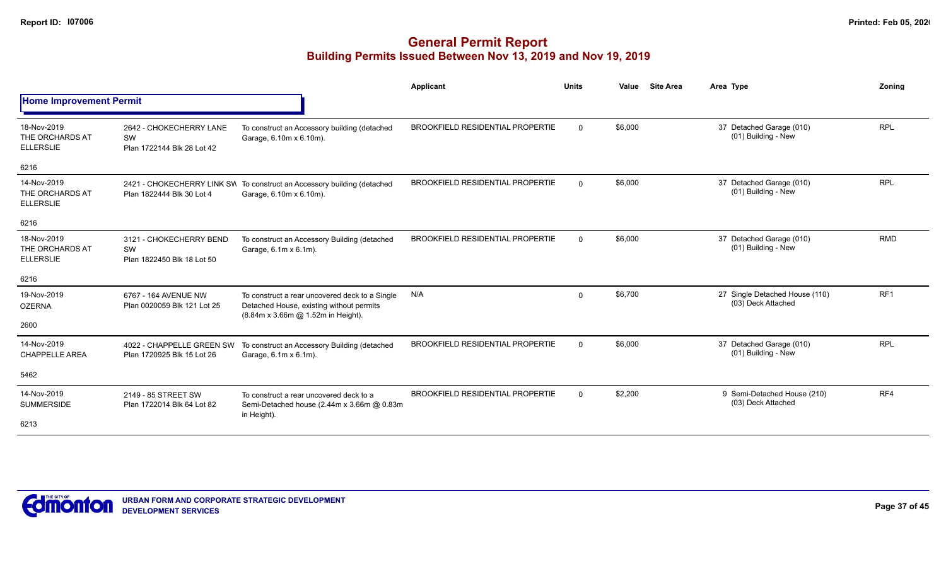|                                                    |                                                             |                                                                                                                                  | Applicant                               | <b>Units</b> | Value   | <b>Site Area</b> | Area Type                                            | Zonina          |
|----------------------------------------------------|-------------------------------------------------------------|----------------------------------------------------------------------------------------------------------------------------------|-----------------------------------------|--------------|---------|------------------|------------------------------------------------------|-----------------|
| <b>Home Improvement Permit</b>                     |                                                             |                                                                                                                                  |                                         |              |         |                  |                                                      |                 |
| 18-Nov-2019<br>THE ORCHARDS AT<br><b>ELLERSLIE</b> | 2642 - CHOKECHERRY LANE<br>SW<br>Plan 1722144 Blk 28 Lot 42 | To construct an Accessory building (detached<br>Garage, 6.10m x 6.10m).                                                          | <b>BROOKFIELD RESIDENTIAL PROPERTIE</b> | $\mathbf 0$  | \$6,000 |                  | 37 Detached Garage (010)<br>(01) Building - New      | <b>RPL</b>      |
| 6216                                               |                                                             |                                                                                                                                  |                                         |              |         |                  |                                                      |                 |
| 14-Nov-2019<br>THE ORCHARDS AT<br><b>ELLERSLIE</b> | Plan 1822444 Blk 30 Lot 4                                   | 2421 - CHOKECHERRY LINK SW To construct an Accessory building (detached<br>Garage, 6.10m x 6.10m).                               | <b>BROOKFIELD RESIDENTIAL PROPERTIE</b> | $\mathbf 0$  | \$6,000 |                  | 37 Detached Garage (010)<br>(01) Building - New      | <b>RPL</b>      |
| 6216                                               |                                                             |                                                                                                                                  |                                         |              |         |                  |                                                      |                 |
| 18-Nov-2019<br>THE ORCHARDS AT<br><b>ELLERSLIE</b> | 3121 - CHOKECHERRY BEND<br>SW<br>Plan 1822450 Blk 18 Lot 50 | To construct an Accessory Building (detached<br>Garage, 6.1m x 6.1m).                                                            | BROOKFIELD RESIDENTIAL PROPERTIE        | $\mathbf{0}$ | \$6,000 |                  | 37 Detached Garage (010)<br>(01) Building - New      | <b>RMD</b>      |
| 6216                                               |                                                             |                                                                                                                                  |                                         |              |         |                  |                                                      |                 |
| 19-Nov-2019<br><b>OZERNA</b>                       | 6767 - 164 AVENUE NW<br>Plan 0020059 Blk 121 Lot 25         | To construct a rear uncovered deck to a Single<br>Detached House, existing without permits<br>(8.84m x 3.66m @ 1.52m in Height). | N/A                                     | $\Omega$     | \$6,700 |                  | 27 Single Detached House (110)<br>(03) Deck Attached | RF <sub>1</sub> |
| 2600                                               |                                                             |                                                                                                                                  |                                         |              |         |                  |                                                      |                 |
| 14-Nov-2019<br><b>CHAPPELLE AREA</b>               | 4022 - CHAPPELLE GREEN SW<br>Plan 1720925 Blk 15 Lot 26     | To construct an Accessory Building (detached<br>Garage, 6.1m x 6.1m).                                                            | <b>BROOKFIELD RESIDENTIAL PROPERTIE</b> | $\mathbf 0$  | \$6,000 |                  | 37 Detached Garage (010)<br>(01) Building - New      | <b>RPL</b>      |
| 5462                                               |                                                             |                                                                                                                                  |                                         |              |         |                  |                                                      |                 |
| 14-Nov-2019<br><b>SUMMERSIDE</b>                   | 2149 - 85 STREET SW<br>Plan 1722014 Blk 64 Lot 82           | To construct a rear uncovered deck to a<br>Semi-Detached house (2.44m x 3.66m @ 0.83m<br>in Height).                             | <b>BROOKFIELD RESIDENTIAL PROPERTIE</b> | $\Omega$     | \$2,200 |                  | 9 Semi-Detached House (210)<br>(03) Deck Attached    | RF4             |
| 6213                                               |                                                             |                                                                                                                                  |                                         |              |         |                  |                                                      |                 |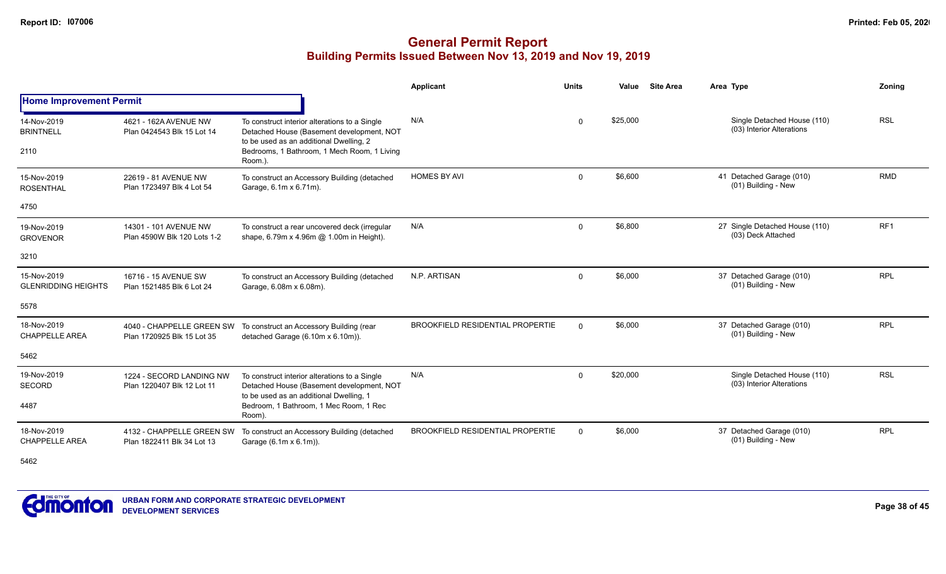|                                           |                                                         |                                                                                                                                       | <b>Applicant</b>                        | <b>Units</b> | Value    | <b>Site Area</b> | Area Type                                                | Zoning          |
|-------------------------------------------|---------------------------------------------------------|---------------------------------------------------------------------------------------------------------------------------------------|-----------------------------------------|--------------|----------|------------------|----------------------------------------------------------|-----------------|
| <b>Home Improvement Permit</b>            |                                                         |                                                                                                                                       |                                         |              |          |                  |                                                          |                 |
| 14-Nov-2019<br><b>BRINTNELL</b>           | 4621 - 162A AVENUE NW<br>Plan 0424543 Blk 15 Lot 14     | To construct interior alterations to a Single<br>Detached House (Basement development, NOT                                            | N/A                                     | $\Omega$     | \$25,000 |                  | Single Detached House (110)<br>(03) Interior Alterations | <b>RSL</b>      |
| 2110                                      |                                                         | to be used as an additional Dwelling, 2<br>Bedrooms, 1 Bathroom, 1 Mech Room, 1 Living<br>Room.).                                     |                                         |              |          |                  |                                                          |                 |
| 15-Nov-2019<br><b>ROSENTHAL</b>           | 22619 - 81 AVENUE NW<br>Plan 1723497 Blk 4 Lot 54       | To construct an Accessory Building (detached<br>Garage, 6.1m x 6.71m).                                                                | <b>HOMES BY AVI</b>                     | $\Omega$     | \$6,600  |                  | 41 Detached Garage (010)<br>(01) Building - New          | <b>RMD</b>      |
| 4750                                      |                                                         |                                                                                                                                       |                                         |              |          |                  |                                                          |                 |
| 19-Nov-2019<br><b>GROVENOR</b>            | 14301 - 101 AVENUE NW<br>Plan 4590W Blk 120 Lots 1-2    | To construct a rear uncovered deck (irregular<br>shape, 6.79m x 4.96m @ 1.00m in Height).                                             | N/A                                     | $\mathbf 0$  | \$6,800  |                  | 27 Single Detached House (110)<br>(03) Deck Attached     | RF <sub>1</sub> |
| 3210                                      |                                                         |                                                                                                                                       |                                         |              |          |                  |                                                          |                 |
| 15-Nov-2019<br><b>GLENRIDDING HEIGHTS</b> | 16716 - 15 AVENUE SW<br>Plan 1521485 Blk 6 Lot 24       | To construct an Accessory Building (detached<br>Garage, 6.08m x 6.08m).                                                               | N.P. ARTISAN                            | $\Omega$     | \$6,000  |                  | 37 Detached Garage (010)<br>(01) Building - New          | <b>RPL</b>      |
| 5578                                      |                                                         |                                                                                                                                       |                                         |              |          |                  |                                                          |                 |
| 18-Nov-2019<br><b>CHAPPELLE AREA</b>      | 4040 - CHAPPELLE GREEN SW<br>Plan 1720925 Blk 15 Lot 35 | To construct an Accessory Building (rear<br>detached Garage (6.10m x 6.10m)).                                                         | <b>BROOKFIELD RESIDENTIAL PROPERTIE</b> | $\Omega$     | \$6,000  |                  | 37 Detached Garage (010)<br>(01) Building - New          | <b>RPL</b>      |
| 5462                                      |                                                         |                                                                                                                                       |                                         |              |          |                  |                                                          |                 |
| 19-Nov-2019<br>SECORD                     | 1224 - SECORD LANDING NW<br>Plan 1220407 Blk 12 Lot 11  | To construct interior alterations to a Single<br>Detached House (Basement development, NOT<br>to be used as an additional Dwelling, 1 | N/A                                     | $\Omega$     | \$20,000 |                  | Single Detached House (110)<br>(03) Interior Alterations | <b>RSL</b>      |
| 4487                                      |                                                         | Bedroom, 1 Bathroom, 1 Mec Room, 1 Rec<br>Room).                                                                                      |                                         |              |          |                  |                                                          |                 |
| 18-Nov-2019<br><b>CHAPPELLE AREA</b>      | 4132 - CHAPPELLE GREEN SW<br>Plan 1822411 Blk 34 Lot 13 | To construct an Accessory Building (detached<br>Garage (6.1m x 6.1m)).                                                                | <b>BROOKFIELD RESIDENTIAL PROPERTIE</b> | $\mathbf 0$  | \$6,000  |                  | 37 Detached Garage (010)<br>(01) Building - New          | <b>RPL</b>      |
| 5462                                      |                                                         |                                                                                                                                       |                                         |              |          |                  |                                                          |                 |

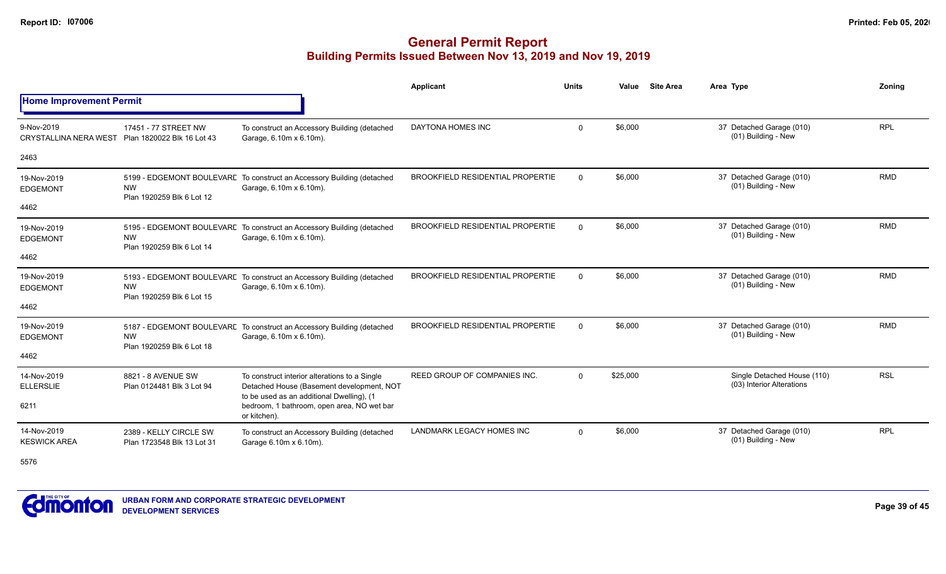|                                            |                                                      |                                                                                                                                         | <b>Applicant</b>                        | <b>Units</b> | Value    | <b>Site Area</b> | Area Type                                                | Zoning     |
|--------------------------------------------|------------------------------------------------------|-----------------------------------------------------------------------------------------------------------------------------------------|-----------------------------------------|--------------|----------|------------------|----------------------------------------------------------|------------|
| <b>Home Improvement Permit</b>             |                                                      |                                                                                                                                         |                                         |              |          |                  |                                                          |            |
| 9-Nov-2019<br><b>CRYSTALLINA NERA WEST</b> | 17451 - 77 STREET NW<br>Plan 1820022 Blk 16 Lot 43   | To construct an Accessory Building (detached<br>Garage, 6.10m x 6.10m).                                                                 | DAYTONA HOMES INC                       | $\mathbf 0$  | \$6,000  |                  | 37 Detached Garage (010)<br>(01) Building - New          | <b>RPL</b> |
| 2463                                       |                                                      |                                                                                                                                         |                                         |              |          |                  |                                                          |            |
| 19-Nov-2019<br><b>EDGEMONT</b>             | <b>NW</b><br>Plan 1920259 Blk 6 Lot 12               | 5199 - EDGEMONT BOULEVARE To construct an Accessory Building (detached<br>Garage, 6.10m x 6.10m).                                       | <b>BROOKFIELD RESIDENTIAL PROPERTIE</b> | $\Omega$     | \$6,000  |                  | 37 Detached Garage (010)<br>(01) Building - New          | <b>RMD</b> |
| 4462                                       |                                                      |                                                                                                                                         |                                         |              |          |                  |                                                          |            |
| 19-Nov-2019<br><b>EDGEMONT</b>             | <b>NW</b><br>Plan 1920259 Blk 6 Lot 14               | 5195 - EDGEMONT BOULEVARE To construct an Accessory Building (detached<br>Garage, 6.10m x 6.10m).                                       | <b>BROOKFIELD RESIDENTIAL PROPERTIE</b> | $\Omega$     | \$6,000  |                  | 37 Detached Garage (010)<br>(01) Building - New          | <b>RMD</b> |
| 4462                                       |                                                      |                                                                                                                                         |                                         |              |          |                  |                                                          |            |
| 19-Nov-2019<br><b>EDGEMONT</b>             | <b>NW</b><br>Plan 1920259 Blk 6 Lot 15               | 5193 - EDGEMONT BOULEVARE To construct an Accessory Building (detached<br>Garage, 6.10m x 6.10m).                                       | BROOKFIELD RESIDENTIAL PROPERTIE        | $\mathbf 0$  | \$6,000  |                  | 37 Detached Garage (010)<br>(01) Building - New          | <b>RMD</b> |
| 4462                                       |                                                      |                                                                                                                                         |                                         |              |          |                  |                                                          |            |
| 19-Nov-2019<br><b>EDGEMONT</b>             | <b>NW</b><br>Plan 1920259 Blk 6 Lot 18               | 5187 - EDGEMONT BOULEVARE To construct an Accessory Building (detached<br>Garage, 6.10m x 6.10m).                                       | <b>BROOKFIELD RESIDENTIAL PROPERTIE</b> | $\Omega$     | \$6,000  |                  | 37 Detached Garage (010)<br>(01) Building - New          | <b>RMD</b> |
| 4462                                       |                                                      |                                                                                                                                         |                                         |              |          |                  |                                                          |            |
| 14-Nov-2019<br><b>ELLERSLIE</b>            | 8821 - 8 AVENUE SW<br>Plan 0124481 Blk 3 Lot 94      | To construct interior alterations to a Single<br>Detached House (Basement development, NOT<br>to be used as an additional Dwelling), (1 | REED GROUP OF COMPANIES INC.            | $\Omega$     | \$25,000 |                  | Single Detached House (110)<br>(03) Interior Alterations | <b>RSL</b> |
| 6211                                       | or kitchen).                                         | bedroom, 1 bathroom, open area, NO wet bar                                                                                              |                                         |              |          |                  |                                                          |            |
| 14-Nov-2019<br><b>KESWICK AREA</b>         | 2389 - KELLY CIRCLE SW<br>Plan 1723548 Blk 13 Lot 31 | To construct an Accessory Building (detached<br>Garage 6.10m x 6.10m).                                                                  | <b>LANDMARK LEGACY HOMES INC</b>        | $\mathbf{0}$ | \$6,000  |                  | 37 Detached Garage (010)<br>(01) Building - New          | <b>RPL</b> |
| 5576                                       |                                                      |                                                                                                                                         |                                         |              |          |                  |                                                          |            |

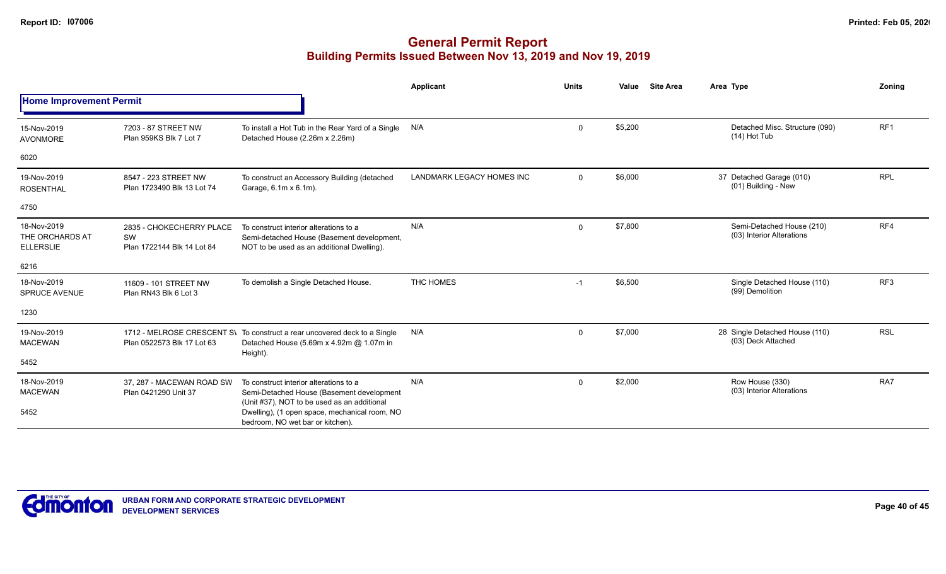|                                                    |                                                              |                                                                                                                                    | Applicant                 | <b>Units</b> | Value   | <b>Site Area</b> | Area Type                                              | Zonina     |
|----------------------------------------------------|--------------------------------------------------------------|------------------------------------------------------------------------------------------------------------------------------------|---------------------------|--------------|---------|------------------|--------------------------------------------------------|------------|
| <b>Home Improvement Permit</b>                     |                                                              |                                                                                                                                    |                           |              |         |                  |                                                        |            |
| 15-Nov-2019<br>AVONMORE                            | 7203 - 87 STREET NW<br>Plan 959KS Blk 7 Lot 7                | To install a Hot Tub in the Rear Yard of a Single<br>Detached House (2.26m x 2.26m)                                                | N/A                       | $\mathbf{0}$ | \$5,200 |                  | Detached Misc. Structure (090)<br>$(14)$ Hot Tub       | RF1        |
| 6020                                               |                                                              |                                                                                                                                    |                           |              |         |                  |                                                        |            |
| 19-Nov-2019<br><b>ROSENTHAL</b>                    | 8547 - 223 STREET NW<br>Plan 1723490 Blk 13 Lot 74           | To construct an Accessory Building (detached<br>Garage, 6.1m x 6.1m).                                                              | LANDMARK LEGACY HOMES INC | $\mathbf{0}$ | \$6,000 |                  | 37 Detached Garage (010)<br>(01) Building - New        | <b>RPL</b> |
| 4750                                               |                                                              |                                                                                                                                    |                           |              |         |                  |                                                        |            |
| 18-Nov-2019<br>THE ORCHARDS AT<br><b>ELLERSLIE</b> | 2835 - CHOKECHERRY PLACE<br>SW<br>Plan 1722144 Blk 14 Lot 84 | To construct interior alterations to a<br>Semi-detached House (Basement development,<br>NOT to be used as an additional Dwelling). | N/A                       | $\mathbf{0}$ | \$7,800 |                  | Semi-Detached House (210)<br>(03) Interior Alterations | RF4        |
| 6216                                               |                                                              |                                                                                                                                    |                           |              |         |                  |                                                        |            |
| 18-Nov-2019<br><b>SPRUCE AVENUE</b>                | 11609 - 101 STREET NW<br>Plan RN43 Blk 6 Lot 3               | To demolish a Single Detached House.                                                                                               | THC HOMES                 | $-1$         | \$6,500 |                  | Single Detached House (110)<br>(99) Demolition         | RF3        |
| 1230                                               |                                                              |                                                                                                                                    |                           |              |         |                  |                                                        |            |
| 19-Nov-2019<br><b>MACEWAN</b>                      | Plan 0522573 Blk 17 Lot 63                                   | 1712 - MELROSE CRESCENT S\ To construct a rear uncovered deck to a Single<br>Detached House (5.69m x 4.92m @ 1.07m in<br>Height).  | N/A                       | $\mathbf{0}$ | \$7,000 |                  | 28 Single Detached House (110)<br>(03) Deck Attached   | <b>RSL</b> |
| 5452                                               |                                                              |                                                                                                                                    |                           |              |         |                  |                                                        |            |
| 18-Nov-2019<br><b>MACEWAN</b>                      | 37. 287 - MACEWAN ROAD SW<br>Plan 0421290 Unit 37            | To construct interior alterations to a<br>Semi-Detached House (Basement development                                                | N/A                       | 0            | \$2,000 |                  | Row House (330)<br>(03) Interior Alterations           | RA7        |
| 5452                                               |                                                              | (Unit #37), NOT to be used as an additional<br>Dwelling), (1 open space, mechanical room, NO<br>bedroom, NO wet bar or kitchen).   |                           |              |         |                  |                                                        |            |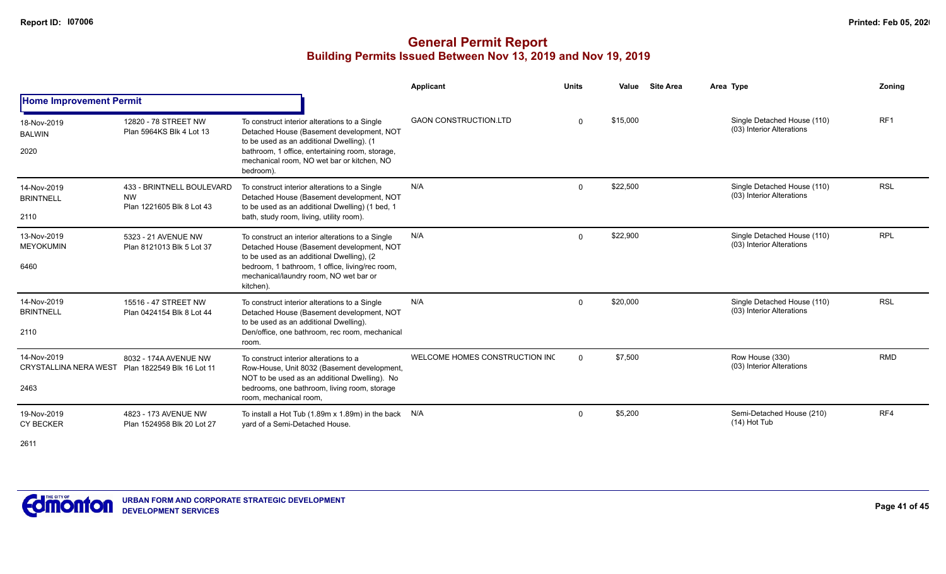|                                                     |                                                                     |                                                                                                                                                                                                                                                       | Applicant                      | <b>Units</b> | Value    | <b>Site Area</b> | Area Type                                                | Zonina          |
|-----------------------------------------------------|---------------------------------------------------------------------|-------------------------------------------------------------------------------------------------------------------------------------------------------------------------------------------------------------------------------------------------------|--------------------------------|--------------|----------|------------------|----------------------------------------------------------|-----------------|
| <b>Home Improvement Permit</b>                      |                                                                     |                                                                                                                                                                                                                                                       |                                |              |          |                  |                                                          |                 |
| 18-Nov-2019<br><b>BALWIN</b><br>2020                | 12820 - 78 STREET NW<br>Plan 5964KS Blk 4 Lot 13                    | To construct interior alterations to a Single<br>Detached House (Basement development, NOT<br>to be used as an additional Dwelling). (1<br>bathroom, 1 office, entertaining room, storage,<br>mechanical room, NO wet bar or kitchen, NO<br>bedroom). | <b>GAON CONSTRUCTION.LTD</b>   | $\Omega$     | \$15,000 |                  | Single Detached House (110)<br>(03) Interior Alterations | RF <sub>1</sub> |
| 14-Nov-2019<br><b>BRINTNELL</b><br>2110             | 433 - BRINTNELL BOULEVARD<br><b>NW</b><br>Plan 1221605 Blk 8 Lot 43 | To construct interior alterations to a Single<br>Detached House (Basement development, NOT<br>to be used as an additional Dwelling) (1 bed, 1<br>bath, study room, living, utility room).                                                             | N/A                            | $\mathbf 0$  | \$22,500 |                  | Single Detached House (110)<br>(03) Interior Alterations | <b>RSL</b>      |
| 13-Nov-2019<br><b>MEYOKUMIN</b><br>6460             | 5323 - 21 AVENUE NW<br>Plan 8121013 Blk 5 Lot 37                    | To construct an interior alterations to a Single<br>Detached House (Basement development, NOT<br>to be used as an additional Dwelling), (2<br>bedroom, 1 bathroom, 1 office, living/rec room,<br>mechanical/laundry room, NO wet bar or<br>kitchen).  | N/A                            | $\Omega$     | \$22,900 |                  | Single Detached House (110)<br>(03) Interior Alterations | <b>RPL</b>      |
| 14-Nov-2019<br><b>BRINTNELL</b><br>2110             | 15516 - 47 STREET NW<br>Plan 0424154 Blk 8 Lot 44                   | To construct interior alterations to a Single<br>Detached House (Basement development, NOT<br>to be used as an additional Dwelling).<br>Den/office, one bathroom, rec room, mechanical<br>room.                                                       | N/A                            | $\mathbf{0}$ | \$20,000 |                  | Single Detached House (110)<br>(03) Interior Alterations | <b>RSL</b>      |
| 14-Nov-2019<br><b>CRYSTALLINA NERA WEST</b><br>2463 | 8032 - 174A AVENUE NW<br>Plan 1822549 Blk 16 Lot 11                 | To construct interior alterations to a<br>Row-House, Unit 8032 (Basement development,<br>NOT to be used as an additional Dwelling). No<br>bedrooms, one bathroom, living room, storage<br>room, mechanical room.                                      | WELCOME HOMES CONSTRUCTION INC | $\Omega$     | \$7,500  |                  | Row House (330)<br>(03) Interior Alterations             | <b>RMD</b>      |
| 19-Nov-2019<br><b>CY BECKER</b>                     | 4823 - 173 AVENUE NW<br>Plan 1524958 Blk 20 Lot 27                  | To install a Hot Tub $(1.89m \times 1.89m)$ in the back N/A<br>yard of a Semi-Detached House.                                                                                                                                                         |                                | $\mathbf{0}$ | \$5,200  |                  | Semi-Detached House (210)<br>$(14)$ Hot Tub              | RF4             |

2611

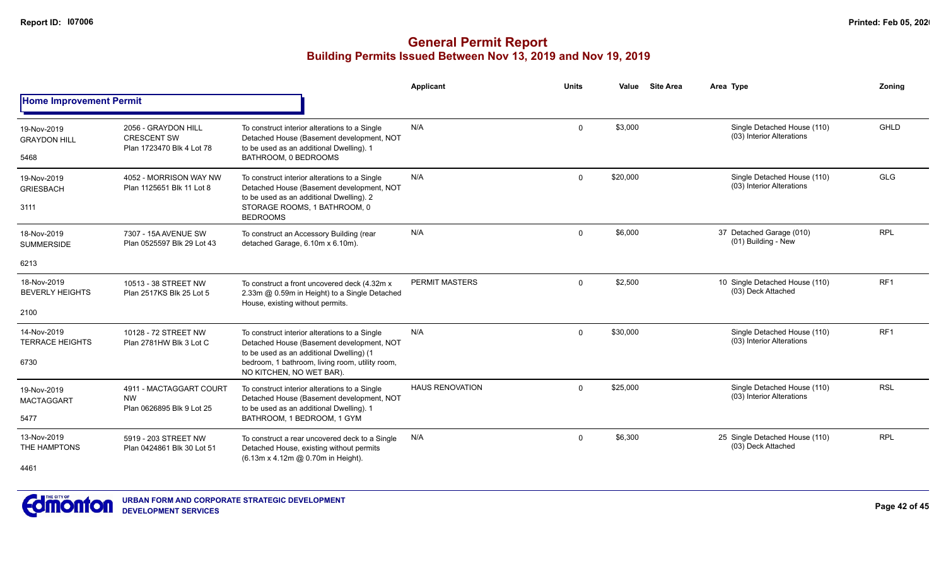|                                       |                                                                        |                                                                                                                                        | Applicant              | <b>Units</b> | Value    | <b>Site Area</b> | Area Type                                                | Zonina          |
|---------------------------------------|------------------------------------------------------------------------|----------------------------------------------------------------------------------------------------------------------------------------|------------------------|--------------|----------|------------------|----------------------------------------------------------|-----------------|
| <b>Home Improvement Permit</b>        |                                                                        |                                                                                                                                        |                        |              |          |                  |                                                          |                 |
| 19-Nov-2019<br><b>GRAYDON HILL</b>    | 2056 - GRAYDON HILL<br><b>CRESCENT SW</b><br>Plan 1723470 Blk 4 Lot 78 | To construct interior alterations to a Single<br>Detached House (Basement development, NOT<br>to be used as an additional Dwelling). 1 | N/A                    | 0            | \$3,000  |                  | Single Detached House (110)<br>(03) Interior Alterations | <b>GHLD</b>     |
| 5468                                  |                                                                        | BATHROOM, 0 BEDROOMS                                                                                                                   |                        |              |          |                  |                                                          |                 |
| 19-Nov-2019<br><b>GRIESBACH</b>       | 4052 - MORRISON WAY NW<br>Plan 1125651 Blk 11 Lot 8                    | To construct interior alterations to a Single<br>Detached House (Basement development, NOT<br>to be used as an additional Dwelling). 2 | N/A                    | $\mathbf 0$  | \$20,000 |                  | Single Detached House (110)<br>(03) Interior Alterations | <b>GLG</b>      |
| 3111                                  |                                                                        | STORAGE ROOMS, 1 BATHROOM, 0<br><b>BEDROOMS</b>                                                                                        |                        |              |          |                  |                                                          |                 |
| 18-Nov-2019<br><b>SUMMERSIDE</b>      | 7307 - 15A AVENUE SW<br>Plan 0525597 Blk 29 Lot 43                     | To construct an Accessory Building (rear<br>detached Garage, 6.10m x 6.10m).                                                           | N/A                    | $\mathbf 0$  | \$6,000  |                  | 37 Detached Garage (010)<br>(01) Building - New          | <b>RPL</b>      |
| 6213                                  |                                                                        |                                                                                                                                        |                        |              |          |                  |                                                          |                 |
| 18-Nov-2019<br><b>BEVERLY HEIGHTS</b> | 10513 - 38 STREET NW<br>Plan 2517KS Blk 25 Lot 5                       | To construct a front uncovered deck (4.32m x)<br>2.33m @ 0.59m in Height) to a Single Detached<br>House, existing without permits.     | PERMIT MASTERS         | 0            | \$2,500  |                  | 10 Single Detached House (110)<br>(03) Deck Attached     | RF <sub>1</sub> |
| 2100                                  |                                                                        |                                                                                                                                        |                        |              |          |                  |                                                          |                 |
| 14-Nov-2019<br><b>TERRACE HEIGHTS</b> | 10128 - 72 STREET NW<br>Plan 2781HW Blk 3 Lot C                        | To construct interior alterations to a Single<br>Detached House (Basement development, NOT<br>to be used as an additional Dwelling) (1 | N/A                    | 0            | \$30,000 |                  | Single Detached House (110)<br>(03) Interior Alterations | RF <sub>1</sub> |
| 6730                                  |                                                                        | bedroom, 1 bathroom, living room, utility room,<br>NO KITCHEN, NO WET BAR).                                                            |                        |              |          |                  |                                                          |                 |
| 19-Nov-2019<br><b>MACTAGGART</b>      | 4911 - MACTAGGART COURT<br><b>NW</b>                                   | To construct interior alterations to a Single<br>Detached House (Basement development, NOT                                             | <b>HAUS RENOVATION</b> | $\Omega$     | \$25,000 |                  | Single Detached House (110)<br>(03) Interior Alterations | <b>RSL</b>      |
| 5477                                  | Plan 0626895 Blk 9 Lot 25                                              | to be used as an additional Dwelling). 1<br>BATHROOM, 1 BEDROOM, 1 GYM                                                                 |                        |              |          |                  |                                                          |                 |
| 13-Nov-2019<br>THE HAMPTONS<br>4461   | 5919 - 203 STREET NW<br>Plan 0424861 Blk 30 Lot 51                     | To construct a rear uncovered deck to a Single<br>Detached House, existing without permits<br>(6.13m x 4.12m @ 0.70m in Height).       | N/A                    | 0            | \$6,300  |                  | 25 Single Detached House (110)<br>(03) Deck Attached     | <b>RPL</b>      |

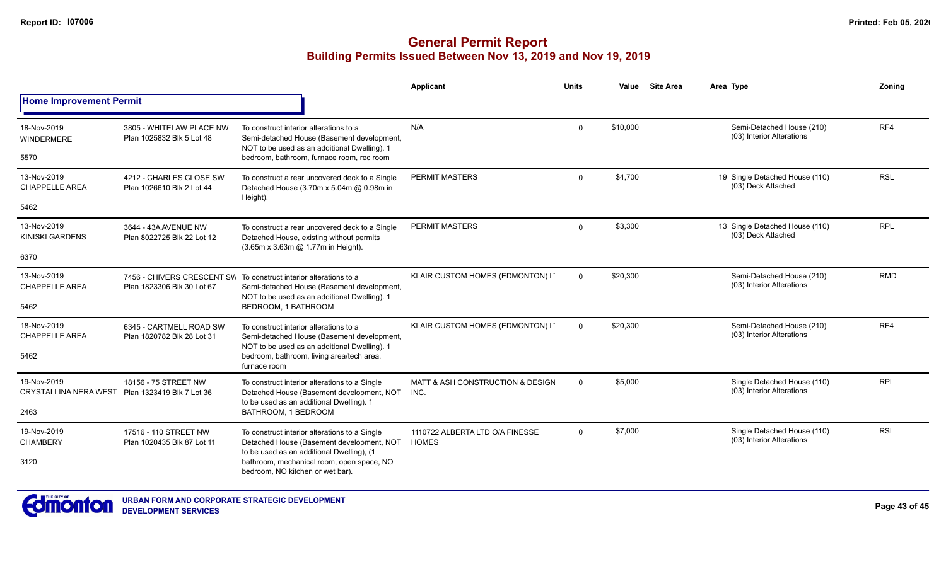|                                             |                                                       |                                                                                                                                                                 | Applicant                                | <b>Units</b> | Value    | <b>Site Area</b> | Area Type                                                | Zonina     |
|---------------------------------------------|-------------------------------------------------------|-----------------------------------------------------------------------------------------------------------------------------------------------------------------|------------------------------------------|--------------|----------|------------------|----------------------------------------------------------|------------|
| <b>Home Improvement Permit</b>              |                                                       |                                                                                                                                                                 |                                          |              |          |                  |                                                          |            |
| 18-Nov-2019<br><b>WINDERMERE</b>            | 3805 - WHITELAW PLACE NW<br>Plan 1025832 Blk 5 Lot 48 | To construct interior alterations to a<br>Semi-detached House (Basement development,<br>NOT to be used as an additional Dwelling). 1                            | N/A                                      | $\mathbf{0}$ | \$10,000 |                  | Semi-Detached House (210)<br>(03) Interior Alterations   | RF4        |
| 5570                                        |                                                       | bedroom, bathroom, furnace room, rec room                                                                                                                       |                                          |              |          |                  |                                                          |            |
| 13-Nov-2019<br><b>CHAPPELLE AREA</b>        | 4212 - CHARLES CLOSE SW<br>Plan 1026610 Blk 2 Lot 44  | To construct a rear uncovered deck to a Single<br>Detached House (3.70m x 5.04m @ 0.98m in<br>Height).                                                          | PERMIT MASTERS                           | $\Omega$     | \$4,700  |                  | 19 Single Detached House (110)<br>(03) Deck Attached     | <b>RSL</b> |
| 5462                                        |                                                       |                                                                                                                                                                 |                                          |              |          |                  |                                                          |            |
| 13-Nov-2019<br><b>KINISKI GARDENS</b>       | 3644 - 43A AVENUE NW<br>Plan 8022725 Blk 22 Lot 12    | To construct a rear uncovered deck to a Single<br>Detached House, existing without permits<br>(3.65m x 3.63m @ 1.77m in Height).                                | PERMIT MASTERS                           | $\Omega$     | \$3,300  |                  | 13 Single Detached House (110)<br>(03) Deck Attached     | <b>RPL</b> |
| 6370                                        |                                                       |                                                                                                                                                                 |                                          |              |          |                  |                                                          |            |
| 13-Nov-2019<br><b>CHAPPELLE AREA</b>        | Plan 1823306 Blk 30 Lot 67                            | 7456 - CHIVERS CRESCENT SW To construct interior alterations to a<br>Semi-detached House (Basement development,<br>NOT to be used as an additional Dwelling). 1 | KLAIR CUSTOM HOMES (EDMONTON) L'         | $\Omega$     | \$20,300 |                  | Semi-Detached House (210)<br>(03) Interior Alterations   | <b>RMD</b> |
| 5462                                        |                                                       | BEDROOM, 1 BATHROOM                                                                                                                                             |                                          |              |          |                  |                                                          |            |
| 18-Nov-2019<br><b>CHAPPELLE AREA</b>        | 6345 - CARTMELL ROAD SW<br>Plan 1820782 Blk 28 Lot 31 | To construct interior alterations to a<br>Semi-detached House (Basement development,<br>NOT to be used as an additional Dwelling). 1                            | KLAIR CUSTOM HOMES (EDMONTON) L'         | $\Omega$     | \$20,300 |                  | Semi-Detached House (210)<br>(03) Interior Alterations   | RF4        |
| 5462                                        |                                                       | bedroom, bathroom, living area/tech area,<br>furnace room                                                                                                       |                                          |              |          |                  |                                                          |            |
| 19-Nov-2019<br><b>CRYSTALLINA NERA WEST</b> | 18156 - 75 STREET NW<br>Plan 1323419 Blk 7 Lot 36     | To construct interior alterations to a Single<br>Detached House (Basement development, NOT<br>to be used as an additional Dwelling). 1                          | MATT & ASH CONSTRUCTION & DESIGN<br>INC. | $\mathbf 0$  | \$5,000  |                  | Single Detached House (110)<br>(03) Interior Alterations | <b>RPL</b> |
| 2463                                        |                                                       | BATHROOM, 1 BEDROOM                                                                                                                                             |                                          |              |          |                  |                                                          |            |
| 19-Nov-2019<br><b>CHAMBERY</b>              | 17516 - 110 STREET NW<br>Plan 1020435 Blk 87 Lot 11   | 1110722 ALBERTA LTD O/A FINESSE<br>To construct interior alterations to a Single<br>Detached House (Basement development, NOT<br><b>HOMES</b>                   |                                          | $\Omega$     | \$7,000  |                  | Single Detached House (110)<br>(03) Interior Alterations | <b>RSL</b> |
| 3120                                        |                                                       | to be used as an additional Dwelling), (1<br>bathroom, mechanical room, open space, NO<br>bedroom, NO kitchen or wet bar).                                      |                                          |              |          |                  |                                                          |            |

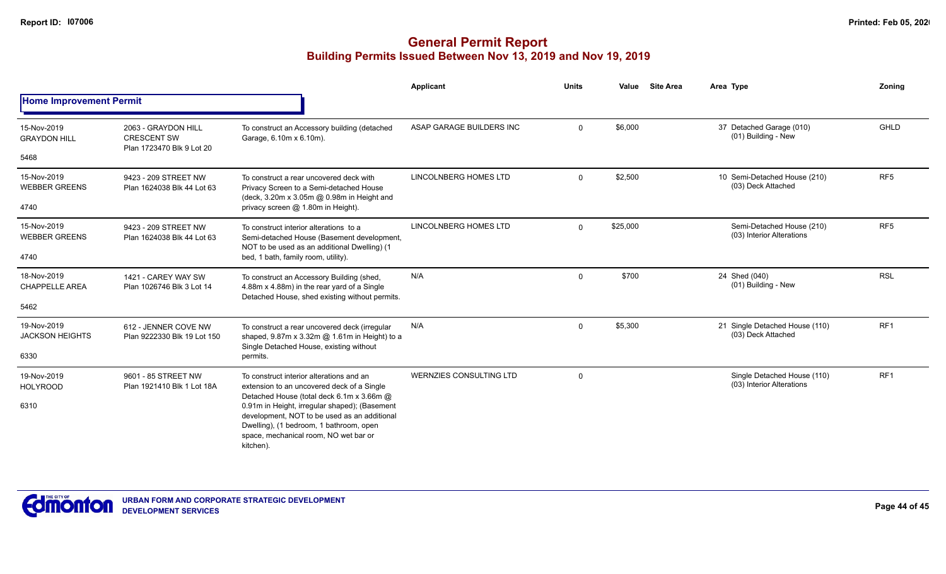|                                       |                                                                        |                                                                                                                                                                                                                                             | <b>Applicant</b>         | <b>Units</b> | Value    | <b>Site Area</b> | Area Type                                                | Zoning          |
|---------------------------------------|------------------------------------------------------------------------|---------------------------------------------------------------------------------------------------------------------------------------------------------------------------------------------------------------------------------------------|--------------------------|--------------|----------|------------------|----------------------------------------------------------|-----------------|
| <b>Home Improvement Permit</b>        |                                                                        |                                                                                                                                                                                                                                             |                          |              |          |                  |                                                          |                 |
| 15-Nov-2019<br><b>GRAYDON HILL</b>    | 2063 - GRAYDON HILL<br><b>CRESCENT SW</b><br>Plan 1723470 Blk 9 Lot 20 | To construct an Accessory building (detached<br>Garage, 6.10m x 6.10m).                                                                                                                                                                     | ASAP GARAGE BUILDERS INC | $\Omega$     | \$6,000  |                  | 37 Detached Garage (010)<br>(01) Building - New          | <b>GHLD</b>     |
| 5468                                  |                                                                        |                                                                                                                                                                                                                                             |                          |              |          |                  |                                                          |                 |
| 15-Nov-2019<br><b>WEBBER GREENS</b>   | 9423 - 209 STREET NW<br>Plan 1624038 Blk 44 Lot 63                     | To construct a rear uncovered deck with<br>Privacy Screen to a Semi-detached House<br>(deck, 3.20m x 3.05m @ 0.98m in Height and                                                                                                            | LINCOLNBERG HOMES LTD    | $\Omega$     | \$2,500  |                  | 10 Semi-Detached House (210)<br>(03) Deck Attached       | RF <sub>5</sub> |
| 4740                                  |                                                                        | privacy screen @ 1.80m in Height).                                                                                                                                                                                                          |                          |              |          |                  |                                                          |                 |
| 15-Nov-2019<br><b>WEBBER GREENS</b>   | 9423 - 209 STREET NW<br>Plan 1624038 Blk 44 Lot 63                     | To construct interior alterations to a<br>Semi-detached House (Basement development,<br>NOT to be used as an additional Dwelling) (1                                                                                                        | LINCOLNBERG HOMES LTD    | $\Omega$     | \$25,000 |                  | Semi-Detached House (210)<br>(03) Interior Alterations   | RF <sub>5</sub> |
| 4740                                  |                                                                        | bed, 1 bath, family room, utility).                                                                                                                                                                                                         |                          |              |          |                  |                                                          |                 |
| 18-Nov-2019<br><b>CHAPPELLE AREA</b>  | 1421 - CAREY WAY SW<br>Plan 1026746 Blk 3 Lot 14                       | To construct an Accessory Building (shed,<br>4.88m x 4.88m) in the rear yard of a Single<br>Detached House, shed existing without permits.                                                                                                  | N/A                      | $\Omega$     | \$700    |                  | 24 Shed (040)<br>(01) Building - New                     | <b>RSL</b>      |
| 5462                                  |                                                                        |                                                                                                                                                                                                                                             |                          |              |          |                  |                                                          |                 |
| 19-Nov-2019<br><b>JACKSON HEIGHTS</b> | 612 - JENNER COVE NW<br>Plan 9222330 Blk 19 Lot 150                    | To construct a rear uncovered deck (irregular<br>shaped, 9.87m x 3.32m @ 1.61m in Height) to a<br>Single Detached House, existing without                                                                                                   | N/A                      | $\Omega$     | \$5,300  |                  | 21 Single Detached House (110)<br>(03) Deck Attached     | RF <sub>1</sub> |
| 6330                                  |                                                                        | permits.                                                                                                                                                                                                                                    |                          |              |          |                  |                                                          |                 |
| 19-Nov-2019<br><b>HOLYROOD</b>        | 9601 - 85 STREET NW<br>Plan 1921410 Blk 1 Lot 18A                      | To construct interior alterations and an<br>extension to an uncovered deck of a Single                                                                                                                                                      | WERNZIES CONSULTING LTD  | $\Omega$     |          |                  | Single Detached House (110)<br>(03) Interior Alterations | RF1             |
| 6310                                  |                                                                        | Detached House (total deck 6.1m x 3.66m @<br>0.91m in Height, irregular shaped); (Basement<br>development, NOT to be used as an additional<br>Dwelling), (1 bedroom, 1 bathroom, open<br>space, mechanical room, NO wet bar or<br>kitchen). |                          |              |          |                  |                                                          |                 |